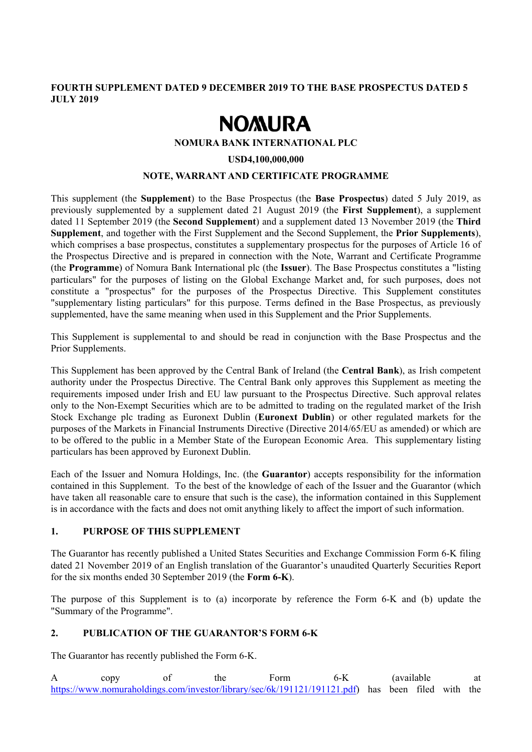# **FOURTH SUPPLEMENT DATED 9 DECEMBER 2019 TO THE BASE PROSPECTUS DATED 5 JULY 2019**

# **NOMURA**

#### **NOMURA BANK INTERNATIONAL PLC**

#### **USD4,100,000,000**

### **NOTE, WARRANT AND CERTIFICATE PROGRAMME**

This supplement (the **Supplement**) to the Base Prospectus (the **Base Prospectus**) dated 5 July 2019, as previously supplemented by a supplement dated 21 August 2019 (the **First Supplement**), a supplement dated 11 September 2019 (the **Second Supplement**) and a supplement dated 13 November 2019 (the **Third Supplement**, and together with the First Supplement and the Second Supplement, the **Prior Supplements**), which comprises a base prospectus, constitutes a supplementary prospectus for the purposes of Article 16 of the Prospectus Directive and is prepared in connection with the Note, Warrant and Certificate Programme (the **Programme**) of Nomura Bank International plc (the **Issuer**). The Base Prospectus constitutes a "listing particulars" for the purposes of listing on the Global Exchange Market and, for such purposes, does not constitute a "prospectus" for the purposes of the Prospectus Directive. This Supplement constitutes "supplementary listing particulars" for this purpose. Terms defined in the Base Prospectus, as previously supplemented, have the same meaning when used in this Supplement and the Prior Supplements.

This Supplement is supplemental to and should be read in conjunction with the Base Prospectus and the Prior Supplements.

This Supplement has been approved by the Central Bank of Ireland (the **Central Bank**), as Irish competent authority under the Prospectus Directive. The Central Bank only approves this Supplement as meeting the requirements imposed under Irish and EU law pursuant to the Prospectus Directive. Such approval relates only to the Non-Exempt Securities which are to be admitted to trading on the regulated market of the Irish Stock Exchange plc trading as Euronext Dublin (**Euronext Dublin**) or other regulated markets for the purposes of the Markets in Financial Instruments Directive (Directive 2014/65/EU as amended) or which are to be offered to the public in a Member State of the European Economic Area. This supplementary listing particulars has been approved by Euronext Dublin.

Each of the Issuer and Nomura Holdings, Inc. (the **Guarantor**) accepts responsibility for the information contained in this Supplement. To the best of the knowledge of each of the Issuer and the Guarantor (which have taken all reasonable care to ensure that such is the case), the information contained in this Supplement is in accordance with the facts and does not omit anything likely to affect the import of such information.

#### **1. PURPOSE OF THIS SUPPLEMENT**

The Guarantor has recently published a United States Securities and Exchange Commission Form 6-K filing dated 21 November 2019 of an English translation of the Guarantor's unaudited Quarterly Securities Report for the six months ended 30 September 2019 (the **Form 6-K**).

The purpose of this Supplement is to (a) incorporate by reference the Form 6-K and (b) update the "Summary of the Programme".

#### **2. PUBLICATION OF THE GUARANTOR'S FORM 6-K**

The Guarantor has recently published the Form 6-K.

A copy of the Form 6-K (available at https://www.nomuraholdings.com/investor/library/sec/6k/191121/191121.pdf) has been filed with the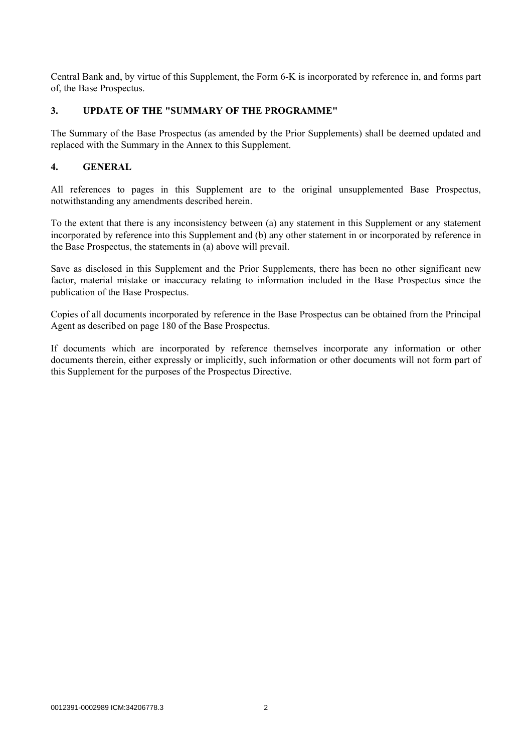Central Bank and, by virtue of this Supplement, the Form 6-K is incorporated by reference in, and forms part of, the Base Prospectus.

## **3. UPDATE OF THE "SUMMARY OF THE PROGRAMME"**

The Summary of the Base Prospectus (as amended by the Prior Supplements) shall be deemed updated and replaced with the Summary in the Annex to this Supplement.

## **4. GENERAL**

All references to pages in this Supplement are to the original unsupplemented Base Prospectus, notwithstanding any amendments described herein.

To the extent that there is any inconsistency between (a) any statement in this Supplement or any statement incorporated by reference into this Supplement and (b) any other statement in or incorporated by reference in the Base Prospectus, the statements in (a) above will prevail.

Save as disclosed in this Supplement and the Prior Supplements, there has been no other significant new factor, material mistake or inaccuracy relating to information included in the Base Prospectus since the publication of the Base Prospectus.

Copies of all documents incorporated by reference in the Base Prospectus can be obtained from the Principal Agent as described on page 180 of the Base Prospectus.

If documents which are incorporated by reference themselves incorporate any information or other documents therein, either expressly or implicitly, such information or other documents will not form part of this Supplement for the purposes of the Prospectus Directive.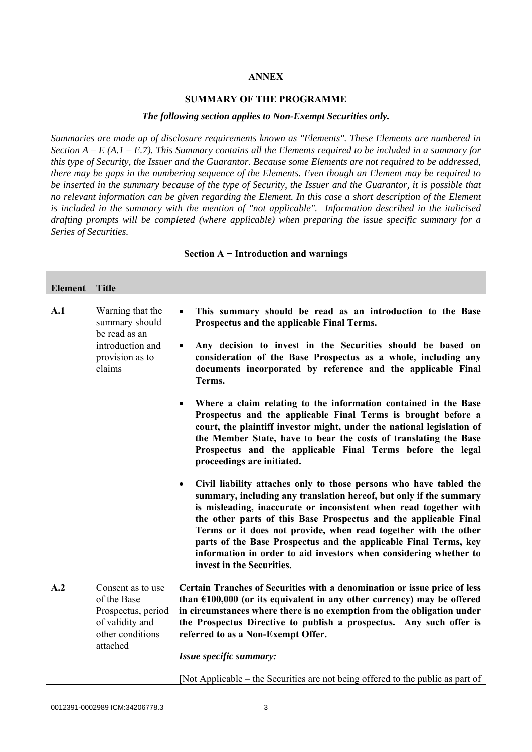### **ANNEX**

#### **SUMMARY OF THE PROGRAMME**

#### *The following section applies to Non-Exempt Securities only.*

*Summaries are made up of disclosure requirements known as "Elements". These Elements are numbered in Section A – E (A.1 – E.7). This Summary contains all the Elements required to be included in a summary for this type of Security, the Issuer and the Guarantor. Because some Elements are not required to be addressed, there may be gaps in the numbering sequence of the Elements. Even though an Element may be required to be inserted in the summary because of the type of Security, the Issuer and the Guarantor, it is possible that no relevant information can be given regarding the Element. In this case a short description of the Element is included in the summary with the mention of "not applicable". Information described in the italicised drafting prompts will be completed (where applicable) when preparing the issue specific summary for a Series of Securities.*

| <b>Element</b> | <b>Title</b>                                                                                                                                                                                                                                                          |                                                                                                                                                                                                                                                                                                                                                                                                                                                                                                                                         |
|----------------|-----------------------------------------------------------------------------------------------------------------------------------------------------------------------------------------------------------------------------------------------------------------------|-----------------------------------------------------------------------------------------------------------------------------------------------------------------------------------------------------------------------------------------------------------------------------------------------------------------------------------------------------------------------------------------------------------------------------------------------------------------------------------------------------------------------------------------|
| A.1            | Warning that the<br>summary should<br>be read as an                                                                                                                                                                                                                   | This summary should be read as an introduction to the Base<br>$\bullet$<br>Prospectus and the applicable Final Terms.                                                                                                                                                                                                                                                                                                                                                                                                                   |
|                | introduction and<br>Any decision to invest in the Securities should be based on<br>$\bullet$<br>consideration of the Base Prospectus as a whole, including any<br>provision as to<br>documents incorporated by reference and the applicable Final<br>claims<br>Terms. |                                                                                                                                                                                                                                                                                                                                                                                                                                                                                                                                         |
|                |                                                                                                                                                                                                                                                                       | Where a claim relating to the information contained in the Base<br>$\bullet$<br>Prospectus and the applicable Final Terms is brought before a<br>court, the plaintiff investor might, under the national legislation of<br>the Member State, have to bear the costs of translating the Base<br>Prospectus and the applicable Final Terms before the legal<br>proceedings are initiated.                                                                                                                                                 |
|                |                                                                                                                                                                                                                                                                       | Civil liability attaches only to those persons who have tabled the<br>$\bullet$<br>summary, including any translation hereof, but only if the summary<br>is misleading, inaccurate or inconsistent when read together with<br>the other parts of this Base Prospectus and the applicable Final<br>Terms or it does not provide, when read together with the other<br>parts of the Base Prospectus and the applicable Final Terms, key<br>information in order to aid investors when considering whether to<br>invest in the Securities. |
| A.2            | Consent as to use<br>of the Base<br>Prospectus, period<br>of validity and<br>other conditions<br>attached                                                                                                                                                             | Certain Tranches of Securities with a denomination or issue price of less<br>than $£100,000$ (or its equivalent in any other currency) may be offered<br>in circumstances where there is no exemption from the obligation under<br>the Prospectus Directive to publish a prospectus. Any such offer is<br>referred to as a Non-Exempt Offer.                                                                                                                                                                                            |
|                |                                                                                                                                                                                                                                                                       | Issue specific summary:<br>[Not Applicable – the Securities are not being offered to the public as part of                                                                                                                                                                                                                                                                                                                                                                                                                              |

#### **Section A − Introduction and warnings**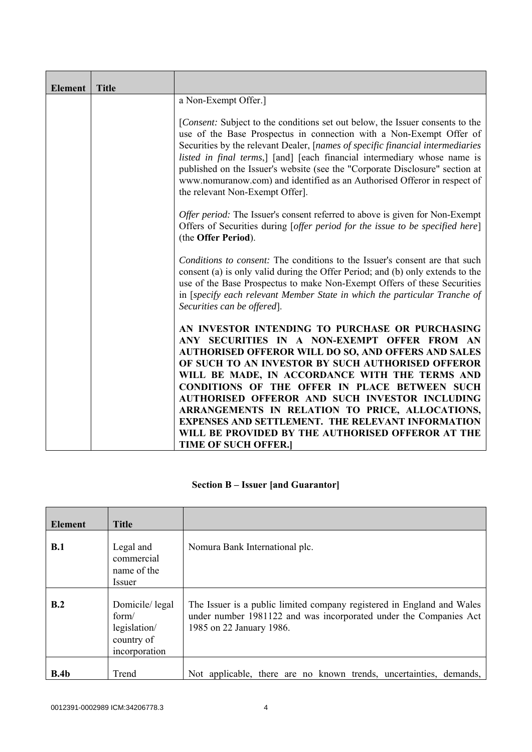| <b>Element</b> | <b>Title</b> |                                                                                                                                                                                                                                                                                                                                                                                                                                                                                                                                                                                  |
|----------------|--------------|----------------------------------------------------------------------------------------------------------------------------------------------------------------------------------------------------------------------------------------------------------------------------------------------------------------------------------------------------------------------------------------------------------------------------------------------------------------------------------------------------------------------------------------------------------------------------------|
|                |              | a Non-Exempt Offer.]                                                                                                                                                                                                                                                                                                                                                                                                                                                                                                                                                             |
|                |              | [Consent: Subject to the conditions set out below, the Issuer consents to the<br>use of the Base Prospectus in connection with a Non-Exempt Offer of<br>Securities by the relevant Dealer, [names of specific financial intermediaries<br>listed in final terms,] [and] [each financial intermediary whose name is<br>published on the Issuer's website (see the "Corporate Disclosure" section at<br>www.nomuranow.com) and identified as an Authorised Offeror in respect of<br>the relevant Non-Exempt Offer].                                                                |
|                |              | <i>Offer period:</i> The Issuer's consent referred to above is given for Non-Exempt<br>Offers of Securities during [offer period for the issue to be specified here]<br>(the Offer Period).                                                                                                                                                                                                                                                                                                                                                                                      |
|                |              | Conditions to consent: The conditions to the Issuer's consent are that such<br>consent (a) is only valid during the Offer Period; and (b) only extends to the<br>use of the Base Prospectus to make Non-Exempt Offers of these Securities<br>in [specify each relevant Member State in which the particular Tranche of<br>Securities can be offered].                                                                                                                                                                                                                            |
|                |              | AN INVESTOR INTENDING TO PURCHASE OR PURCHASING<br>ANY SECURITIES IN A NON-EXEMPT OFFER FROM AN<br><b>AUTHORISED OFFEROR WILL DO SO, AND OFFERS AND SALES</b><br>OF SUCH TO AN INVESTOR BY SUCH AUTHORISED OFFEROR<br>WILL BE MADE, IN ACCORDANCE WITH THE TERMS AND<br><b>CONDITIONS OF THE OFFER IN PLACE BETWEEN SUCH</b><br>AUTHORISED OFFEROR AND SUCH INVESTOR INCLUDING<br>ARRANGEMENTS IN RELATION TO PRICE, ALLOCATIONS,<br><b>EXPENSES AND SETTLEMENT. THE RELEVANT INFORMATION</b><br>WILL BE PROVIDED BY THE AUTHORISED OFFEROR AT THE<br><b>TIME OF SUCH OFFER.</b> |

# **Section B – Issuer [and Guarantor]**

| <b>Element</b> | <b>Title</b>                                                           |                                                                                                                                                                         |
|----------------|------------------------------------------------------------------------|-------------------------------------------------------------------------------------------------------------------------------------------------------------------------|
| B.1            | Legal and<br>commercial<br>name of the<br><i>Issuer</i>                | Nomura Bank International plc.                                                                                                                                          |
| B.2            | Domicile/legal<br>form/<br>legislation/<br>country of<br>incorporation | The Issuer is a public limited company registered in England and Wales<br>under number 1981122 and was incorporated under the Companies Act<br>1985 on 22 January 1986. |
| B.4b           | Trend                                                                  | Not applicable, there are no known trends, uncertainties, demands,                                                                                                      |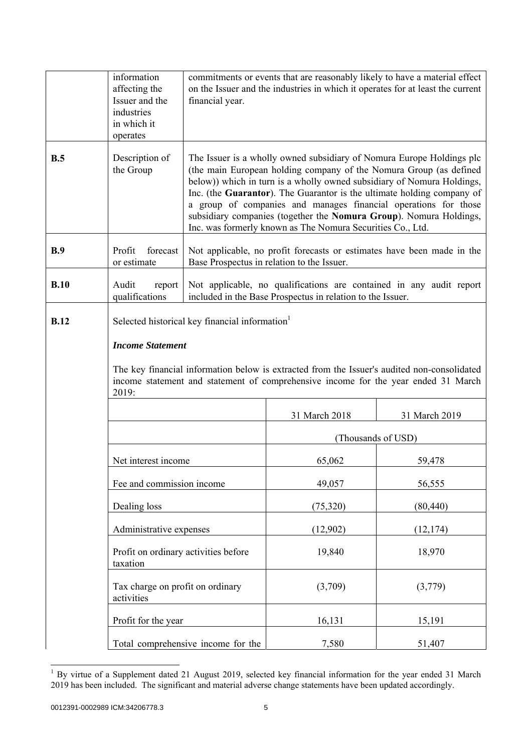|             | information<br>affecting the<br>Issuer and the<br>industries<br>in which it<br>operates                                                                                                                                                                                             | financial year.                                                                                                                                                                                                                                                                                                                                                                                                                                                                                        |                                                            | commitments or events that are reasonably likely to have a material effect<br>on the Issuer and the industries in which it operates for at least the current |
|-------------|-------------------------------------------------------------------------------------------------------------------------------------------------------------------------------------------------------------------------------------------------------------------------------------|--------------------------------------------------------------------------------------------------------------------------------------------------------------------------------------------------------------------------------------------------------------------------------------------------------------------------------------------------------------------------------------------------------------------------------------------------------------------------------------------------------|------------------------------------------------------------|--------------------------------------------------------------------------------------------------------------------------------------------------------------|
| B.5         | Description of<br>the Group                                                                                                                                                                                                                                                         | The Issuer is a wholly owned subsidiary of Nomura Europe Holdings plc<br>(the main European holding company of the Nomura Group (as defined<br>below)) which in turn is a wholly owned subsidiary of Nomura Holdings,<br>Inc. (the Guarantor). The Guarantor is the ultimate holding company of<br>a group of companies and manages financial operations for those<br>subsidiary companies (together the Nomura Group). Nomura Holdings,<br>Inc. was formerly known as The Nomura Securities Co., Ltd. |                                                            |                                                                                                                                                              |
| B.9         | Profit<br>forecast<br>or estimate                                                                                                                                                                                                                                                   |                                                                                                                                                                                                                                                                                                                                                                                                                                                                                                        | Base Prospectus in relation to the Issuer.                 | Not applicable, no profit forecasts or estimates have been made in the                                                                                       |
| B.10        | Audit<br>report<br>qualifications                                                                                                                                                                                                                                                   |                                                                                                                                                                                                                                                                                                                                                                                                                                                                                                        | included in the Base Prospectus in relation to the Issuer. | Not applicable, no qualifications are contained in any audit report                                                                                          |
| <b>B.12</b> | Selected historical key financial information <sup>1</sup><br><b>Income Statement</b><br>The key financial information below is extracted from the Issuer's audited non-consolidated<br>income statement and statement of comprehensive income for the year ended 31 March<br>2019: |                                                                                                                                                                                                                                                                                                                                                                                                                                                                                                        |                                                            |                                                                                                                                                              |
|             |                                                                                                                                                                                                                                                                                     |                                                                                                                                                                                                                                                                                                                                                                                                                                                                                                        | 31 March 2018                                              | 31 March 2019                                                                                                                                                |
|             |                                                                                                                                                                                                                                                                                     |                                                                                                                                                                                                                                                                                                                                                                                                                                                                                                        |                                                            | (Thousands of USD)                                                                                                                                           |
|             | Net interest income                                                                                                                                                                                                                                                                 |                                                                                                                                                                                                                                                                                                                                                                                                                                                                                                        | 65,062                                                     | 59,478                                                                                                                                                       |
|             | Fee and commission income                                                                                                                                                                                                                                                           |                                                                                                                                                                                                                                                                                                                                                                                                                                                                                                        | 49,057                                                     | 56,555                                                                                                                                                       |
|             | Dealing loss                                                                                                                                                                                                                                                                        |                                                                                                                                                                                                                                                                                                                                                                                                                                                                                                        |                                                            | (80, 440)                                                                                                                                                    |
|             |                                                                                                                                                                                                                                                                                     | Administrative expenses                                                                                                                                                                                                                                                                                                                                                                                                                                                                                |                                                            | (12, 174)                                                                                                                                                    |
|             | taxation                                                                                                                                                                                                                                                                            | Profit on ordinary activities before                                                                                                                                                                                                                                                                                                                                                                                                                                                                   |                                                            | 18,970                                                                                                                                                       |
|             | Tax charge on profit on ordinary<br>activities                                                                                                                                                                                                                                      |                                                                                                                                                                                                                                                                                                                                                                                                                                                                                                        | (3,709)                                                    | (3,779)                                                                                                                                                      |
|             | Profit for the year                                                                                                                                                                                                                                                                 |                                                                                                                                                                                                                                                                                                                                                                                                                                                                                                        | 16,131                                                     | 15,191                                                                                                                                                       |
|             |                                                                                                                                                                                                                                                                                     | Total comprehensive income for the                                                                                                                                                                                                                                                                                                                                                                                                                                                                     | 7,580                                                      | 51,407                                                                                                                                                       |

<sup>&</sup>lt;sup>1</sup> By virtue of a Supplement dated 21 August 2019, selected key financial information for the year ended 31 March 2019 has been included. The significant and material adverse change statements have been updated accordingly.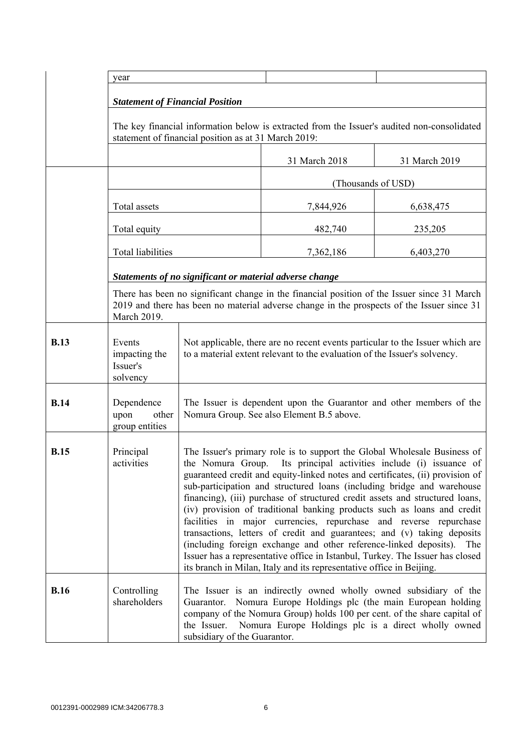|             | year                                                                                                                                                |                                                                                                                                                                                                                                                                                                                                                                                                                                                                                                                                                                                                                                                                                                                                                                                                                                                        |                    |               |
|-------------|-----------------------------------------------------------------------------------------------------------------------------------------------------|--------------------------------------------------------------------------------------------------------------------------------------------------------------------------------------------------------------------------------------------------------------------------------------------------------------------------------------------------------------------------------------------------------------------------------------------------------------------------------------------------------------------------------------------------------------------------------------------------------------------------------------------------------------------------------------------------------------------------------------------------------------------------------------------------------------------------------------------------------|--------------------|---------------|
|             |                                                                                                                                                     |                                                                                                                                                                                                                                                                                                                                                                                                                                                                                                                                                                                                                                                                                                                                                                                                                                                        |                    |               |
|             | <b>Statement of Financial Position</b>                                                                                                              |                                                                                                                                                                                                                                                                                                                                                                                                                                                                                                                                                                                                                                                                                                                                                                                                                                                        |                    |               |
|             | The key financial information below is extracted from the Issuer's audited non-consolidated<br>statement of financial position as at 31 March 2019: |                                                                                                                                                                                                                                                                                                                                                                                                                                                                                                                                                                                                                                                                                                                                                                                                                                                        |                    |               |
|             |                                                                                                                                                     |                                                                                                                                                                                                                                                                                                                                                                                                                                                                                                                                                                                                                                                                                                                                                                                                                                                        | 31 March 2018      | 31 March 2019 |
|             |                                                                                                                                                     |                                                                                                                                                                                                                                                                                                                                                                                                                                                                                                                                                                                                                                                                                                                                                                                                                                                        | (Thousands of USD) |               |
|             | Total assets                                                                                                                                        |                                                                                                                                                                                                                                                                                                                                                                                                                                                                                                                                                                                                                                                                                                                                                                                                                                                        | 7,844,926          | 6,638,475     |
|             | Total equity                                                                                                                                        |                                                                                                                                                                                                                                                                                                                                                                                                                                                                                                                                                                                                                                                                                                                                                                                                                                                        | 482,740            | 235,205       |
|             | Total liabilities                                                                                                                                   |                                                                                                                                                                                                                                                                                                                                                                                                                                                                                                                                                                                                                                                                                                                                                                                                                                                        | 7,362,186          | 6,403,270     |
|             |                                                                                                                                                     | Statements of no significant or material adverse change                                                                                                                                                                                                                                                                                                                                                                                                                                                                                                                                                                                                                                                                                                                                                                                                |                    |               |
|             | March 2019.                                                                                                                                         | There has been no significant change in the financial position of the Issuer since 31 March<br>2019 and there has been no material adverse change in the prospects of the Issuer since 31                                                                                                                                                                                                                                                                                                                                                                                                                                                                                                                                                                                                                                                              |                    |               |
| <b>B.13</b> | Events<br>impacting the<br>Issuer's<br>solvency                                                                                                     | Not applicable, there are no recent events particular to the Issuer which are<br>to a material extent relevant to the evaluation of the Issuer's solvency.                                                                                                                                                                                                                                                                                                                                                                                                                                                                                                                                                                                                                                                                                             |                    |               |
| <b>B.14</b> | Dependence<br>upon<br>other<br>group entities                                                                                                       | The Issuer is dependent upon the Guarantor and other members of the<br>Nomura Group. See also Element B.5 above.                                                                                                                                                                                                                                                                                                                                                                                                                                                                                                                                                                                                                                                                                                                                       |                    |               |
| <b>B.15</b> | Principal<br>activities                                                                                                                             | The Issuer's primary role is to support the Global Wholesale Business of<br>the Nomura Group. Its principal activities include (i) issuance of<br>guaranteed credit and equity-linked notes and certificates, (ii) provision of<br>sub-participation and structured loans (including bridge and warehouse<br>financing), (iii) purchase of structured credit assets and structured loans,<br>(iv) provision of traditional banking products such as loans and credit<br>facilities in major currencies, repurchase and reverse repurchase<br>transactions, letters of credit and guarantees; and (v) taking deposits<br>(including foreign exchange and other reference-linked deposits). The<br>Issuer has a representative office in Istanbul, Turkey. The Issuer has closed<br>its branch in Milan, Italy and its representative office in Beijing. |                    |               |
| <b>B.16</b> | Controlling<br>shareholders                                                                                                                         | The Issuer is an indirectly owned wholly owned subsidiary of the<br>Guarantor. Nomura Europe Holdings plc (the main European holding<br>company of the Nomura Group) holds 100 per cent. of the share capital of<br>Nomura Europe Holdings plc is a direct wholly owned<br>the Issuer.<br>subsidiary of the Guarantor.                                                                                                                                                                                                                                                                                                                                                                                                                                                                                                                                 |                    |               |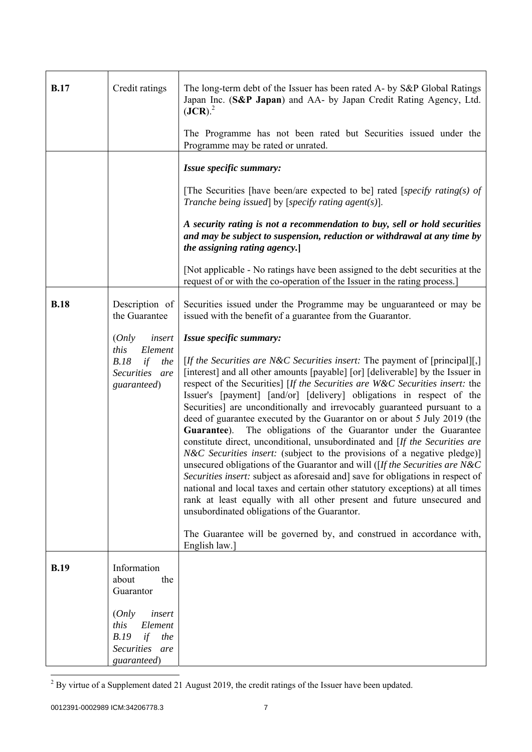| <b>B.17</b> | Credit ratings                                                                                      | The long-term debt of the Issuer has been rated A- by S&P Global Ratings<br>Japan Inc. (S&P Japan) and AA- by Japan Credit Rating Agency, Ltd.<br>$(JCR)$ . <sup>2</sup><br>The Programme has not been rated but Securities issued under the<br>Programme may be rated or unrated.                                                                                                                                                                                                                                                                                                                                                                                                                                                                                                                                                                                                                                                                                                                                                                                                                                                                                                                                          |
|-------------|-----------------------------------------------------------------------------------------------------|-----------------------------------------------------------------------------------------------------------------------------------------------------------------------------------------------------------------------------------------------------------------------------------------------------------------------------------------------------------------------------------------------------------------------------------------------------------------------------------------------------------------------------------------------------------------------------------------------------------------------------------------------------------------------------------------------------------------------------------------------------------------------------------------------------------------------------------------------------------------------------------------------------------------------------------------------------------------------------------------------------------------------------------------------------------------------------------------------------------------------------------------------------------------------------------------------------------------------------|
|             |                                                                                                     | Issue specific summary:                                                                                                                                                                                                                                                                                                                                                                                                                                                                                                                                                                                                                                                                                                                                                                                                                                                                                                                                                                                                                                                                                                                                                                                                     |
|             |                                                                                                     | [The Securities [have been/are expected to be] rated [specify rating(s) of<br>Tranche being issued] by [specify rating agent(s)].                                                                                                                                                                                                                                                                                                                                                                                                                                                                                                                                                                                                                                                                                                                                                                                                                                                                                                                                                                                                                                                                                           |
|             |                                                                                                     | A security rating is not a recommendation to buy, sell or hold securities<br>and may be subject to suspension, reduction or withdrawal at any time by<br>the assigning rating agency.]                                                                                                                                                                                                                                                                                                                                                                                                                                                                                                                                                                                                                                                                                                                                                                                                                                                                                                                                                                                                                                      |
|             |                                                                                                     | [Not applicable - No ratings have been assigned to the debt securities at the<br>request of or with the co-operation of the Issuer in the rating process.                                                                                                                                                                                                                                                                                                                                                                                                                                                                                                                                                                                                                                                                                                                                                                                                                                                                                                                                                                                                                                                                   |
| <b>B.18</b> | Description of<br>the Guarantee                                                                     | Securities issued under the Programme may be unguaranteed or may be<br>issued with the benefit of a guarantee from the Guarantor.                                                                                                                                                                                                                                                                                                                                                                                                                                                                                                                                                                                                                                                                                                                                                                                                                                                                                                                                                                                                                                                                                           |
|             | (Only<br>insert<br>this<br>Element<br>B.18<br>if<br>the<br>Securities are<br>guaranteed)            | Issue specific summary:<br>[If the Securities are N&C Securities insert: The payment of [principal][,]<br>[interest] and all other amounts [payable] [or] [deliverable] by the Issuer in<br>respect of the Securities] [If the Securities are W&C Securities insert: the<br>Issuer's [payment] [and/or] [delivery] obligations in respect of the<br>Securities] are unconditionally and irrevocably guaranteed pursuant to a<br>deed of guarantee executed by the Guarantor on or about 5 July 2019 (the<br>Guarantee). The obligations of the Guarantor under the Guarantee<br>constitute direct, unconditional, unsubordinated and [If the Securities are<br><i>N&amp;C Securities insert:</i> (subject to the provisions of a negative pledge)]<br>unsecured obligations of the Guarantor and will ( $[If the Securities are N&C]$<br>Securities insert: subject as aforesaid and] save for obligations in respect of<br>national and local taxes and certain other statutory exceptions) at all times<br>rank at least equally with all other present and future unsecured and<br>unsubordinated obligations of the Guarantor.<br>The Guarantee will be governed by, and construed in accordance with,<br>English law.] |
| <b>B.19</b> | Information<br>about<br>the<br>Guarantor<br>(Only<br>insert<br>this<br>Element<br>B.19<br>if<br>the |                                                                                                                                                                                                                                                                                                                                                                                                                                                                                                                                                                                                                                                                                                                                                                                                                                                                                                                                                                                                                                                                                                                                                                                                                             |
|             | <b>Securities</b><br>are<br>guaranteed)                                                             |                                                                                                                                                                                                                                                                                                                                                                                                                                                                                                                                                                                                                                                                                                                                                                                                                                                                                                                                                                                                                                                                                                                                                                                                                             |

<sup>&</sup>lt;sup>2</sup> By virtue of a Supplement dated 21 August 2019, the credit ratings of the Issuer have been updated.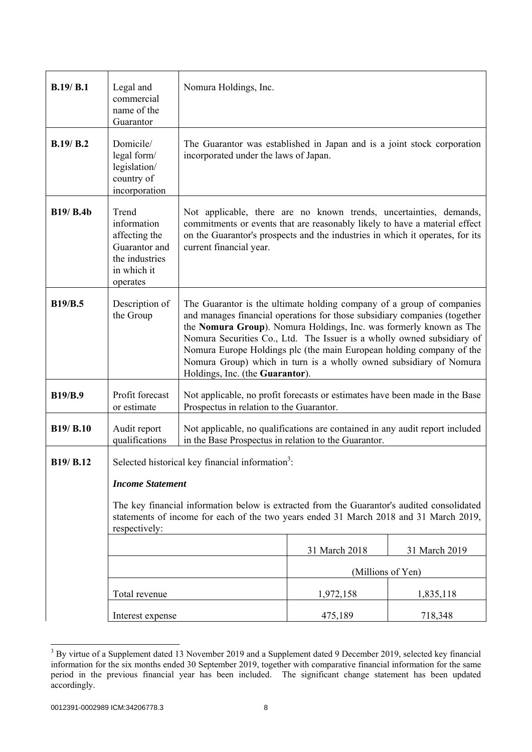| B.19/B.1         | Legal and<br>commercial<br>name of the<br>Guarantor                                                                                                                                                                                                                                             | Nomura Holdings, Inc.                                                                                                                                                                                                                                                                                                                                                                                                                                                               |                   |               |
|------------------|-------------------------------------------------------------------------------------------------------------------------------------------------------------------------------------------------------------------------------------------------------------------------------------------------|-------------------------------------------------------------------------------------------------------------------------------------------------------------------------------------------------------------------------------------------------------------------------------------------------------------------------------------------------------------------------------------------------------------------------------------------------------------------------------------|-------------------|---------------|
| B.19 / B.2       | Domicile/<br>legal form/<br>legislation/<br>country of<br>incorporation                                                                                                                                                                                                                         | The Guarantor was established in Japan and is a joint stock corporation<br>incorporated under the laws of Japan.                                                                                                                                                                                                                                                                                                                                                                    |                   |               |
| <b>B19/ B.4b</b> | Trend<br>information<br>affecting the<br>Guarantor and<br>the industries<br>in which it<br>operates                                                                                                                                                                                             | Not applicable, there are no known trends, uncertainties, demands,<br>commitments or events that are reasonably likely to have a material effect<br>on the Guarantor's prospects and the industries in which it operates, for its<br>current financial year.                                                                                                                                                                                                                        |                   |               |
| <b>B19/B.5</b>   | Description of<br>the Group                                                                                                                                                                                                                                                                     | The Guarantor is the ultimate holding company of a group of companies<br>and manages financial operations for those subsidiary companies (together<br>the Nomura Group). Nomura Holdings, Inc. was formerly known as The<br>Nomura Securities Co., Ltd. The Issuer is a wholly owned subsidiary of<br>Nomura Europe Holdings plc (the main European holding company of the<br>Nomura Group) which in turn is a wholly owned subsidiary of Nomura<br>Holdings, Inc. (the Guarantor). |                   |               |
| <b>B19/B.9</b>   | Profit forecast<br>or estimate                                                                                                                                                                                                                                                                  | Not applicable, no profit forecasts or estimates have been made in the Base<br>Prospectus in relation to the Guarantor.                                                                                                                                                                                                                                                                                                                                                             |                   |               |
| <b>B19/ B.10</b> | Audit report<br>qualifications                                                                                                                                                                                                                                                                  | Not applicable, no qualifications are contained in any audit report included<br>in the Base Prospectus in relation to the Guarantor.                                                                                                                                                                                                                                                                                                                                                |                   |               |
| B19/ B.12        | Selected historical key financial information <sup>3</sup> :<br><b>Income Statement</b><br>The key financial information below is extracted from the Guarantor's audited consolidated<br>statements of income for each of the two years ended 31 March 2018 and 31 March 2019,<br>respectively: |                                                                                                                                                                                                                                                                                                                                                                                                                                                                                     |                   |               |
|                  |                                                                                                                                                                                                                                                                                                 |                                                                                                                                                                                                                                                                                                                                                                                                                                                                                     | 31 March 2018     | 31 March 2019 |
|                  |                                                                                                                                                                                                                                                                                                 |                                                                                                                                                                                                                                                                                                                                                                                                                                                                                     | (Millions of Yen) |               |
|                  | Total revenue                                                                                                                                                                                                                                                                                   |                                                                                                                                                                                                                                                                                                                                                                                                                                                                                     | 1,972,158         | 1,835,118     |
|                  | Interest expense                                                                                                                                                                                                                                                                                |                                                                                                                                                                                                                                                                                                                                                                                                                                                                                     | 475,189           | 718,348       |

<sup>&</sup>lt;sup>3</sup> By virtue of a Supplement dated 13 November 2019 and a Supplement dated 9 December 2019, selected key financial information for the six months ended 30 September 2019, together with comparative financial information for the same period in the previous financial year has been included. The significant change statement has been updated accordingly.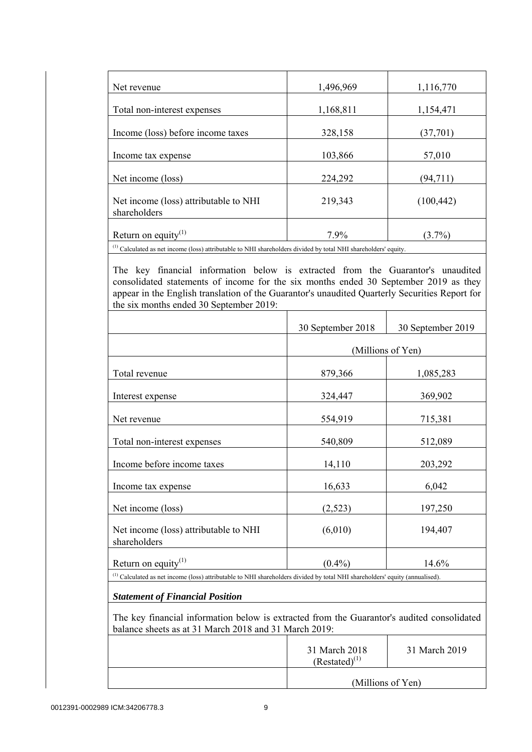| Net revenue                                           | 1,496,969 | 1,116,770  |  |
|-------------------------------------------------------|-----------|------------|--|
| Total non-interest expenses                           | 1,168,811 | 1,154,471  |  |
| Income (loss) before income taxes                     | 328,158   | (37, 701)  |  |
| Income tax expense                                    | 103,866   | 57,010     |  |
| Net income (loss)                                     | 224,292   | (94, 711)  |  |
| Net income (loss) attributable to NHI<br>shareholders | 219,343   | (100, 442) |  |
| Return on equity <sup>(1)</sup>                       | 7.9%      | $(3.7\%)$  |  |

 $<sup>(1)</sup>$  Calculated as net income (loss) attributable to NHI shareholders divided by total NHI shareholders' equity.</sup>

 The key financial information below is extracted from the Guarantor's unaudited consolidated statements of income for the six months ended 30 September 2019 as they appear in the English translation of the Guarantor's unaudited Quarterly Securities Report for the six months ended 30 September 2019:

|                                                                                                                                                     | 30 September 2018                   | 30 September 2019 |
|-----------------------------------------------------------------------------------------------------------------------------------------------------|-------------------------------------|-------------------|
|                                                                                                                                                     |                                     | (Millions of Yen) |
| Total revenue                                                                                                                                       | 879,366                             | 1,085,283         |
| Interest expense                                                                                                                                    | 324,447                             | 369,902           |
| Net revenue                                                                                                                                         | 554,919                             | 715,381           |
| Total non-interest expenses                                                                                                                         | 540,809                             | 512,089           |
| Income before income taxes                                                                                                                          | 14,110                              | 203,292           |
| Income tax expense                                                                                                                                  | 16,633                              | 6,042             |
| Net income (loss)                                                                                                                                   | (2,523)                             | 197,250           |
| Net income (loss) attributable to NHI<br>shareholders                                                                                               | (6,010)                             | 194,407           |
| Return on equity $(1)$                                                                                                                              | $(0.4\%)$                           | 14.6%             |
| <sup>(1)</sup> Calculated as net income (loss) attributable to NHI shareholders divided by total NHI shareholders' equity (annualised).             |                                     |                   |
| <b>Statement of Financial Position</b>                                                                                                              |                                     |                   |
| The key financial information below is extracted from the Guarantor's audited consolidated<br>balance sheets as at 31 March 2018 and 31 March 2019: |                                     |                   |
|                                                                                                                                                     | 31 March 2018<br>$(Restated)^{(1)}$ | 31 March 2019     |

(Millions of Yen)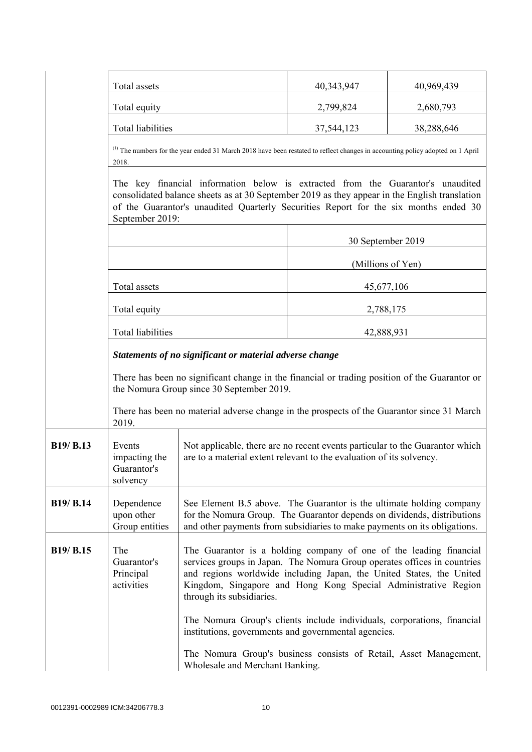|           | Total assets                                                                                                                                                                                                                                                                                                                                                           |                                                                                                                                                                                                                              | 40,343,947        | 40,969,439 |
|-----------|------------------------------------------------------------------------------------------------------------------------------------------------------------------------------------------------------------------------------------------------------------------------------------------------------------------------------------------------------------------------|------------------------------------------------------------------------------------------------------------------------------------------------------------------------------------------------------------------------------|-------------------|------------|
|           | Total equity                                                                                                                                                                                                                                                                                                                                                           |                                                                                                                                                                                                                              | 2,799,824         | 2,680,793  |
|           | <b>Total liabilities</b>                                                                                                                                                                                                                                                                                                                                               |                                                                                                                                                                                                                              | 37,544,123        | 38,288,646 |
|           | 2018.                                                                                                                                                                                                                                                                                                                                                                  | <sup>(1)</sup> The numbers for the year ended 31 March 2018 have been restated to reflect changes in accounting policy adopted on 1 April                                                                                    |                   |            |
|           | The key financial information below is extracted from the Guarantor's unaudited<br>consolidated balance sheets as at 30 September 2019 as they appear in the English translation<br>of the Guarantor's unaudited Quarterly Securities Report for the six months ended 30<br>September 2019:                                                                            |                                                                                                                                                                                                                              |                   |            |
|           |                                                                                                                                                                                                                                                                                                                                                                        |                                                                                                                                                                                                                              | 30 September 2019 |            |
|           |                                                                                                                                                                                                                                                                                                                                                                        |                                                                                                                                                                                                                              | (Millions of Yen) |            |
|           | Total assets                                                                                                                                                                                                                                                                                                                                                           |                                                                                                                                                                                                                              | 45,677,106        |            |
|           | Total equity                                                                                                                                                                                                                                                                                                                                                           |                                                                                                                                                                                                                              | 2,788,175         |            |
|           | <b>Total liabilities</b>                                                                                                                                                                                                                                                                                                                                               |                                                                                                                                                                                                                              | 42,888,931        |            |
|           | Statements of no significant or material adverse change                                                                                                                                                                                                                                                                                                                |                                                                                                                                                                                                                              |                   |            |
|           | There has been no significant change in the financial or trading position of the Guarantor or<br>the Nomura Group since 30 September 2019.                                                                                                                                                                                                                             |                                                                                                                                                                                                                              |                   |            |
|           | 2019.                                                                                                                                                                                                                                                                                                                                                                  | There has been no material adverse change in the prospects of the Guarantor since 31 March                                                                                                                                   |                   |            |
| B19/ B.13 | Events<br>impacting the<br>Guarantor's<br>solvency                                                                                                                                                                                                                                                                                                                     | Not applicable, there are no recent events particular to the Guarantor which<br>are to a material extent relevant to the evaluation of its solvency.                                                                         |                   |            |
| B19/ B.14 | Dependence<br>upon other<br>Group entities                                                                                                                                                                                                                                                                                                                             | See Element B.5 above. The Guarantor is the ultimate holding company<br>for the Nomura Group. The Guarantor depends on dividends, distributions<br>and other payments from subsidiaries to make payments on its obligations. |                   |            |
| B19/ B.15 | The<br>The Guarantor is a holding company of one of the leading financial<br>Guarantor's<br>services groups in Japan. The Nomura Group operates offices in countries<br>and regions worldwide including Japan, the United States, the United<br>Principal<br>Kingdom, Singapore and Hong Kong Special Administrative Region<br>activities<br>through its subsidiaries. |                                                                                                                                                                                                                              |                   |            |
|           |                                                                                                                                                                                                                                                                                                                                                                        | The Nomura Group's clients include individuals, corporations, financial<br>institutions, governments and governmental agencies.                                                                                              |                   |            |
|           |                                                                                                                                                                                                                                                                                                                                                                        | The Nomura Group's business consists of Retail, Asset Management,<br>Wholesale and Merchant Banking.                                                                                                                         |                   |            |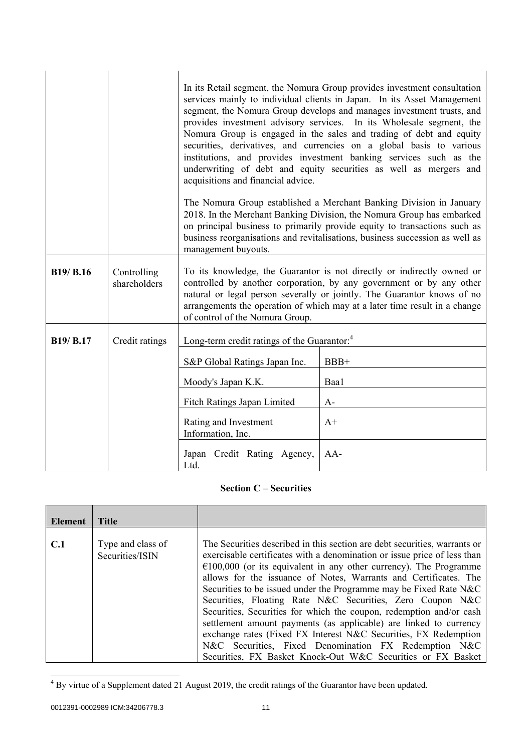|           |                             | In its Retail segment, the Nomura Group provides investment consultation<br>services mainly to individual clients in Japan. In its Asset Management<br>segment, the Nomura Group develops and manages investment trusts, and<br>provides investment advisory services. In its Wholesale segment, the<br>Nomura Group is engaged in the sales and trading of debt and equity<br>securities, derivatives, and currencies on a global basis to various<br>institutions, and provides investment banking services such as the<br>underwriting of debt and equity securities as well as mergers and<br>acquisitions and financial advice.<br>The Nomura Group established a Merchant Banking Division in January<br>2018. In the Merchant Banking Division, the Nomura Group has embarked<br>on principal business to primarily provide equity to transactions such as<br>business reorganisations and revitalisations, business succession as well as<br>management buyouts. |        |  |
|-----------|-----------------------------|--------------------------------------------------------------------------------------------------------------------------------------------------------------------------------------------------------------------------------------------------------------------------------------------------------------------------------------------------------------------------------------------------------------------------------------------------------------------------------------------------------------------------------------------------------------------------------------------------------------------------------------------------------------------------------------------------------------------------------------------------------------------------------------------------------------------------------------------------------------------------------------------------------------------------------------------------------------------------|--------|--|
| B19/ B.16 | Controlling<br>shareholders | To its knowledge, the Guarantor is not directly or indirectly owned or<br>controlled by another corporation, by any government or by any other<br>natural or legal person severally or jointly. The Guarantor knows of no<br>arrangements the operation of which may at a later time result in a change<br>of control of the Nomura Group.                                                                                                                                                                                                                                                                                                                                                                                                                                                                                                                                                                                                                               |        |  |
| B19/ B.17 | Credit ratings              | Long-term credit ratings of the Guarantor: <sup>4</sup>                                                                                                                                                                                                                                                                                                                                                                                                                                                                                                                                                                                                                                                                                                                                                                                                                                                                                                                  |        |  |
|           |                             | S&P Global Ratings Japan Inc.                                                                                                                                                                                                                                                                                                                                                                                                                                                                                                                                                                                                                                                                                                                                                                                                                                                                                                                                            | $BBB+$ |  |
|           |                             | Moody's Japan K.K.                                                                                                                                                                                                                                                                                                                                                                                                                                                                                                                                                                                                                                                                                                                                                                                                                                                                                                                                                       | Baa1   |  |
|           |                             | Fitch Ratings Japan Limited                                                                                                                                                                                                                                                                                                                                                                                                                                                                                                                                                                                                                                                                                                                                                                                                                                                                                                                                              | $A-$   |  |
|           |                             | Rating and Investment<br>Information, Inc.                                                                                                                                                                                                                                                                                                                                                                                                                                                                                                                                                                                                                                                                                                                                                                                                                                                                                                                               | $A+$   |  |
|           |                             | Japan Credit Rating Agency,<br>Ltd.                                                                                                                                                                                                                                                                                                                                                                                                                                                                                                                                                                                                                                                                                                                                                                                                                                                                                                                                      | $AA-$  |  |

# **Section C – Securities**

| Element | Title                                |                                                                                                                                                                                                                                                                                                                                                                                                                                                                                                                                                                                                                                                                                                                                                                                  |
|---------|--------------------------------------|----------------------------------------------------------------------------------------------------------------------------------------------------------------------------------------------------------------------------------------------------------------------------------------------------------------------------------------------------------------------------------------------------------------------------------------------------------------------------------------------------------------------------------------------------------------------------------------------------------------------------------------------------------------------------------------------------------------------------------------------------------------------------------|
| C.1     | Type and class of<br>Securities/ISIN | The Securities described in this section are debt securities, warrants or<br>exercisable certificates with a denomination or issue price of less than<br>$\epsilon$ 100,000 (or its equivalent in any other currency). The Programme<br>allows for the issuance of Notes, Warrants and Certificates. The<br>Securities to be issued under the Programme may be Fixed Rate N&C<br>Securities, Floating Rate N&C Securities, Zero Coupon N&C<br>Securities, Securities for which the coupon, redemption and/or cash<br>settlement amount payments (as applicable) are linked to currency<br>exchange rates (Fixed FX Interest N&C Securities, FX Redemption<br>N&C Securities, Fixed Denomination FX Redemption N&C<br>Securities, FX Basket Knock-Out W&C Securities or FX Basket |

<sup>&</sup>lt;sup>4</sup> By virtue of a Supplement dated 21 August 2019, the credit ratings of the Guarantor have been updated.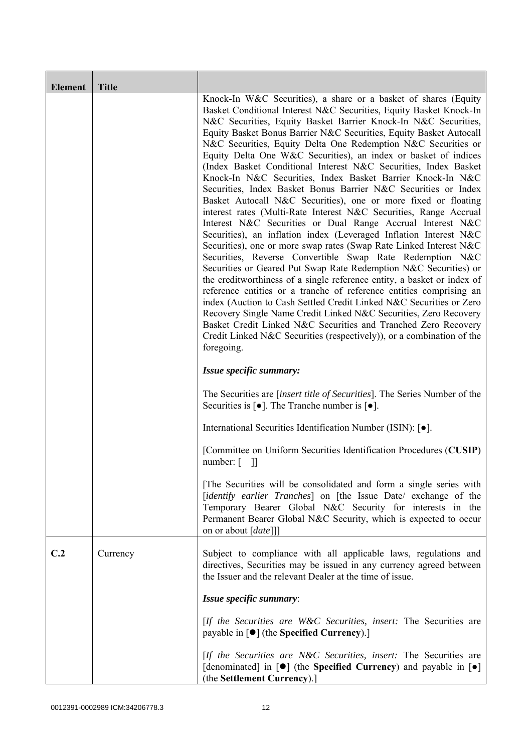| <b>Element</b> | <b>Title</b> |                                                                                                                                                                                                                                                                                                                                                                                                                                                                                                                                                                                                                                                                                                                                                                                                                                                                                                                                                                                                                                                                                                                                                                                                                                                                                                                                                                                                                                                                                                                                                            |
|----------------|--------------|------------------------------------------------------------------------------------------------------------------------------------------------------------------------------------------------------------------------------------------------------------------------------------------------------------------------------------------------------------------------------------------------------------------------------------------------------------------------------------------------------------------------------------------------------------------------------------------------------------------------------------------------------------------------------------------------------------------------------------------------------------------------------------------------------------------------------------------------------------------------------------------------------------------------------------------------------------------------------------------------------------------------------------------------------------------------------------------------------------------------------------------------------------------------------------------------------------------------------------------------------------------------------------------------------------------------------------------------------------------------------------------------------------------------------------------------------------------------------------------------------------------------------------------------------------|
|                |              | Knock-In W&C Securities), a share or a basket of shares (Equity<br>Basket Conditional Interest N&C Securities, Equity Basket Knock-In<br>N&C Securities, Equity Basket Barrier Knock-In N&C Securities,<br>Equity Basket Bonus Barrier N&C Securities, Equity Basket Autocall<br>N&C Securities, Equity Delta One Redemption N&C Securities or<br>Equity Delta One W&C Securities), an index or basket of indices<br>(Index Basket Conditional Interest N&C Securities, Index Basket<br>Knock-In N&C Securities, Index Basket Barrier Knock-In N&C<br>Securities, Index Basket Bonus Barrier N&C Securities or Index<br>Basket Autocall N&C Securities), one or more fixed or floating<br>interest rates (Multi-Rate Interest N&C Securities, Range Accrual<br>Interest N&C Securities or Dual Range Accrual Interest N&C<br>Securities), an inflation index (Leveraged Inflation Interest N&C<br>Securities), one or more swap rates (Swap Rate Linked Interest N&C<br>Securities, Reverse Convertible Swap Rate Redemption N&C<br>Securities or Geared Put Swap Rate Redemption N&C Securities) or<br>the creditworthiness of a single reference entity, a basket or index of<br>reference entities or a tranche of reference entities comprising an<br>index (Auction to Cash Settled Credit Linked N&C Securities or Zero<br>Recovery Single Name Credit Linked N&C Securities, Zero Recovery<br>Basket Credit Linked N&C Securities and Tranched Zero Recovery<br>Credit Linked N&C Securities (respectively)), or a combination of the<br>foregoing. |
|                |              | Issue specific summary:                                                                                                                                                                                                                                                                                                                                                                                                                                                                                                                                                                                                                                                                                                                                                                                                                                                                                                                                                                                                                                                                                                                                                                                                                                                                                                                                                                                                                                                                                                                                    |
|                |              | The Securities are <i>[insert title of Securities]</i> . The Series Number of the<br>Securities is $\lceil \bullet \rceil$ . The Tranche number is $\lceil \bullet \rceil$ .                                                                                                                                                                                                                                                                                                                                                                                                                                                                                                                                                                                                                                                                                                                                                                                                                                                                                                                                                                                                                                                                                                                                                                                                                                                                                                                                                                               |
|                |              | International Securities Identification Number (ISIN): [ $\bullet$ ].                                                                                                                                                                                                                                                                                                                                                                                                                                                                                                                                                                                                                                                                                                                                                                                                                                                                                                                                                                                                                                                                                                                                                                                                                                                                                                                                                                                                                                                                                      |
|                |              | [Committee on Uniform Securities Identification Procedures (CUSIP)<br>$number: [$ ]]                                                                                                                                                                                                                                                                                                                                                                                                                                                                                                                                                                                                                                                                                                                                                                                                                                                                                                                                                                                                                                                                                                                                                                                                                                                                                                                                                                                                                                                                       |
|                |              | The Securities will be consolidated and form a single series with<br>[identify earlier Tranches] on [the Issue Date/ exchange of the<br>Temporary Bearer Global N&C Security for interests in the<br>Permanent Bearer Global N&C Security, which is expected to occur<br>on or about [date]]]                                                                                                                                                                                                                                                                                                                                                                                                                                                                                                                                                                                                                                                                                                                                                                                                                                                                                                                                                                                                                                                                                                                                                                                                                                                              |
| C.2            | Currency     | Subject to compliance with all applicable laws, regulations and<br>directives, Securities may be issued in any currency agreed between<br>the Issuer and the relevant Dealer at the time of issue.                                                                                                                                                                                                                                                                                                                                                                                                                                                                                                                                                                                                                                                                                                                                                                                                                                                                                                                                                                                                                                                                                                                                                                                                                                                                                                                                                         |
|                |              | Issue specific summary:                                                                                                                                                                                                                                                                                                                                                                                                                                                                                                                                                                                                                                                                                                                                                                                                                                                                                                                                                                                                                                                                                                                                                                                                                                                                                                                                                                                                                                                                                                                                    |
|                |              | [If the Securities are W&C Securities, insert: The Securities are<br>payable in $\lceil \bullet \rceil$ (the Specified Currency).]                                                                                                                                                                                                                                                                                                                                                                                                                                                                                                                                                                                                                                                                                                                                                                                                                                                                                                                                                                                                                                                                                                                                                                                                                                                                                                                                                                                                                         |
|                |              | [If the Securities are N&C Securities, insert: The Securities are<br>[denominated] in $[\bullet]$ (the Specified Currency) and payable in $[\bullet]$<br>(the Settlement Currency).]                                                                                                                                                                                                                                                                                                                                                                                                                                                                                                                                                                                                                                                                                                                                                                                                                                                                                                                                                                                                                                                                                                                                                                                                                                                                                                                                                                       |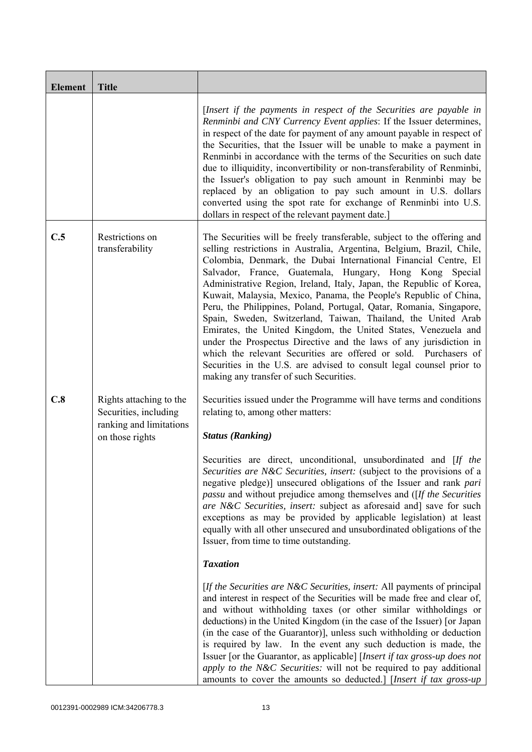| <b>Element</b> | <b>Title</b>                                                                                   |                                                                                                                                                                                                                                                                                                                                                                                                                                                                                                                                                                                                                                                                                                                                                                                                                                                                                                    |
|----------------|------------------------------------------------------------------------------------------------|----------------------------------------------------------------------------------------------------------------------------------------------------------------------------------------------------------------------------------------------------------------------------------------------------------------------------------------------------------------------------------------------------------------------------------------------------------------------------------------------------------------------------------------------------------------------------------------------------------------------------------------------------------------------------------------------------------------------------------------------------------------------------------------------------------------------------------------------------------------------------------------------------|
|                |                                                                                                | [Insert if the payments in respect of the Securities are payable in<br>Renminbi and CNY Currency Event applies: If the Issuer determines,<br>in respect of the date for payment of any amount payable in respect of<br>the Securities, that the Issuer will be unable to make a payment in<br>Renminbi in accordance with the terms of the Securities on such date<br>due to illiquidity, inconvertibility or non-transferability of Renminbi,<br>the Issuer's obligation to pay such amount in Renminbi may be<br>replaced by an obligation to pay such amount in U.S. dollars<br>converted using the spot rate for exchange of Renminbi into U.S.<br>dollars in respect of the relevant payment date.]                                                                                                                                                                                           |
| C.5            | Restrictions on<br>transferability                                                             | The Securities will be freely transferable, subject to the offering and<br>selling restrictions in Australia, Argentina, Belgium, Brazil, Chile,<br>Colombia, Denmark, the Dubai International Financial Centre, El<br>Salvador, France, Guatemala, Hungary, Hong Kong Special<br>Administrative Region, Ireland, Italy, Japan, the Republic of Korea,<br>Kuwait, Malaysia, Mexico, Panama, the People's Republic of China,<br>Peru, the Philippines, Poland, Portugal, Qatar, Romania, Singapore,<br>Spain, Sweden, Switzerland, Taiwan, Thailand, the United Arab<br>Emirates, the United Kingdom, the United States, Venezuela and<br>under the Prospectus Directive and the laws of any jurisdiction in<br>which the relevant Securities are offered or sold. Purchasers of<br>Securities in the U.S. are advised to consult legal counsel prior to<br>making any transfer of such Securities. |
| C.8            | Rights attaching to the<br>Securities, including<br>ranking and limitations<br>on those rights | Securities issued under the Programme will have terms and conditions<br>relating to, among other matters:<br><b>Status (Ranking)</b>                                                                                                                                                                                                                                                                                                                                                                                                                                                                                                                                                                                                                                                                                                                                                               |
|                |                                                                                                | Securities are direct, unconditional, unsubordinated and [If the<br>Securities are N&C Securities, insert: (subject to the provisions of a<br>negative pledge)] unsecured obligations of the Issuer and rank pari<br><i>passu</i> and without prejudice among themselves and ([If the Securities]<br>are N&C Securities, insert: subject as aforesaid and] save for such<br>exceptions as may be provided by applicable legislation) at least<br>equally with all other unsecured and unsubordinated obligations of the<br>Issuer, from time to time outstanding.                                                                                                                                                                                                                                                                                                                                  |
|                |                                                                                                | <b>Taxation</b>                                                                                                                                                                                                                                                                                                                                                                                                                                                                                                                                                                                                                                                                                                                                                                                                                                                                                    |
|                |                                                                                                | [If the Securities are N&C Securities, insert: All payments of principal<br>and interest in respect of the Securities will be made free and clear of,<br>and without withholding taxes (or other similar withholdings or<br>deductions) in the United Kingdom (in the case of the Issuer) [or Japan<br>(in the case of the Guarantor)], unless such withholding or deduction<br>is required by law. In the event any such deduction is made, the<br>Issuer [or the Guarantor, as applicable] [Insert if tax gross-up does not<br>apply to the N&C Securities: will not be required to pay additional<br>amounts to cover the amounts so deducted.] [Insert if tax gross-up                                                                                                                                                                                                                         |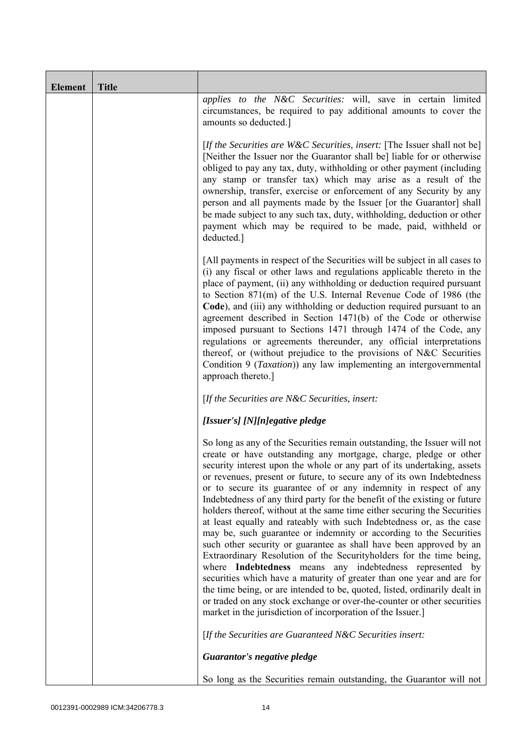| <b>Element</b> | <b>Title</b> |                                                                                                                                                                                                                                                                                                                                                                                                                                                                                                                                                                                                                                                                                                                                                                                                                                                                                                                                                                                                                                                                                                                                                                                       |
|----------------|--------------|---------------------------------------------------------------------------------------------------------------------------------------------------------------------------------------------------------------------------------------------------------------------------------------------------------------------------------------------------------------------------------------------------------------------------------------------------------------------------------------------------------------------------------------------------------------------------------------------------------------------------------------------------------------------------------------------------------------------------------------------------------------------------------------------------------------------------------------------------------------------------------------------------------------------------------------------------------------------------------------------------------------------------------------------------------------------------------------------------------------------------------------------------------------------------------------|
|                |              | applies to the N&C Securities: will, save in certain limited<br>circumstances, be required to pay additional amounts to cover the<br>amounts so deducted.]                                                                                                                                                                                                                                                                                                                                                                                                                                                                                                                                                                                                                                                                                                                                                                                                                                                                                                                                                                                                                            |
|                |              | [If the Securities are W&C Securities, insert: [The Issuer shall not be]<br>[Neither the Issuer nor the Guarantor shall be] liable for or otherwise<br>obliged to pay any tax, duty, withholding or other payment (including<br>any stamp or transfer tax) which may arise as a result of the<br>ownership, transfer, exercise or enforcement of any Security by any<br>person and all payments made by the Issuer [or the Guarantor] shall<br>be made subject to any such tax, duty, withholding, deduction or other<br>payment which may be required to be made, paid, withheld or<br>deducted.]                                                                                                                                                                                                                                                                                                                                                                                                                                                                                                                                                                                    |
|                |              | [All payments in respect of the Securities will be subject in all cases to<br>(i) any fiscal or other laws and regulations applicable thereto in the<br>place of payment, (ii) any withholding or deduction required pursuant<br>to Section 871(m) of the U.S. Internal Revenue Code of 1986 (the<br>Code), and (iii) any withholding or deduction required pursuant to an<br>agreement described in Section 1471(b) of the Code or otherwise<br>imposed pursuant to Sections 1471 through 1474 of the Code, any<br>regulations or agreements thereunder, any official interpretations<br>thereof, or (without prejudice to the provisions of N&C Securities<br>Condition 9 (Taxation)) any law implementing an intergovernmental<br>approach thereto.]                                                                                                                                                                                                                                                                                                                                                                                                                               |
|                |              | [If the Securities are $N\&C$ Securities, insert:                                                                                                                                                                                                                                                                                                                                                                                                                                                                                                                                                                                                                                                                                                                                                                                                                                                                                                                                                                                                                                                                                                                                     |
|                |              | [Issuer's] [N][n]egative pledge                                                                                                                                                                                                                                                                                                                                                                                                                                                                                                                                                                                                                                                                                                                                                                                                                                                                                                                                                                                                                                                                                                                                                       |
|                |              | So long as any of the Securities remain outstanding, the Issuer will not<br>create or have outstanding any mortgage, charge, pledge or other<br>security interest upon the whole or any part of its undertaking, assets<br>or revenues, present or future, to secure any of its own Indebtedness<br>or to secure its guarantee of or any indemnity in respect of any<br>Indebtedness of any third party for the benefit of the existing or future<br>holders thereof, without at the same time either securing the Securities<br>at least equally and rateably with such Indebtedness or, as the case<br>may be, such guarantee or indemnity or according to the Securities<br>such other security or guarantee as shall have been approved by an<br>Extraordinary Resolution of the Securityholders for the time being,<br>where Indebtedness means any indebtedness represented by<br>securities which have a maturity of greater than one year and are for<br>the time being, or are intended to be, quoted, listed, ordinarily dealt in<br>or traded on any stock exchange or over-the-counter or other securities<br>market in the jurisdiction of incorporation of the Issuer.] |
|                |              | [If the Securities are Guaranteed N&C Securities insert:                                                                                                                                                                                                                                                                                                                                                                                                                                                                                                                                                                                                                                                                                                                                                                                                                                                                                                                                                                                                                                                                                                                              |
|                |              | Guarantor's negative pledge                                                                                                                                                                                                                                                                                                                                                                                                                                                                                                                                                                                                                                                                                                                                                                                                                                                                                                                                                                                                                                                                                                                                                           |
|                |              | So long as the Securities remain outstanding, the Guarantor will not                                                                                                                                                                                                                                                                                                                                                                                                                                                                                                                                                                                                                                                                                                                                                                                                                                                                                                                                                                                                                                                                                                                  |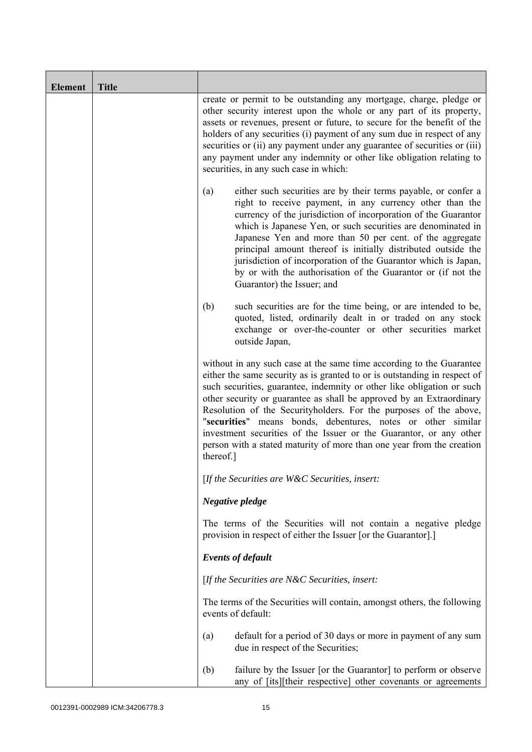| <b>Element</b> | <b>Title</b> |                                                                                                                                                                                                                                                                                                                                                                                                                                                                                                                                                                                                      |
|----------------|--------------|------------------------------------------------------------------------------------------------------------------------------------------------------------------------------------------------------------------------------------------------------------------------------------------------------------------------------------------------------------------------------------------------------------------------------------------------------------------------------------------------------------------------------------------------------------------------------------------------------|
|                |              | create or permit to be outstanding any mortgage, charge, pledge or<br>other security interest upon the whole or any part of its property,<br>assets or revenues, present or future, to secure for the benefit of the<br>holders of any securities (i) payment of any sum due in respect of any<br>securities or (ii) any payment under any guarantee of securities or (iii)<br>any payment under any indemnity or other like obligation relating to<br>securities, in any such case in which:                                                                                                        |
|                |              | either such securities are by their terms payable, or confer a<br>(a)<br>right to receive payment, in any currency other than the<br>currency of the jurisdiction of incorporation of the Guarantor<br>which is Japanese Yen, or such securities are denominated in<br>Japanese Yen and more than 50 per cent. of the aggregate<br>principal amount thereof is initially distributed outside the<br>jurisdiction of incorporation of the Guarantor which is Japan,<br>by or with the authorisation of the Guarantor or (if not the<br>Guarantor) the Issuer; and                                     |
|                |              | (b)<br>such securities are for the time being, or are intended to be,<br>quoted, listed, ordinarily dealt in or traded on any stock<br>exchange or over-the-counter or other securities market<br>outside Japan,                                                                                                                                                                                                                                                                                                                                                                                     |
|                |              | without in any such case at the same time according to the Guarantee<br>either the same security as is granted to or is outstanding in respect of<br>such securities, guarantee, indemnity or other like obligation or such<br>other security or guarantee as shall be approved by an Extraordinary<br>Resolution of the Securityholders. For the purposes of the above,<br>"securities" means bonds, debentures, notes or other similar<br>investment securities of the Issuer or the Guarantor, or any other<br>person with a stated maturity of more than one year from the creation<br>thereof.] |
|                |              | [If the Securities are W&C Securities, insert:                                                                                                                                                                                                                                                                                                                                                                                                                                                                                                                                                       |
|                |              | Negative pledge                                                                                                                                                                                                                                                                                                                                                                                                                                                                                                                                                                                      |
|                |              | The terms of the Securities will not contain a negative pledge<br>provision in respect of either the Issuer [or the Guarantor].]                                                                                                                                                                                                                                                                                                                                                                                                                                                                     |
|                |              | <b>Events of default</b>                                                                                                                                                                                                                                                                                                                                                                                                                                                                                                                                                                             |
|                |              | [If the Securities are $N\&C$ Securities, insert:                                                                                                                                                                                                                                                                                                                                                                                                                                                                                                                                                    |
|                |              | The terms of the Securities will contain, amongst others, the following<br>events of default:                                                                                                                                                                                                                                                                                                                                                                                                                                                                                                        |
|                |              | default for a period of 30 days or more in payment of any sum<br>(a)<br>due in respect of the Securities;                                                                                                                                                                                                                                                                                                                                                                                                                                                                                            |
|                |              | (b)<br>failure by the Issuer [or the Guarantor] to perform or observe<br>any of [its][their respective] other covenants or agreements                                                                                                                                                                                                                                                                                                                                                                                                                                                                |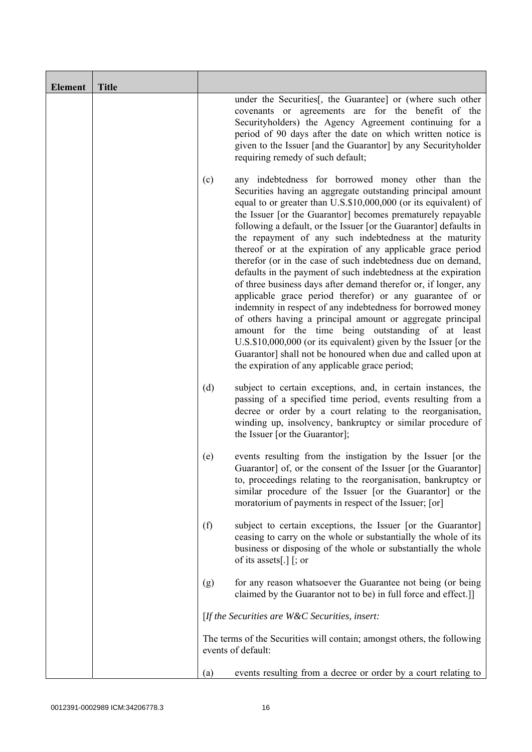| <b>Element</b> | <b>Title</b> |     |                                                                                                                                                                                                                                                                                                                                                                                                                                                                                                                                                                                                                                                                                                                                                                                                                                                                                                                                                                                                                                                                                             |
|----------------|--------------|-----|---------------------------------------------------------------------------------------------------------------------------------------------------------------------------------------------------------------------------------------------------------------------------------------------------------------------------------------------------------------------------------------------------------------------------------------------------------------------------------------------------------------------------------------------------------------------------------------------------------------------------------------------------------------------------------------------------------------------------------------------------------------------------------------------------------------------------------------------------------------------------------------------------------------------------------------------------------------------------------------------------------------------------------------------------------------------------------------------|
|                |              |     | under the Securities [, the Guarantee] or (where such other<br>covenants or agreements are for the benefit of the<br>Securityholders) the Agency Agreement continuing for a<br>period of 90 days after the date on which written notice is<br>given to the Issuer [and the Guarantor] by any Securityholder<br>requiring remedy of such default;                                                                                                                                                                                                                                                                                                                                                                                                                                                                                                                                                                                                                                                                                                                                            |
|                |              | (c) | any indebtedness for borrowed money other than the<br>Securities having an aggregate outstanding principal amount<br>equal to or greater than U.S.\$10,000,000 (or its equivalent) of<br>the Issuer [or the Guarantor] becomes prematurely repayable<br>following a default, or the Issuer [or the Guarantor] defaults in<br>the repayment of any such indebtedness at the maturity<br>thereof or at the expiration of any applicable grace period<br>therefor (or in the case of such indebtedness due on demand,<br>defaults in the payment of such indebtedness at the expiration<br>of three business days after demand therefor or, if longer, any<br>applicable grace period therefor) or any guarantee of or<br>indemnity in respect of any indebtedness for borrowed money<br>of others having a principal amount or aggregate principal<br>amount for the time being outstanding of at least<br>U.S.\$10,000,000 (or its equivalent) given by the Issuer [or the<br>Guarantor] shall not be honoured when due and called upon at<br>the expiration of any applicable grace period; |
|                |              | (d) | subject to certain exceptions, and, in certain instances, the<br>passing of a specified time period, events resulting from a<br>decree or order by a court relating to the reorganisation,<br>winding up, insolvency, bankruptcy or similar procedure of<br>the Issuer [or the Guarantor];                                                                                                                                                                                                                                                                                                                                                                                                                                                                                                                                                                                                                                                                                                                                                                                                  |
|                |              | (e) | events resulting from the instigation by the Issuer [or the<br>Guarantor] of, or the consent of the Issuer [or the Guarantor]<br>to, proceedings relating to the reorganisation, bankruptcy or<br>similar procedure of the Issuer [or the Guarantor] or the<br>moratorium of payments in respect of the Issuer; [or]                                                                                                                                                                                                                                                                                                                                                                                                                                                                                                                                                                                                                                                                                                                                                                        |
|                |              | (f) | subject to certain exceptions, the Issuer [or the Guarantor]<br>ceasing to carry on the whole or substantially the whole of its<br>business or disposing of the whole or substantially the whole<br>of its assets[.] $[$ ; or                                                                                                                                                                                                                                                                                                                                                                                                                                                                                                                                                                                                                                                                                                                                                                                                                                                               |
|                |              | (g) | for any reason whatsoever the Guarantee not being (or being<br>claimed by the Guarantor not to be) in full force and effect.]                                                                                                                                                                                                                                                                                                                                                                                                                                                                                                                                                                                                                                                                                                                                                                                                                                                                                                                                                               |
|                |              |     | [If the Securities are $W\&C$ Securities, insert:                                                                                                                                                                                                                                                                                                                                                                                                                                                                                                                                                                                                                                                                                                                                                                                                                                                                                                                                                                                                                                           |
|                |              |     | The terms of the Securities will contain; amongst others, the following<br>events of default:                                                                                                                                                                                                                                                                                                                                                                                                                                                                                                                                                                                                                                                                                                                                                                                                                                                                                                                                                                                               |
|                |              | (a) | events resulting from a decree or order by a court relating to                                                                                                                                                                                                                                                                                                                                                                                                                                                                                                                                                                                                                                                                                                                                                                                                                                                                                                                                                                                                                              |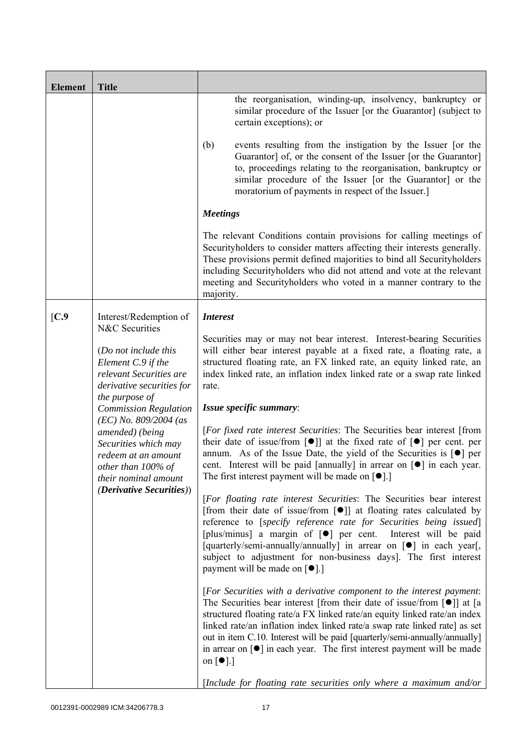| <b>Element</b>                                                                                                       | <b>Title</b>                                                                                                                                                                                                                                                                                                |                                                                                                                                                                                                                                                                                                                                                                                                                                                                                                                                |
|----------------------------------------------------------------------------------------------------------------------|-------------------------------------------------------------------------------------------------------------------------------------------------------------------------------------------------------------------------------------------------------------------------------------------------------------|--------------------------------------------------------------------------------------------------------------------------------------------------------------------------------------------------------------------------------------------------------------------------------------------------------------------------------------------------------------------------------------------------------------------------------------------------------------------------------------------------------------------------------|
|                                                                                                                      |                                                                                                                                                                                                                                                                                                             | the reorganisation, winding-up, insolvency, bankruptcy or<br>similar procedure of the Issuer [or the Guarantor] (subject to<br>certain exceptions); or                                                                                                                                                                                                                                                                                                                                                                         |
|                                                                                                                      |                                                                                                                                                                                                                                                                                                             | (b)<br>events resulting from the instigation by the Issuer [or the<br>Guarantor] of, or the consent of the Issuer [or the Guarantor]<br>to, proceedings relating to the reorganisation, bankruptcy or<br>similar procedure of the Issuer [or the Guarantor] or the<br>moratorium of payments in respect of the Issuer.]                                                                                                                                                                                                        |
|                                                                                                                      |                                                                                                                                                                                                                                                                                                             | <b>Meetings</b>                                                                                                                                                                                                                                                                                                                                                                                                                                                                                                                |
|                                                                                                                      |                                                                                                                                                                                                                                                                                                             | The relevant Conditions contain provisions for calling meetings of<br>Security holders to consider matters affecting their interests generally.<br>These provisions permit defined majorities to bind all Securityholders<br>including Securityholders who did not attend and vote at the relevant<br>meeting and Security holders who voted in a manner contrary to the<br>majority.                                                                                                                                          |
| [C.9]                                                                                                                | Interest/Redemption of                                                                                                                                                                                                                                                                                      | <b>Interest</b>                                                                                                                                                                                                                                                                                                                                                                                                                                                                                                                |
| N&C Securities<br>(Do not include this<br>Element C.9 if the<br>relevant Securities are<br>derivative securities for | Securities may or may not bear interest. Interest-bearing Securities<br>will either bear interest payable at a fixed rate, a floating rate, a<br>structured floating rate, an FX linked rate, an equity linked rate, an<br>index linked rate, an inflation index linked rate or a swap rate linked<br>rate. |                                                                                                                                                                                                                                                                                                                                                                                                                                                                                                                                |
|                                                                                                                      | the purpose of<br><b>Commission Regulation</b>                                                                                                                                                                                                                                                              | Issue specific summary:                                                                                                                                                                                                                                                                                                                                                                                                                                                                                                        |
|                                                                                                                      | $(EC)$ No. 809/2004 (as<br>amended) (being<br>Securities which may<br>redeem at an amount<br>other than 100% of<br>their nominal amount                                                                                                                                                                     | [For fixed rate interest Securities: The Securities bear interest [from<br>their date of issue/from $\lceil \bullet \rceil$ at the fixed rate of $\lceil \bullet \rceil$ per cent. per<br>annum. As of the Issue Date, the yield of the Securities is [ $\bullet$ ] per<br>cent. Interest will be paid [annually] in arrear on $\lceil \bullet \rceil$ in each year.<br>The first interest payment will be made on $[\bullet]$ .]                                                                                              |
|                                                                                                                      | <i>(Derivative Securities))</i>                                                                                                                                                                                                                                                                             | [For floating rate interest Securities: The Securities bear interest<br>[from their date of issue/from $\lceil \bullet \rceil$ ] at floating rates calculated by<br>reference to [specify reference rate for Securities being issued]<br>[plus/minus] a margin of [ $\bullet$ ] per cent. Interest will be paid<br>[quarterly/semi-annually/annually] in arrear on [ $\bullet$ ] in each year[,<br>subject to adjustment for non-business days]. The first interest<br>payment will be made on $\lceil \bullet \rceil$ .]      |
|                                                                                                                      |                                                                                                                                                                                                                                                                                                             | [For Securities with a derivative component to the interest payment:<br>The Securities bear interest [from their date of issue/from $[\bullet]$ ] at [a<br>structured floating rate/a FX linked rate/an equity linked rate/an index<br>linked rate/an inflation index linked rate/a swap rate linked rate] as set<br>out in item C.10. Interest will be paid [quarterly/semi-annually/annually]<br>in arrear on $\lceil \bullet \rceil$ in each year. The first interest payment will be made<br>on $\lceil \bullet \rceil$ .] |
|                                                                                                                      |                                                                                                                                                                                                                                                                                                             | [Include for floating rate securities only where a maximum and/or                                                                                                                                                                                                                                                                                                                                                                                                                                                              |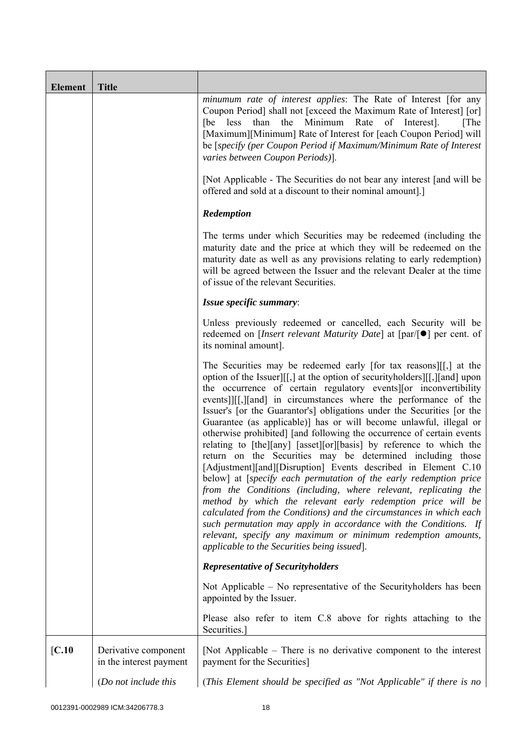| <b>Element</b> | <b>Title</b>                                    |                                                                                                                                                                                                                                                                                                                                                                                                                                                                                                                                                                                                                                                                                                                                                                                                                                                                                                                                                                                                                                                                                                                                                                                       |
|----------------|-------------------------------------------------|---------------------------------------------------------------------------------------------------------------------------------------------------------------------------------------------------------------------------------------------------------------------------------------------------------------------------------------------------------------------------------------------------------------------------------------------------------------------------------------------------------------------------------------------------------------------------------------------------------------------------------------------------------------------------------------------------------------------------------------------------------------------------------------------------------------------------------------------------------------------------------------------------------------------------------------------------------------------------------------------------------------------------------------------------------------------------------------------------------------------------------------------------------------------------------------|
|                |                                                 | minumum rate of interest applies: The Rate of Interest [for any<br>Coupon Period] shall not [exceed the Maximum Rate of Interest] [or]<br>than the Minimum<br>Rate<br>of<br>Interest].<br>[The]<br>[be less<br>[Maximum][Minimum] Rate of Interest for [each Coupon Period] will<br>be [specify (per Coupon Period if Maximum/Minimum Rate of Interest<br>varies between Coupon Periods)].                                                                                                                                                                                                                                                                                                                                                                                                                                                                                                                                                                                                                                                                                                                                                                                            |
|                |                                                 | [Not Applicable - The Securities do not bear any interest [and will be<br>offered and sold at a discount to their nominal amount].]                                                                                                                                                                                                                                                                                                                                                                                                                                                                                                                                                                                                                                                                                                                                                                                                                                                                                                                                                                                                                                                   |
|                |                                                 | Redemption                                                                                                                                                                                                                                                                                                                                                                                                                                                                                                                                                                                                                                                                                                                                                                                                                                                                                                                                                                                                                                                                                                                                                                            |
|                |                                                 | The terms under which Securities may be redeemed (including the<br>maturity date and the price at which they will be redeemed on the<br>maturity date as well as any provisions relating to early redemption)<br>will be agreed between the Issuer and the relevant Dealer at the time<br>of issue of the relevant Securities.                                                                                                                                                                                                                                                                                                                                                                                                                                                                                                                                                                                                                                                                                                                                                                                                                                                        |
|                |                                                 | Issue specific summary:                                                                                                                                                                                                                                                                                                                                                                                                                                                                                                                                                                                                                                                                                                                                                                                                                                                                                                                                                                                                                                                                                                                                                               |
|                |                                                 | Unless previously redeemed or cancelled, each Security will be<br>redeemed on <i>[Insert relevant Maturity Date]</i> at $\lceil par/\rceil \bullet \rceil$ per cent. of<br>its nominal amount].                                                                                                                                                                                                                                                                                                                                                                                                                                                                                                                                                                                                                                                                                                                                                                                                                                                                                                                                                                                       |
|                |                                                 | The Securities may be redeemed early [for tax reasons][[,] at the<br>option of the Issuer][[,] at the option of security holders][[,][and] upon<br>the occurrence of certain regulatory events or inconvertibility<br>events]][[,][and] in circumstances where the performance of the<br>Issuer's [or the Guarantor's] obligations under the Securities [or the<br>Guarantee (as applicable)] has or will become unlawful, illegal or<br>otherwise prohibited] [and following the occurrence of certain events<br>relating to [the][any] [asset][or][basis] by reference to which the<br>return on the Securities may be determined including those<br>[Adjustment][and][Disruption] Events described in Element C.10<br>below] at [specify each permutation of the early redemption price<br>from the Conditions (including, where relevant, replicating the<br>method by which the relevant early redemption price will be<br>calculated from the Conditions) and the circumstances in which each<br>such permutation may apply in accordance with the Conditions. If<br>relevant, specify any maximum or minimum redemption amounts,<br>applicable to the Securities being issued. |
|                |                                                 | <b>Representative of Securityholders</b>                                                                                                                                                                                                                                                                                                                                                                                                                                                                                                                                                                                                                                                                                                                                                                                                                                                                                                                                                                                                                                                                                                                                              |
|                |                                                 | Not Applicable – No representative of the Security holders has been<br>appointed by the Issuer.                                                                                                                                                                                                                                                                                                                                                                                                                                                                                                                                                                                                                                                                                                                                                                                                                                                                                                                                                                                                                                                                                       |
|                |                                                 | Please also refer to item C.8 above for rights attaching to the<br>Securities.]                                                                                                                                                                                                                                                                                                                                                                                                                                                                                                                                                                                                                                                                                                                                                                                                                                                                                                                                                                                                                                                                                                       |
| [C.10]         | Derivative component<br>in the interest payment | [Not Applicable – There is no derivative component to the interest<br>payment for the Securities]                                                                                                                                                                                                                                                                                                                                                                                                                                                                                                                                                                                                                                                                                                                                                                                                                                                                                                                                                                                                                                                                                     |
|                | (Do not include this                            | (This Element should be specified as "Not Applicable" if there is no                                                                                                                                                                                                                                                                                                                                                                                                                                                                                                                                                                                                                                                                                                                                                                                                                                                                                                                                                                                                                                                                                                                  |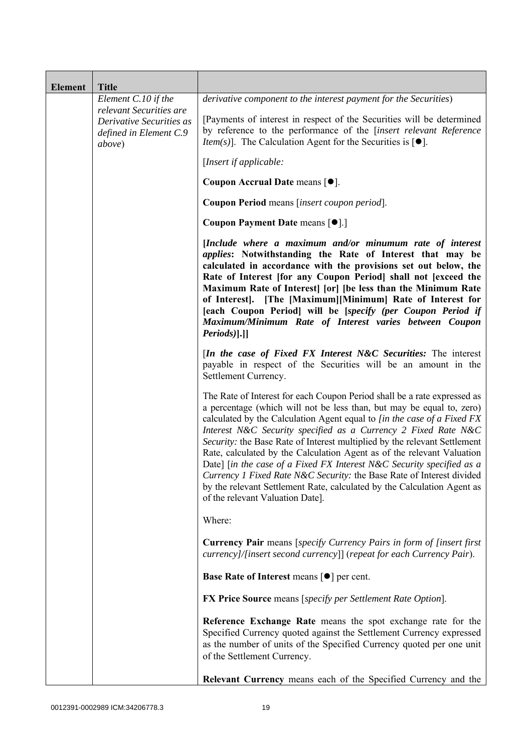| <b>Element</b> | <b>Title</b>                                                                                    |                                                                                                                                                                                                                                                                                                                                                                                                                                                                                                                                                                                                                                                                                                                                   |
|----------------|-------------------------------------------------------------------------------------------------|-----------------------------------------------------------------------------------------------------------------------------------------------------------------------------------------------------------------------------------------------------------------------------------------------------------------------------------------------------------------------------------------------------------------------------------------------------------------------------------------------------------------------------------------------------------------------------------------------------------------------------------------------------------------------------------------------------------------------------------|
|                | Element $C.10$ if the                                                                           | derivative component to the interest payment for the Securities)                                                                                                                                                                                                                                                                                                                                                                                                                                                                                                                                                                                                                                                                  |
|                | relevant Securities are<br>Derivative Securities as<br>defined in Element C.9<br><i>above</i> ) | [Payments of interest in respect of the Securities will be determined<br>by reference to the performance of the [insert relevant Reference<br><i>Item(s)</i> ]. The Calculation Agent for the Securities is $[•]$ .                                                                                                                                                                                                                                                                                                                                                                                                                                                                                                               |
|                |                                                                                                 | [Insert if applicable:                                                                                                                                                                                                                                                                                                                                                                                                                                                                                                                                                                                                                                                                                                            |
|                |                                                                                                 | Coupon Accrual Date means [ $\bullet$ ].                                                                                                                                                                                                                                                                                                                                                                                                                                                                                                                                                                                                                                                                                          |
|                |                                                                                                 | Coupon Period means [insert coupon period].                                                                                                                                                                                                                                                                                                                                                                                                                                                                                                                                                                                                                                                                                       |
|                |                                                                                                 | Coupon Payment Date means [ $\bullet$ ].]                                                                                                                                                                                                                                                                                                                                                                                                                                                                                                                                                                                                                                                                                         |
|                |                                                                                                 | [Include where a maximum and/or minumum rate of interest<br><i>applies:</i> Notwithstanding the Rate of Interest that may be<br>calculated in accordance with the provisions set out below, the<br>Rate of Interest [for any Coupon Period] shall not [exceed the<br>Maximum Rate of Interest [or] [be less than the Minimum Rate<br>of Interest]. [The [Maximum][Minimum] Rate of Interest for<br>[each Coupon Period] will be [specify (per Coupon Period if<br>Maximum/Minimum Rate of Interest varies between Coupon<br>$Periods$ ].]                                                                                                                                                                                         |
|                |                                                                                                 | <i>In the case of Fixed FX Interest N&amp;C Securities:</i> The interest<br>payable in respect of the Securities will be an amount in the<br>Settlement Currency.                                                                                                                                                                                                                                                                                                                                                                                                                                                                                                                                                                 |
|                |                                                                                                 | The Rate of Interest for each Coupon Period shall be a rate expressed as<br>a percentage (which will not be less than, but may be equal to, zero)<br>calculated by the Calculation Agent equal to [in the case of a Fixed FX<br>Interest N&C Security specified as a Currency 2 Fixed Rate N&C<br>Security: the Base Rate of Interest multiplied by the relevant Settlement<br>Rate, calculated by the Calculation Agent as of the relevant Valuation<br>Date] [in the case of a Fixed FX Interest N&C Security specified as a<br><i>Currency 1 Fixed Rate N&amp;C Security:</i> the Base Rate of Interest divided<br>by the relevant Settlement Rate, calculated by the Calculation Agent as<br>of the relevant Valuation Date]. |
|                |                                                                                                 | Where:                                                                                                                                                                                                                                                                                                                                                                                                                                                                                                                                                                                                                                                                                                                            |
|                |                                                                                                 | <b>Currency Pair</b> means [specify Currency Pairs in form of [insert first]<br>currency]/[insert second currency]] (repeat for each Currency Pair).                                                                                                                                                                                                                                                                                                                                                                                                                                                                                                                                                                              |
|                |                                                                                                 | Base Rate of Interest means [ $\bullet$ ] per cent.                                                                                                                                                                                                                                                                                                                                                                                                                                                                                                                                                                                                                                                                               |
|                |                                                                                                 | <b>FX Price Source</b> means [specify per Settlement Rate Option].                                                                                                                                                                                                                                                                                                                                                                                                                                                                                                                                                                                                                                                                |
|                |                                                                                                 | Reference Exchange Rate means the spot exchange rate for the<br>Specified Currency quoted against the Settlement Currency expressed<br>as the number of units of the Specified Currency quoted per one unit<br>of the Settlement Currency.                                                                                                                                                                                                                                                                                                                                                                                                                                                                                        |
|                |                                                                                                 | Relevant Currency means each of the Specified Currency and the                                                                                                                                                                                                                                                                                                                                                                                                                                                                                                                                                                                                                                                                    |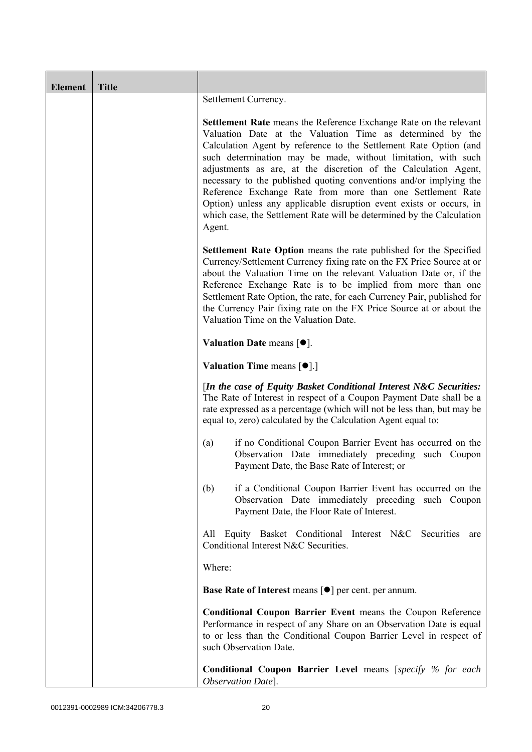| <b>Element</b> | <b>Title</b> |                                                                                                                                                                                                                                                                                                                                                                                                                                                                                                                                                                                                                                              |
|----------------|--------------|----------------------------------------------------------------------------------------------------------------------------------------------------------------------------------------------------------------------------------------------------------------------------------------------------------------------------------------------------------------------------------------------------------------------------------------------------------------------------------------------------------------------------------------------------------------------------------------------------------------------------------------------|
|                |              | Settlement Currency.                                                                                                                                                                                                                                                                                                                                                                                                                                                                                                                                                                                                                         |
|                |              | <b>Settlement Rate</b> means the Reference Exchange Rate on the relevant<br>Valuation Date at the Valuation Time as determined by the<br>Calculation Agent by reference to the Settlement Rate Option (and<br>such determination may be made, without limitation, with such<br>adjustments as are, at the discretion of the Calculation Agent,<br>necessary to the published quoting conventions and/or implying the<br>Reference Exchange Rate from more than one Settlement Rate<br>Option) unless any applicable disruption event exists or occurs, in<br>which case, the Settlement Rate will be determined by the Calculation<br>Agent. |
|                |              | Settlement Rate Option means the rate published for the Specified<br>Currency/Settlement Currency fixing rate on the FX Price Source at or<br>about the Valuation Time on the relevant Valuation Date or, if the<br>Reference Exchange Rate is to be implied from more than one<br>Settlement Rate Option, the rate, for each Currency Pair, published for<br>the Currency Pair fixing rate on the FX Price Source at or about the<br>Valuation Time on the Valuation Date.                                                                                                                                                                  |
|                |              | Valuation Date means $[•]$ .                                                                                                                                                                                                                                                                                                                                                                                                                                                                                                                                                                                                                 |
|                |              | Valuation Time means [ $\bullet$ ].]                                                                                                                                                                                                                                                                                                                                                                                                                                                                                                                                                                                                         |
|                |              | [In the case of Equity Basket Conditional Interest N&C Securities:<br>The Rate of Interest in respect of a Coupon Payment Date shall be a<br>rate expressed as a percentage (which will not be less than, but may be<br>equal to, zero) calculated by the Calculation Agent equal to:                                                                                                                                                                                                                                                                                                                                                        |
|                |              | if no Conditional Coupon Barrier Event has occurred on the<br>(a)<br>Observation Date immediately preceding such Coupon<br>Payment Date, the Base Rate of Interest; or                                                                                                                                                                                                                                                                                                                                                                                                                                                                       |
|                |              | if a Conditional Coupon Barrier Event has occurred on the<br>(b)<br>Observation Date immediately preceding such Coupon<br>Payment Date, the Floor Rate of Interest.                                                                                                                                                                                                                                                                                                                                                                                                                                                                          |
|                |              | All Equity Basket Conditional Interest N&C Securities<br>are<br>Conditional Interest N&C Securities.                                                                                                                                                                                                                                                                                                                                                                                                                                                                                                                                         |
|                |              | Where:                                                                                                                                                                                                                                                                                                                                                                                                                                                                                                                                                                                                                                       |
|                |              | <b>Base Rate of Interest means <math>\lceil \bullet \rceil</math> per cent. per annum.</b>                                                                                                                                                                                                                                                                                                                                                                                                                                                                                                                                                   |
|                |              | <b>Conditional Coupon Barrier Event means the Coupon Reference</b><br>Performance in respect of any Share on an Observation Date is equal<br>to or less than the Conditional Coupon Barrier Level in respect of<br>such Observation Date.                                                                                                                                                                                                                                                                                                                                                                                                    |
|                |              | <b>Conditional Coupon Barrier Level means [specify % for each</b><br>Observation Date].                                                                                                                                                                                                                                                                                                                                                                                                                                                                                                                                                      |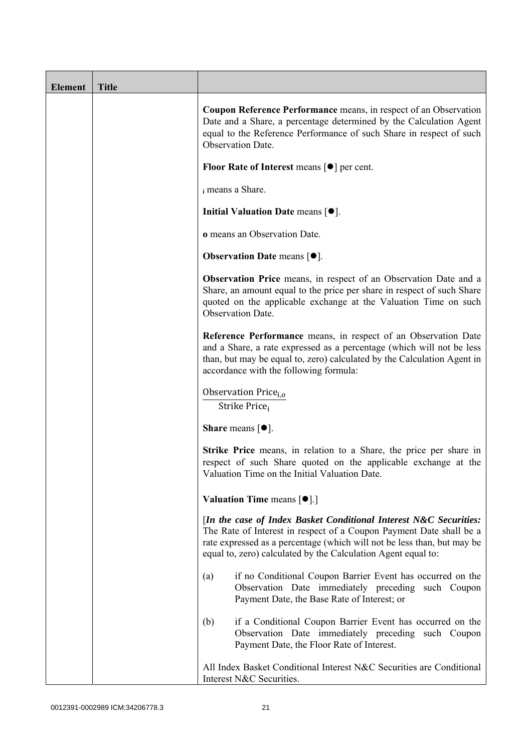| <b>Element</b> | <b>Title</b> |                                                                                                                                                                                                                                                                                      |
|----------------|--------------|--------------------------------------------------------------------------------------------------------------------------------------------------------------------------------------------------------------------------------------------------------------------------------------|
|                |              | <b>Coupon Reference Performance</b> means, in respect of an Observation<br>Date and a Share, a percentage determined by the Calculation Agent<br>equal to the Reference Performance of such Share in respect of such<br><b>Observation Date.</b>                                     |
|                |              | <b>Floor Rate of Interest means <math>\lceil \bullet \rceil</math> per cent.</b>                                                                                                                                                                                                     |
|                |              | i means a Share.                                                                                                                                                                                                                                                                     |
|                |              | Initial Valuation Date means [ $\bullet$ ].                                                                                                                                                                                                                                          |
|                |              | o means an Observation Date.                                                                                                                                                                                                                                                         |
|                |              | <b>Observation Date means <math>[\bullet]</math>.</b>                                                                                                                                                                                                                                |
|                |              | Observation Price means, in respect of an Observation Date and a<br>Share, an amount equal to the price per share in respect of such Share<br>quoted on the applicable exchange at the Valuation Time on such<br>Observation Date.                                                   |
|                |              | Reference Performance means, in respect of an Observation Date<br>and a Share, a rate expressed as a percentage (which will not be less<br>than, but may be equal to, zero) calculated by the Calculation Agent in<br>accordance with the following formula:                         |
|                |              | Observation Price <sub>i.o</sub><br>Strike Price <sub>i</sub>                                                                                                                                                                                                                        |
|                |              | <b>Share</b> means $[①]$ .                                                                                                                                                                                                                                                           |
|                |              | <b>Strike Price</b> means, in relation to a Share, the price per share in<br>respect of such Share quoted on the applicable exchange at the<br>Valuation Time on the Initial Valuation Date.                                                                                         |
|                |              | <b>Valuation Time means <math>\lceil \bullet \rceil</math>.</b>                                                                                                                                                                                                                      |
|                |              | [In the case of Index Basket Conditional Interest N&C Securities:<br>The Rate of Interest in respect of a Coupon Payment Date shall be a<br>rate expressed as a percentage (which will not be less than, but may be<br>equal to, zero) calculated by the Calculation Agent equal to: |
|                |              | if no Conditional Coupon Barrier Event has occurred on the<br>(a)<br>Observation Date immediately preceding such Coupon<br>Payment Date, the Base Rate of Interest; or                                                                                                               |
|                |              | if a Conditional Coupon Barrier Event has occurred on the<br>(b)<br>Observation Date immediately preceding such Coupon<br>Payment Date, the Floor Rate of Interest.                                                                                                                  |
|                |              | All Index Basket Conditional Interest N&C Securities are Conditional<br>Interest N&C Securities.                                                                                                                                                                                     |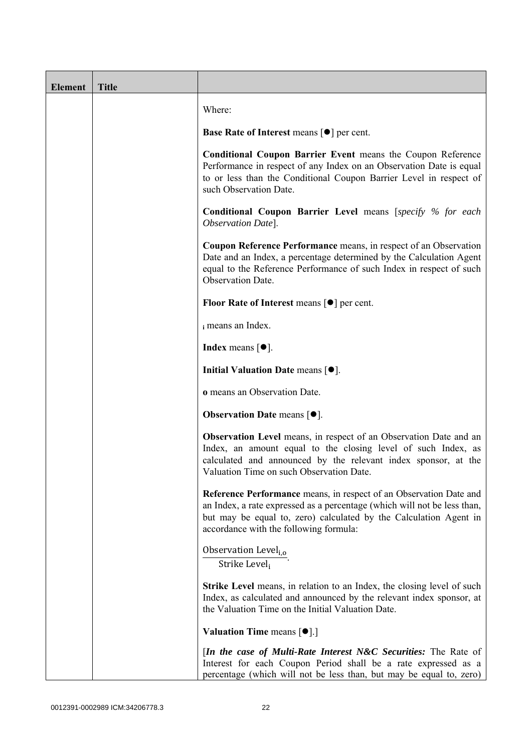| <b>Element</b> | <b>Title</b> |                                                                                                                                                                                                                                                                      |
|----------------|--------------|----------------------------------------------------------------------------------------------------------------------------------------------------------------------------------------------------------------------------------------------------------------------|
|                |              | Where:                                                                                                                                                                                                                                                               |
|                |              | <b>Base Rate of Interest means <math>\lceil \bullet \rceil</math> per cent.</b>                                                                                                                                                                                      |
|                |              | <b>Conditional Coupon Barrier Event means the Coupon Reference</b><br>Performance in respect of any Index on an Observation Date is equal<br>to or less than the Conditional Coupon Barrier Level in respect of<br>such Observation Date.                            |
|                |              | <b>Conditional Coupon Barrier Level means [specify % for each</b><br>Observation Date].                                                                                                                                                                              |
|                |              | Coupon Reference Performance means, in respect of an Observation<br>Date and an Index, a percentage determined by the Calculation Agent<br>equal to the Reference Performance of such Index in respect of such<br>Observation Date.                                  |
|                |              | <b>Floor Rate of Interest means <math>\lceil \bullet \rceil</math> per cent.</b>                                                                                                                                                                                     |
|                |              | i means an Index.                                                                                                                                                                                                                                                    |
|                |              | <b>Index</b> means $\lceil \bullet \rceil$ .                                                                                                                                                                                                                         |
|                |              | Initial Valuation Date means $[•]$ .                                                                                                                                                                                                                                 |
|                |              | o means an Observation Date.                                                                                                                                                                                                                                         |
|                |              | <b>Observation Date means <math>\lceil \bullet \rceil</math>.</b>                                                                                                                                                                                                    |
|                |              | <b>Observation Level</b> means, in respect of an Observation Date and an<br>Index, an amount equal to the closing level of such Index, as<br>calculated and announced by the relevant index sponsor, at the<br>Valuation Time on such Observation Date.              |
|                |              | <b>Reference Performance</b> means, in respect of an Observation Date and<br>an Index, a rate expressed as a percentage (which will not be less than,<br>but may be equal to, zero) calculated by the Calculation Agent in<br>accordance with the following formula: |
|                |              | Observation Level <sub>i,o</sub><br>Strike Level,                                                                                                                                                                                                                    |
|                |              | <b>Strike Level</b> means, in relation to an Index, the closing level of such<br>Index, as calculated and announced by the relevant index sponsor, at<br>the Valuation Time on the Initial Valuation Date.                                                           |
|                |              | <b>Valuation Time means <math>[\bullet]</math>.</b> ]                                                                                                                                                                                                                |
|                |              | <i>In the case of Multi-Rate Interest N&amp;C Securities:</i> The Rate of<br>Interest for each Coupon Period shall be a rate expressed as a<br>percentage (which will not be less than, but may be equal to, zero)                                                   |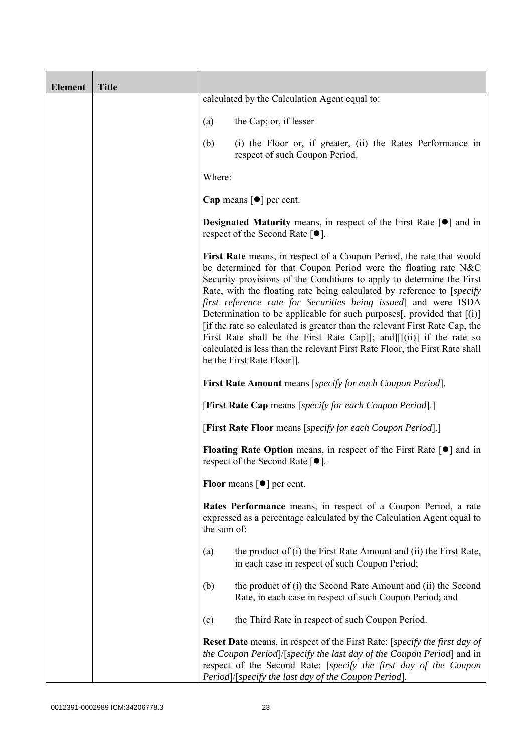| <b>Element</b> | <b>Title</b> |                                                                                                                                                                                                                                                                                                                                                                                                                                                                                                                                                                                                                                                                                                                   |
|----------------|--------------|-------------------------------------------------------------------------------------------------------------------------------------------------------------------------------------------------------------------------------------------------------------------------------------------------------------------------------------------------------------------------------------------------------------------------------------------------------------------------------------------------------------------------------------------------------------------------------------------------------------------------------------------------------------------------------------------------------------------|
|                |              | calculated by the Calculation Agent equal to:                                                                                                                                                                                                                                                                                                                                                                                                                                                                                                                                                                                                                                                                     |
|                |              | the Cap; or, if lesser<br>(a)                                                                                                                                                                                                                                                                                                                                                                                                                                                                                                                                                                                                                                                                                     |
|                |              | (b)<br>(i) the Floor or, if greater, (ii) the Rates Performance in<br>respect of such Coupon Period.                                                                                                                                                                                                                                                                                                                                                                                                                                                                                                                                                                                                              |
|                |              | Where:                                                                                                                                                                                                                                                                                                                                                                                                                                                                                                                                                                                                                                                                                                            |
|                |              | Cap means $\lceil \bullet \rceil$ per cent.                                                                                                                                                                                                                                                                                                                                                                                                                                                                                                                                                                                                                                                                       |
|                |              | <b>Designated Maturity</b> means, in respect of the First Rate $[\bullet]$ and in<br>respect of the Second Rate $[•]$ .                                                                                                                                                                                                                                                                                                                                                                                                                                                                                                                                                                                           |
|                |              | First Rate means, in respect of a Coupon Period, the rate that would<br>be determined for that Coupon Period were the floating rate N&C<br>Security provisions of the Conditions to apply to determine the First<br>Rate, with the floating rate being calculated by reference to [specify]<br>first reference rate for Securities being issued] and were ISDA<br>Determination to be applicable for such purposes[, provided that $[(i)]$<br>[if the rate so calculated is greater than the relevant First Rate Cap, the<br>First Rate shall be the First Rate Cap][; and][ $[(ii)]$ if the rate so<br>calculated is less than the relevant First Rate Floor, the First Rate shall<br>be the First Rate Floor]]. |
|                |              | <b>First Rate Amount</b> means [specify for each Coupon Period].                                                                                                                                                                                                                                                                                                                                                                                                                                                                                                                                                                                                                                                  |
|                |              | [First Rate Cap means [specify for each Coupon Period].]                                                                                                                                                                                                                                                                                                                                                                                                                                                                                                                                                                                                                                                          |
|                |              | [First Rate Floor means [specify for each Coupon Period].]                                                                                                                                                                                                                                                                                                                                                                                                                                                                                                                                                                                                                                                        |
|                |              | <b>Floating Rate Option</b> means, in respect of the First Rate $\lceil \bullet \rceil$ and in<br>respect of the Second Rate [●].                                                                                                                                                                                                                                                                                                                                                                                                                                                                                                                                                                                 |
|                |              | <b>Floor</b> means $\lceil \bullet \rceil$ per cent.                                                                                                                                                                                                                                                                                                                                                                                                                                                                                                                                                                                                                                                              |
|                |              | Rates Performance means, in respect of a Coupon Period, a rate<br>expressed as a percentage calculated by the Calculation Agent equal to<br>the sum of:                                                                                                                                                                                                                                                                                                                                                                                                                                                                                                                                                           |
|                |              | the product of (i) the First Rate Amount and (ii) the First Rate,<br>(a)<br>in each case in respect of such Coupon Period;                                                                                                                                                                                                                                                                                                                                                                                                                                                                                                                                                                                        |
|                |              | the product of (i) the Second Rate Amount and (ii) the Second<br>(b)<br>Rate, in each case in respect of such Coupon Period; and                                                                                                                                                                                                                                                                                                                                                                                                                                                                                                                                                                                  |
|                |              | the Third Rate in respect of such Coupon Period.<br>(c)                                                                                                                                                                                                                                                                                                                                                                                                                                                                                                                                                                                                                                                           |
|                |              | Reset Date means, in respect of the First Rate: [specify the first day of<br>the Coupon Period /[specify the last day of the Coupon Period] and in<br>respect of the Second Rate: [specify the first day of the Coupon<br>Period]/[specify the last day of the Coupon Period].                                                                                                                                                                                                                                                                                                                                                                                                                                    |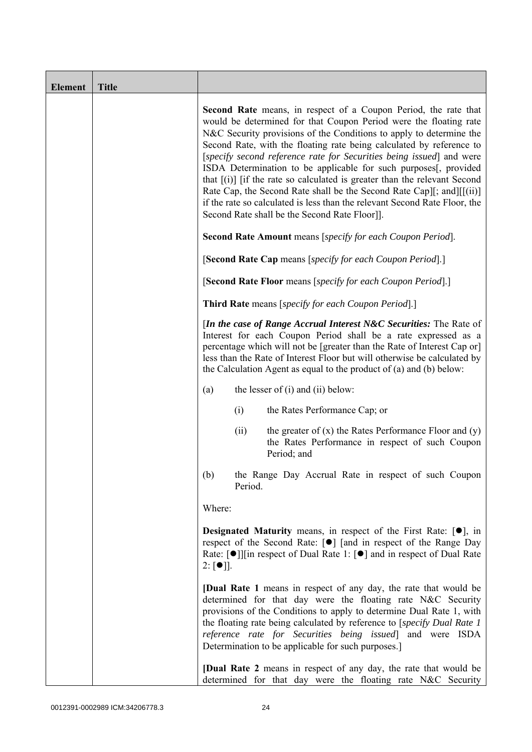| <b>Element</b> | <b>Title</b> |                                                                                                                                                                                                                                                                                                                                                                                                                                                                                                                                                                                                                                                                                                                              |
|----------------|--------------|------------------------------------------------------------------------------------------------------------------------------------------------------------------------------------------------------------------------------------------------------------------------------------------------------------------------------------------------------------------------------------------------------------------------------------------------------------------------------------------------------------------------------------------------------------------------------------------------------------------------------------------------------------------------------------------------------------------------------|
|                |              | <b>Second Rate</b> means, in respect of a Coupon Period, the rate that<br>would be determined for that Coupon Period were the floating rate<br>N&C Security provisions of the Conditions to apply to determine the<br>Second Rate, with the floating rate being calculated by reference to<br>[specify second reference rate for Securities being issued] and were<br>ISDA Determination to be applicable for such purposes[, provided<br>that $[(i)]$ if the rate so calculated is greater than the relevant Second<br>Rate Cap, the Second Rate shall be the Second Rate Cap][; and][[(ii)]<br>if the rate so calculated is less than the relevant Second Rate Floor, the<br>Second Rate shall be the Second Rate Floor]]. |
|                |              | <b>Second Rate Amount</b> means [specify for each Coupon Period].                                                                                                                                                                                                                                                                                                                                                                                                                                                                                                                                                                                                                                                            |
|                |              | [Second Rate Cap means [specify for each Coupon Period].]                                                                                                                                                                                                                                                                                                                                                                                                                                                                                                                                                                                                                                                                    |
|                |              | [Second Rate Floor means [specify for each Coupon Period].]                                                                                                                                                                                                                                                                                                                                                                                                                                                                                                                                                                                                                                                                  |
|                |              | <b>Third Rate</b> means [specify for each Coupon Period].]                                                                                                                                                                                                                                                                                                                                                                                                                                                                                                                                                                                                                                                                   |
|                |              | [In the case of Range Accrual Interest N&C Securities: The Rate of<br>Interest for each Coupon Period shall be a rate expressed as a<br>percentage which will not be [greater than the Rate of Interest Cap or]<br>less than the Rate of Interest Floor but will otherwise be calculated by<br>the Calculation Agent as equal to the product of $(a)$ and $(b)$ below:                                                                                                                                                                                                                                                                                                                                                       |
|                |              | the lesser of $(i)$ and $(ii)$ below:<br>(a)                                                                                                                                                                                                                                                                                                                                                                                                                                                                                                                                                                                                                                                                                 |
|                |              | (i)<br>the Rates Performance Cap; or                                                                                                                                                                                                                                                                                                                                                                                                                                                                                                                                                                                                                                                                                         |
|                |              | the greater of $(x)$ the Rates Performance Floor and $(y)$<br>(ii)<br>the Rates Performance in respect of such Coupon<br>Period; and                                                                                                                                                                                                                                                                                                                                                                                                                                                                                                                                                                                         |
|                |              | (b)<br>the Range Day Accrual Rate in respect of such Coupon<br>Period.                                                                                                                                                                                                                                                                                                                                                                                                                                                                                                                                                                                                                                                       |
|                |              | Where:                                                                                                                                                                                                                                                                                                                                                                                                                                                                                                                                                                                                                                                                                                                       |
|                |              | <b>Designated Maturity means, in respect of the First Rate:</b> $[•]$ , in<br>respect of the Second Rate: [●] [and in respect of the Range Day<br>Rate: [●]][in respect of Dual Rate 1: [●] and in respect of Dual Rate<br>$2: [\bullet]$ .                                                                                                                                                                                                                                                                                                                                                                                                                                                                                  |
|                |              | <b>[Dual Rate 1</b> means in respect of any day, the rate that would be<br>determined for that day were the floating rate N&C Security<br>provisions of the Conditions to apply to determine Dual Rate 1, with<br>the floating rate being calculated by reference to [specify Dual Rate 1<br>reference rate for Securities being issued] and were ISDA<br>Determination to be applicable for such purposes.]                                                                                                                                                                                                                                                                                                                 |
|                |              | <b>[Dual Rate 2</b> means in respect of any day, the rate that would be<br>determined for that day were the floating rate N&C Security                                                                                                                                                                                                                                                                                                                                                                                                                                                                                                                                                                                       |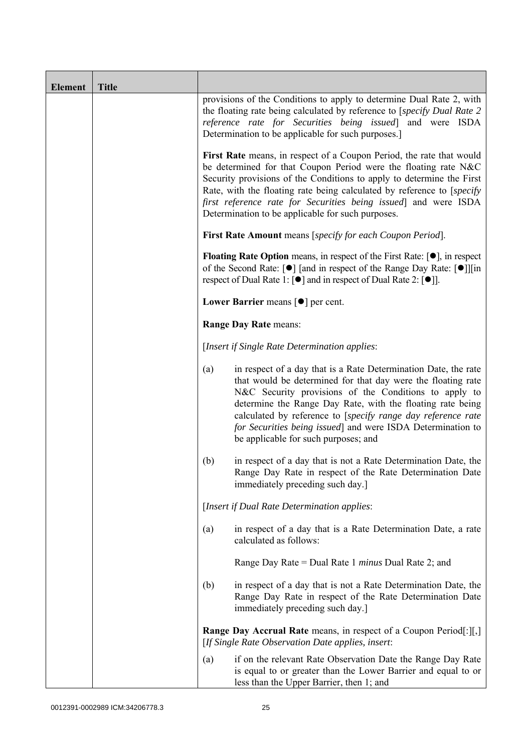| <b>Element</b> | <b>Title</b> |                                                                                                                                                                                                                                                                                                                                                                                                                                      |  |
|----------------|--------------|--------------------------------------------------------------------------------------------------------------------------------------------------------------------------------------------------------------------------------------------------------------------------------------------------------------------------------------------------------------------------------------------------------------------------------------|--|
|                |              | provisions of the Conditions to apply to determine Dual Rate 2, with<br>the floating rate being calculated by reference to [specify Dual Rate 2<br>reference rate for Securities being issued] and were ISDA<br>Determination to be applicable for such purposes.]                                                                                                                                                                   |  |
|                |              | First Rate means, in respect of a Coupon Period, the rate that would<br>be determined for that Coupon Period were the floating rate N&C<br>Security provisions of the Conditions to apply to determine the First<br>Rate, with the floating rate being calculated by reference to [specify]<br>first reference rate for Securities being issued and were ISDA<br>Determination to be applicable for such purposes.                   |  |
|                |              | <b>First Rate Amount</b> means [specify for each Coupon Period].                                                                                                                                                                                                                                                                                                                                                                     |  |
|                |              | <b>Floating Rate Option</b> means, in respect of the First Rate: $[•]$ , in respect<br>of the Second Rate: [ $\bullet$ ] [and in respect of the Range Day Rate: [ $\bullet$ ]][in<br>respect of Dual Rate 1: [ <sup>●</sup> ] and in respect of Dual Rate 2: [ <sup>●</sup> ]].                                                                                                                                                      |  |
|                |              | Lower Barrier means $\lceil \bullet \rceil$ per cent.                                                                                                                                                                                                                                                                                                                                                                                |  |
|                |              | Range Day Rate means:                                                                                                                                                                                                                                                                                                                                                                                                                |  |
|                |              | [Insert if Single Rate Determination applies:                                                                                                                                                                                                                                                                                                                                                                                        |  |
|                |              | in respect of a day that is a Rate Determination Date, the rate<br>(a)<br>that would be determined for that day were the floating rate<br>N&C Security provisions of the Conditions to apply to<br>determine the Range Day Rate, with the floating rate being<br>calculated by reference to [specify range day reference rate<br>for Securities being issued] and were ISDA Determination to<br>be applicable for such purposes; and |  |
|                |              | (b)<br>in respect of a day that is not a Rate Determination Date, the<br>Range Day Rate in respect of the Rate Determination Date<br>immediately preceding such day.]                                                                                                                                                                                                                                                                |  |
|                |              | [Insert if Dual Rate Determination applies:                                                                                                                                                                                                                                                                                                                                                                                          |  |
|                |              | in respect of a day that is a Rate Determination Date, a rate<br>(a)<br>calculated as follows:                                                                                                                                                                                                                                                                                                                                       |  |
|                |              | Range Day Rate = Dual Rate 1 minus Dual Rate 2; and                                                                                                                                                                                                                                                                                                                                                                                  |  |
|                |              | (b)<br>in respect of a day that is not a Rate Determination Date, the<br>Range Day Rate in respect of the Rate Determination Date<br>immediately preceding such day.]                                                                                                                                                                                                                                                                |  |
|                |              | <b>Range Day Accrual Rate</b> means, in respect of a Coupon Period[:][,]<br>[If Single Rate Observation Date applies, insert:                                                                                                                                                                                                                                                                                                        |  |
|                |              | if on the relevant Rate Observation Date the Range Day Rate<br>(a)<br>is equal to or greater than the Lower Barrier and equal to or<br>less than the Upper Barrier, then 1; and                                                                                                                                                                                                                                                      |  |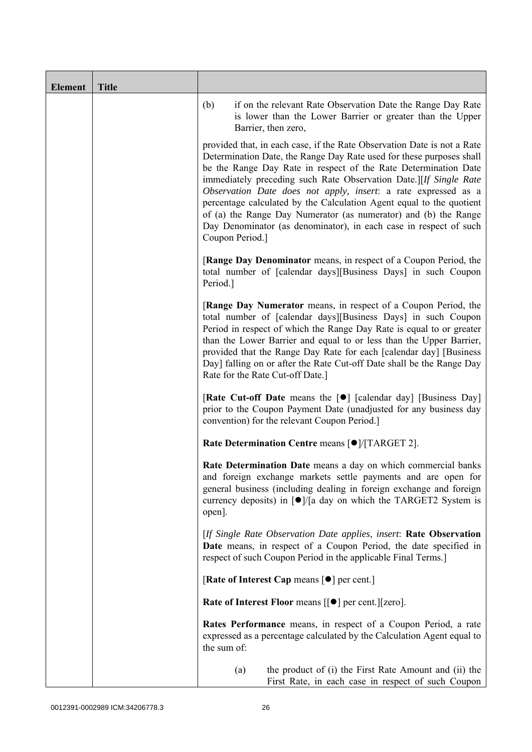| <b>Element</b> | <b>Title</b> |                                                                                                                                                                                                                                                                                                                                                                                                                                                                                                                                                                                              |
|----------------|--------------|----------------------------------------------------------------------------------------------------------------------------------------------------------------------------------------------------------------------------------------------------------------------------------------------------------------------------------------------------------------------------------------------------------------------------------------------------------------------------------------------------------------------------------------------------------------------------------------------|
|                |              | if on the relevant Rate Observation Date the Range Day Rate<br>(b)<br>is lower than the Lower Barrier or greater than the Upper<br>Barrier, then zero,                                                                                                                                                                                                                                                                                                                                                                                                                                       |
|                |              | provided that, in each case, if the Rate Observation Date is not a Rate<br>Determination Date, the Range Day Rate used for these purposes shall<br>be the Range Day Rate in respect of the Rate Determination Date<br>immediately preceding such Rate Observation Date.][If Single Rate<br>Observation Date does not apply, insert: a rate expressed as a<br>percentage calculated by the Calculation Agent equal to the quotient<br>of (a) the Range Day Numerator (as numerator) and (b) the Range<br>Day Denominator (as denominator), in each case in respect of such<br>Coupon Period.] |
|                |              | [Range Day Denominator means, in respect of a Coupon Period, the<br>total number of [calendar days][Business Days] in such Coupon<br>Period.]                                                                                                                                                                                                                                                                                                                                                                                                                                                |
|                |              | [Range Day Numerator means, in respect of a Coupon Period, the<br>total number of [calendar days][Business Days] in such Coupon<br>Period in respect of which the Range Day Rate is equal to or greater<br>than the Lower Barrier and equal to or less than the Upper Barrier,<br>provided that the Range Day Rate for each [calendar day] [Business<br>Day] falling on or after the Rate Cut-off Date shall be the Range Day<br>Rate for the Rate Cut-off Date.]                                                                                                                            |
|                |              | [Rate Cut-off Date means the [ $\bullet$ ] [calendar day] [Business Day]<br>prior to the Coupon Payment Date (unadjusted for any business day<br>convention) for the relevant Coupon Period.                                                                                                                                                                                                                                                                                                                                                                                                 |
|                |              | Rate Determination Centre means [ $\bullet$ ]/[TARGET 2].                                                                                                                                                                                                                                                                                                                                                                                                                                                                                                                                    |
|                |              | Rate Determination Date means a day on which commercial banks<br>and foreign exchange markets settle payments and are open for<br>general business (including dealing in foreign exchange and foreign<br>currency deposits) in $\lceil \bullet \rceil$ a day on which the TARGET2 System is<br>open].                                                                                                                                                                                                                                                                                        |
|                |              | [If Single Rate Observation Date applies, insert: Rate Observation<br>Date means, in respect of a Coupon Period, the date specified in<br>respect of such Coupon Period in the applicable Final Terms.]                                                                                                                                                                                                                                                                                                                                                                                      |
|                |              | [Rate of Interest Cap means $\lceil \bullet \rceil$ per cent.]                                                                                                                                                                                                                                                                                                                                                                                                                                                                                                                               |
|                |              | <b>Rate of Interest Floor means <math>\lceil \bullet \rceil</math> per cent. <math>\lceil \cdot \rceil</math> zero.</b>                                                                                                                                                                                                                                                                                                                                                                                                                                                                      |
|                |              | Rates Performance means, in respect of a Coupon Period, a rate<br>expressed as a percentage calculated by the Calculation Agent equal to<br>the sum of:                                                                                                                                                                                                                                                                                                                                                                                                                                      |
|                |              | the product of (i) the First Rate Amount and (ii) the<br>(a)<br>First Rate, in each case in respect of such Coupon                                                                                                                                                                                                                                                                                                                                                                                                                                                                           |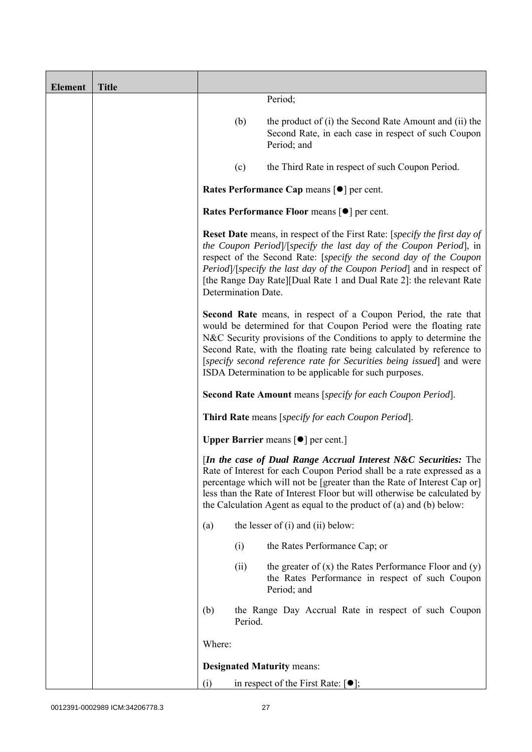| <b>Element</b> | <b>Title</b> |        |                     |                                                                                                                                                                                                                                                                                                                                                                                                                       |
|----------------|--------------|--------|---------------------|-----------------------------------------------------------------------------------------------------------------------------------------------------------------------------------------------------------------------------------------------------------------------------------------------------------------------------------------------------------------------------------------------------------------------|
|                |              |        |                     | Period;                                                                                                                                                                                                                                                                                                                                                                                                               |
|                |              |        | (b)                 | the product of (i) the Second Rate Amount and (ii) the<br>Second Rate, in each case in respect of such Coupon<br>Period; and                                                                                                                                                                                                                                                                                          |
|                |              |        | (c)                 | the Third Rate in respect of such Coupon Period.                                                                                                                                                                                                                                                                                                                                                                      |
|                |              |        |                     | Rates Performance Cap means [ $\bullet$ ] per cent.                                                                                                                                                                                                                                                                                                                                                                   |
|                |              |        |                     | Rates Performance Floor means [ $\bullet$ ] per cent.                                                                                                                                                                                                                                                                                                                                                                 |
|                |              |        | Determination Date. | <b>Reset Date</b> means, in respect of the First Rate: [specify the first day of<br>the Coupon Period /[specify the last day of the Coupon Period], in<br>respect of the Second Rate: [specify the second day of the Coupon<br>Period]/[specify the last day of the Coupon Period] and in respect of<br>[the Range Day Rate][Dual Rate 1 and Dual Rate 2]: the relevant Rate                                          |
|                |              |        |                     | Second Rate means, in respect of a Coupon Period, the rate that<br>would be determined for that Coupon Period were the floating rate<br>N&C Security provisions of the Conditions to apply to determine the<br>Second Rate, with the floating rate being calculated by reference to<br>[specify second reference rate for Securities being issued] and were<br>ISDA Determination to be applicable for such purposes. |
|                |              |        |                     | <b>Second Rate Amount</b> means [specify for each Coupon Period].                                                                                                                                                                                                                                                                                                                                                     |
|                |              |        |                     | Third Rate means [specify for each Coupon Period].                                                                                                                                                                                                                                                                                                                                                                    |
|                |              |        |                     | <b>Upper Barrier</b> means $\lceil \bullet \rceil$ per cent.                                                                                                                                                                                                                                                                                                                                                          |
|                |              |        |                     | [In the case of Dual Range Accrual Interest N&C Securities: The<br>Rate of Interest for each Coupon Period shall be a rate expressed as a<br>percentage which will not be [greater than the Rate of Interest Cap or]<br>less than the Rate of Interest Floor but will otherwise be calculated by<br>the Calculation Agent as equal to the product of (a) and (b) below:                                               |
|                |              | (a)    |                     | the lesser of $(i)$ and $(ii)$ below:                                                                                                                                                                                                                                                                                                                                                                                 |
|                |              |        | (i)                 | the Rates Performance Cap; or                                                                                                                                                                                                                                                                                                                                                                                         |
|                |              |        | (ii)                | the greater of $(x)$ the Rates Performance Floor and $(y)$<br>the Rates Performance in respect of such Coupon<br>Period; and                                                                                                                                                                                                                                                                                          |
|                |              | (b)    | Period.             | the Range Day Accrual Rate in respect of such Coupon                                                                                                                                                                                                                                                                                                                                                                  |
|                |              | Where: |                     |                                                                                                                                                                                                                                                                                                                                                                                                                       |
|                |              |        |                     | <b>Designated Maturity means:</b>                                                                                                                                                                                                                                                                                                                                                                                     |
|                |              | (i)    |                     | in respect of the First Rate: $[•]$ ;                                                                                                                                                                                                                                                                                                                                                                                 |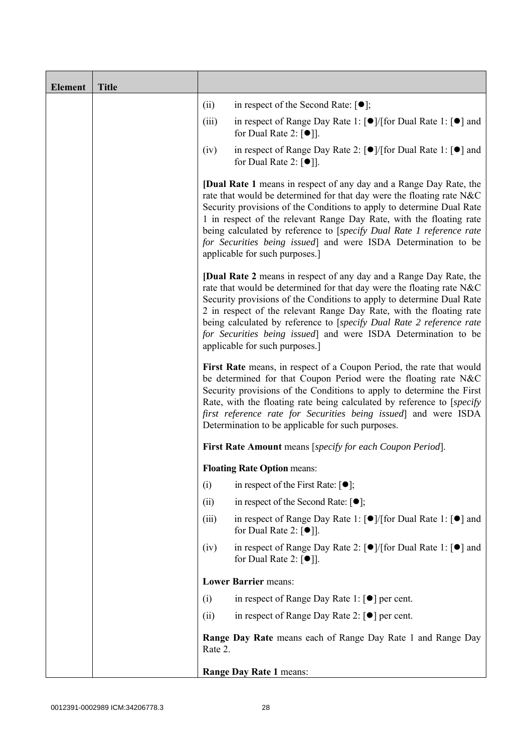| <b>Element</b> | <b>Title</b> |         |                                                                                                                                                                                                                                                                                                                                                                                                                                                                                |
|----------------|--------------|---------|--------------------------------------------------------------------------------------------------------------------------------------------------------------------------------------------------------------------------------------------------------------------------------------------------------------------------------------------------------------------------------------------------------------------------------------------------------------------------------|
|                |              | (ii)    | in respect of the Second Rate: $[•]$ ;                                                                                                                                                                                                                                                                                                                                                                                                                                         |
|                |              | (iii)   | in respect of Range Day Rate 1: $\lceil \bullet \rceil / \lceil \text{for Dual Rate 1} \rceil \rceil$ and<br>for Dual Rate 2: $\lceil \bullet \rceil$ .                                                                                                                                                                                                                                                                                                                        |
|                |              | (iv)    | in respect of Range Day Rate 2: [●]/[for Dual Rate 1: [●] and<br>for Dual Rate 2: $[①$ ].                                                                                                                                                                                                                                                                                                                                                                                      |
|                |              |         | <b>[Dual Rate 1</b> means in respect of any day and a Range Day Rate, the<br>rate that would be determined for that day were the floating rate N&C<br>Security provisions of the Conditions to apply to determine Dual Rate<br>1 in respect of the relevant Range Day Rate, with the floating rate<br>being calculated by reference to [specify Dual Rate 1 reference rate<br>for Securities being issued] and were ISDA Determination to be<br>applicable for such purposes.] |
|                |              |         | <b>[Dual Rate 2</b> means in respect of any day and a Range Day Rate, the<br>rate that would be determined for that day were the floating rate N&C<br>Security provisions of the Conditions to apply to determine Dual Rate<br>2 in respect of the relevant Range Day Rate, with the floating rate<br>being calculated by reference to [specify Dual Rate 2 reference rate<br>for Securities being issued] and were ISDA Determination to be<br>applicable for such purposes.] |
|                |              |         | First Rate means, in respect of a Coupon Period, the rate that would<br>be determined for that Coupon Period were the floating rate N&C<br>Security provisions of the Conditions to apply to determine the First<br>Rate, with the floating rate being calculated by reference to [specify]<br>first reference rate for Securities being issued] and were ISDA<br>Determination to be applicable for such purposes.                                                            |
|                |              |         | First Rate Amount means [specify for each Coupon Period].                                                                                                                                                                                                                                                                                                                                                                                                                      |
|                |              |         | <b>Floating Rate Option means:</b>                                                                                                                                                                                                                                                                                                                                                                                                                                             |
|                |              | (i)     | in respect of the First Rate: $[•]$ ;                                                                                                                                                                                                                                                                                                                                                                                                                                          |
|                |              | (ii)    | in respect of the Second Rate: $[•]$ ;                                                                                                                                                                                                                                                                                                                                                                                                                                         |
|                |              | (iii)   | in respect of Range Day Rate 1: $\lceil \bullet \rceil / \lceil \text{for Dual Rate 1} \rceil \rceil$ and<br>for Dual Rate 2: $[•]$ ].                                                                                                                                                                                                                                                                                                                                         |
|                |              | (iv)    | in respect of Range Day Rate 2: $\lceil \bullet \rceil / \lceil \text{for Dual Rate 1} \rceil \rceil$ and<br>for Dual Rate 2: $\lceil \bullet \rceil$ .                                                                                                                                                                                                                                                                                                                        |
|                |              |         | <b>Lower Barrier means:</b>                                                                                                                                                                                                                                                                                                                                                                                                                                                    |
|                |              | (i)     | in respect of Range Day Rate 1: $\lceil \bullet \rceil$ per cent.                                                                                                                                                                                                                                                                                                                                                                                                              |
|                |              | (ii)    | in respect of Range Day Rate 2: $\lceil \bullet \rceil$ per cent.                                                                                                                                                                                                                                                                                                                                                                                                              |
|                |              | Rate 2. | <b>Range Day Rate</b> means each of Range Day Rate 1 and Range Day                                                                                                                                                                                                                                                                                                                                                                                                             |
|                |              |         | Range Day Rate 1 means:                                                                                                                                                                                                                                                                                                                                                                                                                                                        |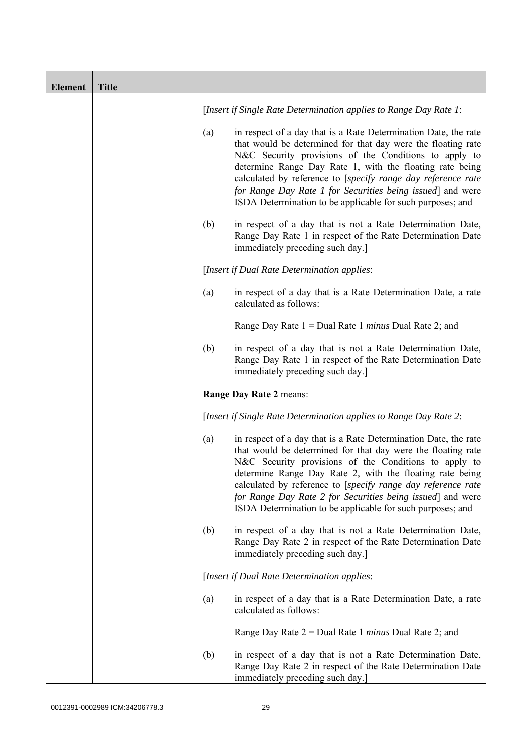| <b>Element</b> | <b>Title</b> |     |                                                                                                                                                                                                                                                                                                                                                                                                                                                  |
|----------------|--------------|-----|--------------------------------------------------------------------------------------------------------------------------------------------------------------------------------------------------------------------------------------------------------------------------------------------------------------------------------------------------------------------------------------------------------------------------------------------------|
|                |              |     | [Insert if Single Rate Determination applies to Range Day Rate 1:                                                                                                                                                                                                                                                                                                                                                                                |
|                |              | (a) | in respect of a day that is a Rate Determination Date, the rate<br>that would be determined for that day were the floating rate<br>N&C Security provisions of the Conditions to apply to<br>determine Range Day Rate 1, with the floating rate being<br>calculated by reference to [specify range day reference rate<br>for Range Day Rate 1 for Securities being issued] and were<br>ISDA Determination to be applicable for such purposes; and |
|                |              | (b) | in respect of a day that is not a Rate Determination Date,<br>Range Day Rate 1 in respect of the Rate Determination Date<br>immediately preceding such day.]                                                                                                                                                                                                                                                                                     |
|                |              |     | [Insert if Dual Rate Determination applies:                                                                                                                                                                                                                                                                                                                                                                                                      |
|                |              | (a) | in respect of a day that is a Rate Determination Date, a rate<br>calculated as follows:                                                                                                                                                                                                                                                                                                                                                          |
|                |              |     | Range Day Rate $1 =$ Dual Rate 1 <i>minus</i> Dual Rate 2; and                                                                                                                                                                                                                                                                                                                                                                                   |
|                |              | (b) | in respect of a day that is not a Rate Determination Date,<br>Range Day Rate 1 in respect of the Rate Determination Date<br>immediately preceding such day.]                                                                                                                                                                                                                                                                                     |
|                |              |     | Range Day Rate 2 means:                                                                                                                                                                                                                                                                                                                                                                                                                          |
|                |              |     | [Insert if Single Rate Determination applies to Range Day Rate 2:                                                                                                                                                                                                                                                                                                                                                                                |
|                |              | (a) | in respect of a day that is a Rate Determination Date, the rate<br>that would be determined for that day were the floating rate<br>N&C Security provisions of the Conditions to apply to<br>determine Range Day Rate 2, with the floating rate being<br>calculated by reference to [specify range day reference rate<br>for Range Day Rate 2 for Securities being issued] and were<br>ISDA Determination to be applicable for such purposes; and |
|                |              | (b) | in respect of a day that is not a Rate Determination Date,<br>Range Day Rate 2 in respect of the Rate Determination Date<br>immediately preceding such day.]                                                                                                                                                                                                                                                                                     |
|                |              |     | [Insert if Dual Rate Determination applies:                                                                                                                                                                                                                                                                                                                                                                                                      |
|                |              | (a) | in respect of a day that is a Rate Determination Date, a rate<br>calculated as follows:                                                                                                                                                                                                                                                                                                                                                          |
|                |              |     | Range Day Rate $2 =$ Dual Rate 1 <i>minus</i> Dual Rate 2; and                                                                                                                                                                                                                                                                                                                                                                                   |
|                |              | (b) | in respect of a day that is not a Rate Determination Date,<br>Range Day Rate 2 in respect of the Rate Determination Date<br>immediately preceding such day.]                                                                                                                                                                                                                                                                                     |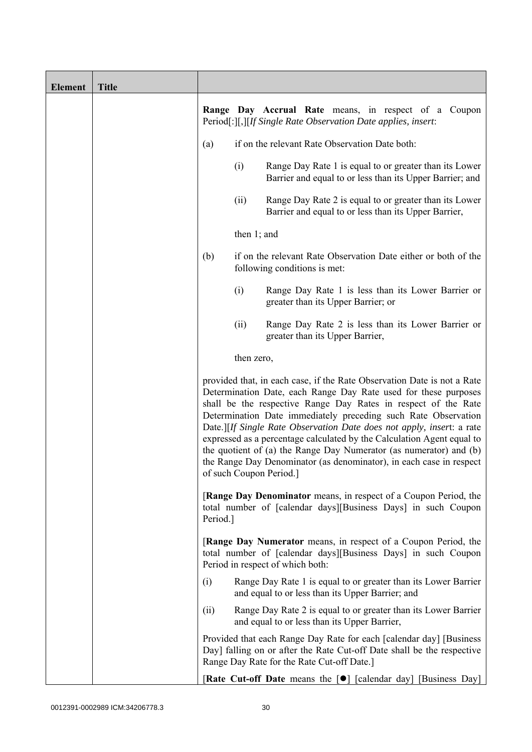| <b>Element</b> | <b>Title</b> |          |                |                                                                                                                                                                                                                                                                                                                                                                                                                                                                                                                                                                                                          |
|----------------|--------------|----------|----------------|----------------------------------------------------------------------------------------------------------------------------------------------------------------------------------------------------------------------------------------------------------------------------------------------------------------------------------------------------------------------------------------------------------------------------------------------------------------------------------------------------------------------------------------------------------------------------------------------------------|
|                |              |          |                | <b>Range Day Accrual Rate</b> means, in respect of a Coupon<br>Period[:][,][If Single Rate Observation Date applies, insert:                                                                                                                                                                                                                                                                                                                                                                                                                                                                             |
|                |              | (a)      |                | if on the relevant Rate Observation Date both:                                                                                                                                                                                                                                                                                                                                                                                                                                                                                                                                                           |
|                |              |          | (i)            | Range Day Rate 1 is equal to or greater than its Lower<br>Barrier and equal to or less than its Upper Barrier; and                                                                                                                                                                                                                                                                                                                                                                                                                                                                                       |
|                |              |          | (ii)           | Range Day Rate 2 is equal to or greater than its Lower<br>Barrier and equal to or less than its Upper Barrier,                                                                                                                                                                                                                                                                                                                                                                                                                                                                                           |
|                |              |          | then $1$ ; and |                                                                                                                                                                                                                                                                                                                                                                                                                                                                                                                                                                                                          |
|                |              | (b)      |                | if on the relevant Rate Observation Date either or both of the<br>following conditions is met:                                                                                                                                                                                                                                                                                                                                                                                                                                                                                                           |
|                |              |          | (i)            | Range Day Rate 1 is less than its Lower Barrier or<br>greater than its Upper Barrier; or                                                                                                                                                                                                                                                                                                                                                                                                                                                                                                                 |
|                |              |          | (ii)           | Range Day Rate 2 is less than its Lower Barrier or<br>greater than its Upper Barrier,                                                                                                                                                                                                                                                                                                                                                                                                                                                                                                                    |
|                |              |          | then zero,     |                                                                                                                                                                                                                                                                                                                                                                                                                                                                                                                                                                                                          |
|                |              |          |                | provided that, in each case, if the Rate Observation Date is not a Rate<br>Determination Date, each Range Day Rate used for these purposes<br>shall be the respective Range Day Rates in respect of the Rate<br>Determination Date immediately preceding such Rate Observation<br>Date.][If Single Rate Observation Date does not apply, insert: a rate<br>expressed as a percentage calculated by the Calculation Agent equal to<br>the quotient of (a) the Range Day Numerator (as numerator) and (b)<br>the Range Day Denominator (as denominator), in each case in respect<br>of such Coupon Period. |
|                |              | Period.] |                | <b>[Range Day Denominator</b> means, in respect of a Coupon Period, the<br>total number of [calendar days][Business Days] in such Coupon                                                                                                                                                                                                                                                                                                                                                                                                                                                                 |
|                |              |          |                | [Range Day Numerator means, in respect of a Coupon Period, the<br>total number of [calendar days][Business Days] in such Coupon<br>Period in respect of which both:                                                                                                                                                                                                                                                                                                                                                                                                                                      |
|                |              | (i)      |                | Range Day Rate 1 is equal to or greater than its Lower Barrier<br>and equal to or less than its Upper Barrier; and                                                                                                                                                                                                                                                                                                                                                                                                                                                                                       |
|                |              | (ii)     |                | Range Day Rate 2 is equal to or greater than its Lower Barrier<br>and equal to or less than its Upper Barrier,                                                                                                                                                                                                                                                                                                                                                                                                                                                                                           |
|                |              |          |                | Provided that each Range Day Rate for each [calendar day] [Business<br>Day] falling on or after the Rate Cut-off Date shall be the respective<br>Range Day Rate for the Rate Cut-off Date.]                                                                                                                                                                                                                                                                                                                                                                                                              |
|                |              |          |                | <b>Rate Cut-off Date</b> means the [ <sup>•</sup> ] [calendar day] [Business Day]                                                                                                                                                                                                                                                                                                                                                                                                                                                                                                                        |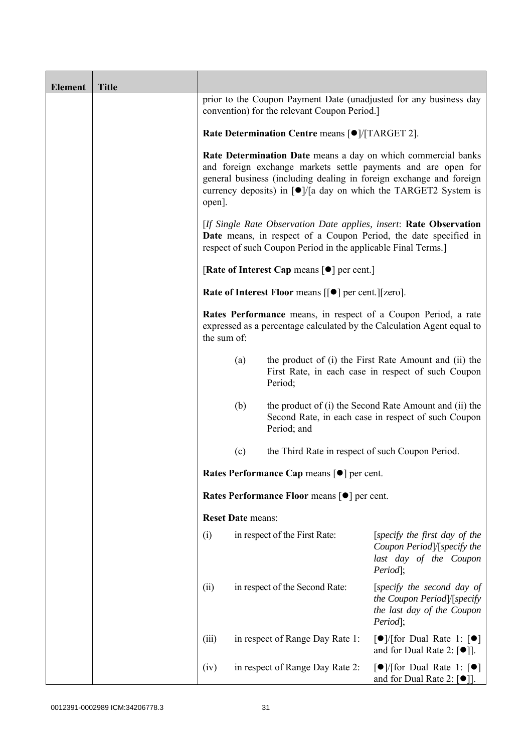| <b>Element</b> | <b>Title</b> |                                                                                                                                                                                                         |                                                                                                                                                                                                                                                                                             |                                                       |                                                                                                                                          |  |
|----------------|--------------|---------------------------------------------------------------------------------------------------------------------------------------------------------------------------------------------------------|---------------------------------------------------------------------------------------------------------------------------------------------------------------------------------------------------------------------------------------------------------------------------------------------|-------------------------------------------------------|------------------------------------------------------------------------------------------------------------------------------------------|--|
|                |              |                                                                                                                                                                                                         | prior to the Coupon Payment Date (unadjusted for any business day<br>convention) for the relevant Coupon Period.                                                                                                                                                                            |                                                       |                                                                                                                                          |  |
|                |              |                                                                                                                                                                                                         | Rate Determination Centre means [ $\bullet$ ]/[TARGET 2].                                                                                                                                                                                                                                   |                                                       |                                                                                                                                          |  |
|                |              | open].                                                                                                                                                                                                  | Rate Determination Date means a day on which commercial banks<br>and foreign exchange markets settle payments and are open for<br>general business (including dealing in foreign exchange and foreign<br>currency deposits) in $\lceil \bullet \rceil$ a day on which the TARGET2 System is |                                                       |                                                                                                                                          |  |
|                |              | [If Single Rate Observation Date applies, insert: Rate Observation<br>Date means, in respect of a Coupon Period, the date specified in<br>respect of such Coupon Period in the applicable Final Terms.] |                                                                                                                                                                                                                                                                                             |                                                       |                                                                                                                                          |  |
|                |              |                                                                                                                                                                                                         | [Rate of Interest Cap means $\lceil \bullet \rceil$ per cent.]                                                                                                                                                                                                                              |                                                       |                                                                                                                                          |  |
|                |              |                                                                                                                                                                                                         | Rate of Interest Floor means [[ $\bullet$ ] per cent.][zero].                                                                                                                                                                                                                               |                                                       |                                                                                                                                          |  |
|                |              | the sum of:                                                                                                                                                                                             |                                                                                                                                                                                                                                                                                             |                                                       | Rates Performance means, in respect of a Coupon Period, a rate<br>expressed as a percentage calculated by the Calculation Agent equal to |  |
|                |              |                                                                                                                                                                                                         | (a)                                                                                                                                                                                                                                                                                         | Period;                                               | the product of (i) the First Rate Amount and (ii) the<br>First Rate, in each case in respect of such Coupon                              |  |
|                |              |                                                                                                                                                                                                         | (b)                                                                                                                                                                                                                                                                                         | Period; and                                           | the product of (i) the Second Rate Amount and (ii) the<br>Second Rate, in each case in respect of such Coupon                            |  |
|                |              |                                                                                                                                                                                                         | (c)                                                                                                                                                                                                                                                                                         | the Third Rate in respect of such Coupon Period.      |                                                                                                                                          |  |
|                |              |                                                                                                                                                                                                         |                                                                                                                                                                                                                                                                                             | Rates Performance Cap means [ $\bullet$ ] per cent.   |                                                                                                                                          |  |
|                |              |                                                                                                                                                                                                         |                                                                                                                                                                                                                                                                                             | Rates Performance Floor means [ $\bullet$ ] per cent. |                                                                                                                                          |  |
|                |              |                                                                                                                                                                                                         | <b>Reset Date means:</b>                                                                                                                                                                                                                                                                    |                                                       |                                                                                                                                          |  |
|                |              | (i)                                                                                                                                                                                                     |                                                                                                                                                                                                                                                                                             | in respect of the First Rate:                         | [specify the first day of the<br>Coupon Period]/[specify the<br>last day of the Coupon<br>Period];                                       |  |
|                |              | (ii)                                                                                                                                                                                                    |                                                                                                                                                                                                                                                                                             | in respect of the Second Rate:                        | [specify the second day of<br>the Coupon Period /[specify<br>the last day of the Coupon<br>Period];                                      |  |
|                |              | (iii)                                                                                                                                                                                                   |                                                                                                                                                                                                                                                                                             | in respect of Range Day Rate 1:                       | $\lceil \bullet \rceil$ [for Dual Rate 1: $\lceil \bullet \rceil$<br>and for Dual Rate 2: $[•]$ ].                                       |  |
|                |              | (iv)                                                                                                                                                                                                    |                                                                                                                                                                                                                                                                                             | in respect of Range Day Rate 2:                       | $\lceil \bullet \rceil / \lceil \text{for Dual Rate 1: } \lceil \bullet \rceil$<br>and for Dual Rate 2: $[\bullet]$ ].                   |  |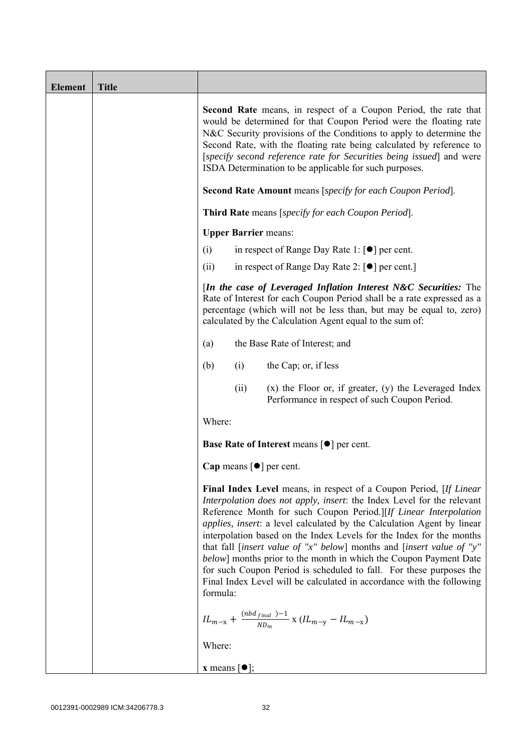| <b>Element</b> | <b>Title</b> |                                                                                                                                                                                                                                                                                                                                                                                                                                                                                                                                                                                                                                                                                             |
|----------------|--------------|---------------------------------------------------------------------------------------------------------------------------------------------------------------------------------------------------------------------------------------------------------------------------------------------------------------------------------------------------------------------------------------------------------------------------------------------------------------------------------------------------------------------------------------------------------------------------------------------------------------------------------------------------------------------------------------------|
|                |              | <b>Second Rate</b> means, in respect of a Coupon Period, the rate that<br>would be determined for that Coupon Period were the floating rate<br>N&C Security provisions of the Conditions to apply to determine the<br>Second Rate, with the floating rate being calculated by reference to<br>[specify second reference rate for Securities being issued] and were<br>ISDA Determination to be applicable for such purposes.                                                                                                                                                                                                                                                                |
|                |              | Second Rate Amount means [specify for each Coupon Period].                                                                                                                                                                                                                                                                                                                                                                                                                                                                                                                                                                                                                                  |
|                |              | Third Rate means [specify for each Coupon Period].                                                                                                                                                                                                                                                                                                                                                                                                                                                                                                                                                                                                                                          |
|                |              | <b>Upper Barrier means:</b>                                                                                                                                                                                                                                                                                                                                                                                                                                                                                                                                                                                                                                                                 |
|                |              | in respect of Range Day Rate 1: $\lceil \bullet \rceil$ per cent.<br>(i)                                                                                                                                                                                                                                                                                                                                                                                                                                                                                                                                                                                                                    |
|                |              | (ii)<br>in respect of Range Day Rate 2: $\lceil \bullet \rceil$ per cent.]                                                                                                                                                                                                                                                                                                                                                                                                                                                                                                                                                                                                                  |
|                |              | [In the case of Leveraged Inflation Interest N&C Securities: The<br>Rate of Interest for each Coupon Period shall be a rate expressed as a<br>percentage (which will not be less than, but may be equal to, zero)<br>calculated by the Calculation Agent equal to the sum of:                                                                                                                                                                                                                                                                                                                                                                                                               |
|                |              | the Base Rate of Interest; and<br>(a)                                                                                                                                                                                                                                                                                                                                                                                                                                                                                                                                                                                                                                                       |
|                |              | the Cap; or, if less<br>(i)<br>(b)                                                                                                                                                                                                                                                                                                                                                                                                                                                                                                                                                                                                                                                          |
|                |              | $(x)$ the Floor or, if greater, $(y)$ the Leveraged Index<br>(ii)<br>Performance in respect of such Coupon Period.                                                                                                                                                                                                                                                                                                                                                                                                                                                                                                                                                                          |
|                |              | Where:                                                                                                                                                                                                                                                                                                                                                                                                                                                                                                                                                                                                                                                                                      |
|                |              | <b>Base Rate of Interest means <math>\lceil \bullet \rceil</math> per cent.</b>                                                                                                                                                                                                                                                                                                                                                                                                                                                                                                                                                                                                             |
|                |              | Cap means $[\bullet]$ per cent.                                                                                                                                                                                                                                                                                                                                                                                                                                                                                                                                                                                                                                                             |
|                |              | <b>Final Index Level</b> means, in respect of a Coupon Period, [If Linear]<br>Interpolation does not apply, insert: the Index Level for the relevant<br>Reference Month for such Coupon Period.][If Linear Interpolation<br><i>applies, insert:</i> a level calculated by the Calculation Agent by linear<br>interpolation based on the Index Levels for the Index for the months<br>that fall [insert value of "x" below] months and [insert value of "y"<br>below] months prior to the month in which the Coupon Payment Date<br>for such Coupon Period is scheduled to fall. For these purposes the<br>Final Index Level will be calculated in accordance with the following<br>formula: |
|                |              | $IL_{m-x} + \frac{(nbd_{final})-1}{ND_m}$ x $(IL_{m-y} - IL_{m-x})$                                                                                                                                                                                                                                                                                                                                                                                                                                                                                                                                                                                                                         |
|                |              | Where:                                                                                                                                                                                                                                                                                                                                                                                                                                                                                                                                                                                                                                                                                      |
|                |              | <b>x</b> means $\lceil \bullet \rceil$ ;                                                                                                                                                                                                                                                                                                                                                                                                                                                                                                                                                                                                                                                    |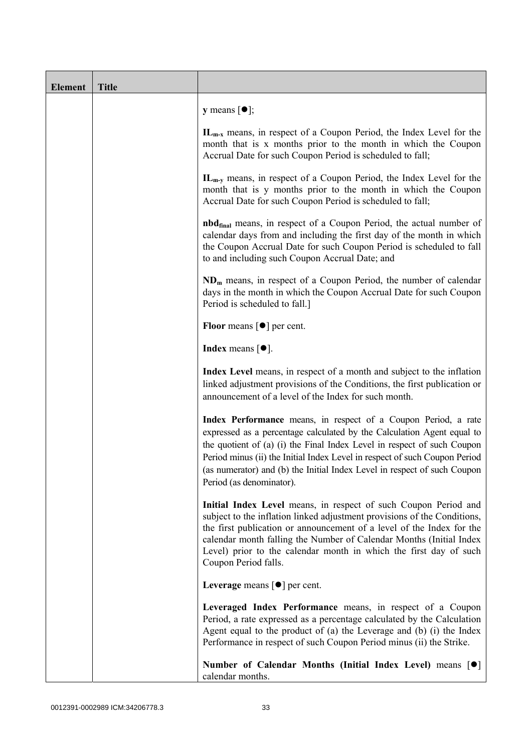| <b>Element</b> | <b>Title</b> |                                                                                                                                                                                                                                                                                                                                                                                                           |  |
|----------------|--------------|-----------------------------------------------------------------------------------------------------------------------------------------------------------------------------------------------------------------------------------------------------------------------------------------------------------------------------------------------------------------------------------------------------------|--|
|                |              | <b>y</b> means $[\bullet]$ ;                                                                                                                                                                                                                                                                                                                                                                              |  |
|                |              | $IL_{m-x}$ means, in respect of a Coupon Period, the Index Level for the<br>month that is x months prior to the month in which the Coupon<br>Accrual Date for such Coupon Period is scheduled to fall;                                                                                                                                                                                                    |  |
|                |              | $IL_{m-v}$ means, in respect of a Coupon Period, the Index Level for the<br>month that is y months prior to the month in which the Coupon<br>Accrual Date for such Coupon Period is scheduled to fall;                                                                                                                                                                                                    |  |
|                |              | <b>nbd</b> <sub>final</sub> means, in respect of a Coupon Period, the actual number of<br>calendar days from and including the first day of the month in which<br>the Coupon Accrual Date for such Coupon Period is scheduled to fall<br>to and including such Coupon Accrual Date; and                                                                                                                   |  |
|                |              | $NDm$ means, in respect of a Coupon Period, the number of calendar<br>days in the month in which the Coupon Accrual Date for such Coupon<br>Period is scheduled to fall.]                                                                                                                                                                                                                                 |  |
|                |              | <b>Floor</b> means $\lceil \bullet \rceil$ per cent.                                                                                                                                                                                                                                                                                                                                                      |  |
|                |              | Index means $\lceil \bullet \rceil$ .                                                                                                                                                                                                                                                                                                                                                                     |  |
|                |              | Index Level means, in respect of a month and subject to the inflation<br>linked adjustment provisions of the Conditions, the first publication or<br>announcement of a level of the Index for such month.                                                                                                                                                                                                 |  |
|                |              | Index Performance means, in respect of a Coupon Period, a rate<br>expressed as a percentage calculated by the Calculation Agent equal to<br>the quotient of (a) (i) the Final Index Level in respect of such Coupon<br>Period minus (ii) the Initial Index Level in respect of such Coupon Period<br>(as numerator) and (b) the Initial Index Level in respect of such Coupon<br>Period (as denominator). |  |
|                |              | Initial Index Level means, in respect of such Coupon Period and<br>subject to the inflation linked adjustment provisions of the Conditions,<br>the first publication or announcement of a level of the Index for the<br>calendar month falling the Number of Calendar Months (Initial Index<br>Level) prior to the calendar month in which the first day of such<br>Coupon Period falls.                  |  |
|                |              | Leverage means $\lceil \bullet \rceil$ per cent.                                                                                                                                                                                                                                                                                                                                                          |  |
|                |              | Leveraged Index Performance means, in respect of a Coupon<br>Period, a rate expressed as a percentage calculated by the Calculation<br>Agent equal to the product of (a) the Leverage and (b) (i) the Index<br>Performance in respect of such Coupon Period minus (ii) the Strike.                                                                                                                        |  |
|                |              | Number of Calendar Months (Initial Index Level) means [ $\bullet$ ]<br>calendar months.                                                                                                                                                                                                                                                                                                                   |  |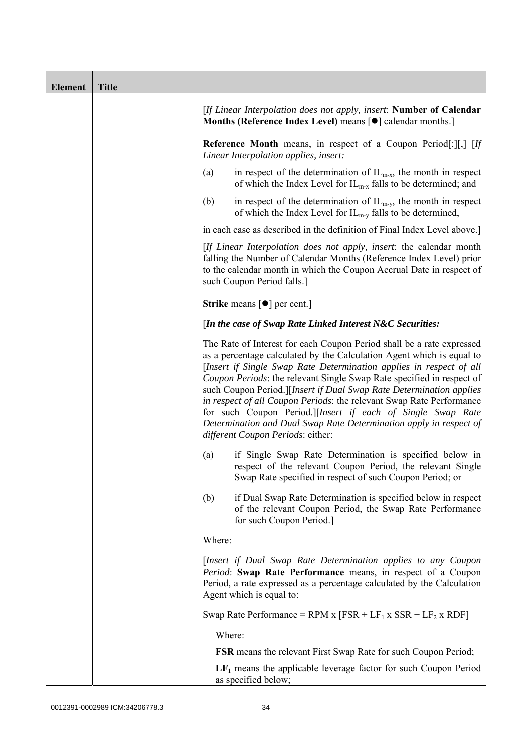| <b>Element</b> | <b>Title</b> |                                                                                                                                                                                                                                                                                                                                                                                                                                                                                                                                                                                                                         |
|----------------|--------------|-------------------------------------------------------------------------------------------------------------------------------------------------------------------------------------------------------------------------------------------------------------------------------------------------------------------------------------------------------------------------------------------------------------------------------------------------------------------------------------------------------------------------------------------------------------------------------------------------------------------------|
|                |              | [If Linear Interpolation does not apply, insert: Number of Calendar<br>Months (Reference Index Level) means [ $\bullet$ ] calendar months.]                                                                                                                                                                                                                                                                                                                                                                                                                                                                             |
|                |              | <b>Reference Month</b> means, in respect of a Coupon Period[:][,] [If<br>Linear Interpolation applies, insert:                                                                                                                                                                                                                                                                                                                                                                                                                                                                                                          |
|                |              | in respect of the determination of $IL_{m-x}$ , the month in respect<br>(a)<br>of which the Index Level for $IL_{m-x}$ falls to be determined; and                                                                                                                                                                                                                                                                                                                                                                                                                                                                      |
|                |              | (b)<br>in respect of the determination of $IL_{m-v}$ , the month in respect<br>of which the Index Level for $IL_{m-y}$ falls to be determined,                                                                                                                                                                                                                                                                                                                                                                                                                                                                          |
|                |              | in each case as described in the definition of Final Index Level above.]                                                                                                                                                                                                                                                                                                                                                                                                                                                                                                                                                |
|                |              | [If Linear Interpolation does not apply, insert: the calendar month<br>falling the Number of Calendar Months (Reference Index Level) prior<br>to the calendar month in which the Coupon Accrual Date in respect of<br>such Coupon Period falls.]                                                                                                                                                                                                                                                                                                                                                                        |
|                |              | <b>Strike</b> means $\lceil \bullet \rceil$ per cent.]                                                                                                                                                                                                                                                                                                                                                                                                                                                                                                                                                                  |
|                |              | [In the case of Swap Rate Linked Interest N&C Securities:                                                                                                                                                                                                                                                                                                                                                                                                                                                                                                                                                               |
|                |              | The Rate of Interest for each Coupon Period shall be a rate expressed<br>as a percentage calculated by the Calculation Agent which is equal to<br>[Insert if Single Swap Rate Determination applies in respect of all<br>Coupon Periods: the relevant Single Swap Rate specified in respect of<br>such Coupon Period.][Insert if Dual Swap Rate Determination applies<br>in respect of all Coupon Periods: the relevant Swap Rate Performance<br>for such Coupon Period.][Insert if each of Single Swap Rate<br>Determination and Dual Swap Rate Determination apply in respect of<br>different Coupon Periods: either: |
|                |              | if Single Swap Rate Determination is specified below in<br>(a)<br>respect of the relevant Coupon Period, the relevant Single<br>Swap Rate specified in respect of such Coupon Period; or                                                                                                                                                                                                                                                                                                                                                                                                                                |
|                |              | if Dual Swap Rate Determination is specified below in respect<br>(b)<br>of the relevant Coupon Period, the Swap Rate Performance<br>for such Coupon Period.]                                                                                                                                                                                                                                                                                                                                                                                                                                                            |
|                |              | Where:                                                                                                                                                                                                                                                                                                                                                                                                                                                                                                                                                                                                                  |
|                |              | [Insert if Dual Swap Rate Determination applies to any Coupon<br>Period: Swap Rate Performance means, in respect of a Coupon<br>Period, a rate expressed as a percentage calculated by the Calculation<br>Agent which is equal to:                                                                                                                                                                                                                                                                                                                                                                                      |
|                |              | Swap Rate Performance = RPM x $[FSR + LF_1 x SSR + LF_2 x RDF]$                                                                                                                                                                                                                                                                                                                                                                                                                                                                                                                                                         |
|                |              | Where:                                                                                                                                                                                                                                                                                                                                                                                                                                                                                                                                                                                                                  |
|                |              | <b>FSR</b> means the relevant First Swap Rate for such Coupon Period;                                                                                                                                                                                                                                                                                                                                                                                                                                                                                                                                                   |
|                |              | $LF1$ means the applicable leverage factor for such Coupon Period<br>as specified below;                                                                                                                                                                                                                                                                                                                                                                                                                                                                                                                                |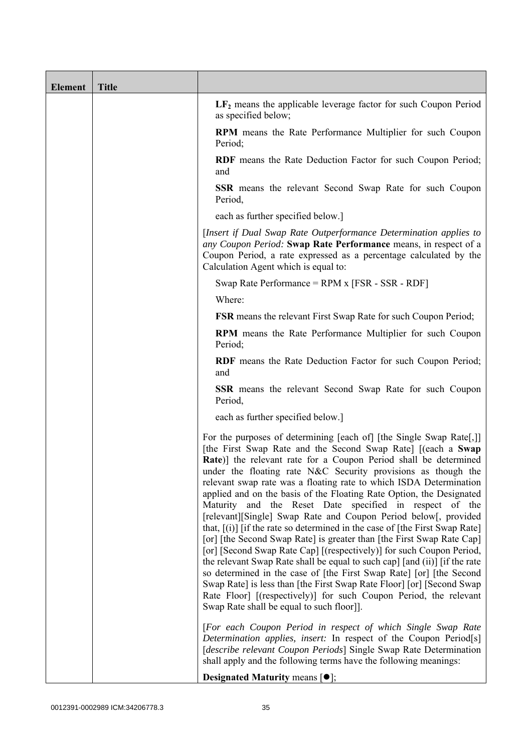| <b>Element</b> | <b>Title</b> |                                                                                                                                                                                                                                                                                                                                                                                                                                                                                                                                                                                                                                                                                                                                                                                                                                                                                                                                                                                                                                                                                                                                                |  |
|----------------|--------------|------------------------------------------------------------------------------------------------------------------------------------------------------------------------------------------------------------------------------------------------------------------------------------------------------------------------------------------------------------------------------------------------------------------------------------------------------------------------------------------------------------------------------------------------------------------------------------------------------------------------------------------------------------------------------------------------------------------------------------------------------------------------------------------------------------------------------------------------------------------------------------------------------------------------------------------------------------------------------------------------------------------------------------------------------------------------------------------------------------------------------------------------|--|
|                |              | $LF2$ means the applicable leverage factor for such Coupon Period<br>as specified below;                                                                                                                                                                                                                                                                                                                                                                                                                                                                                                                                                                                                                                                                                                                                                                                                                                                                                                                                                                                                                                                       |  |
|                |              | <b>RPM</b> means the Rate Performance Multiplier for such Coupon<br>Period;                                                                                                                                                                                                                                                                                                                                                                                                                                                                                                                                                                                                                                                                                                                                                                                                                                                                                                                                                                                                                                                                    |  |
|                |              | RDF means the Rate Deduction Factor for such Coupon Period;<br>and                                                                                                                                                                                                                                                                                                                                                                                                                                                                                                                                                                                                                                                                                                                                                                                                                                                                                                                                                                                                                                                                             |  |
|                |              | <b>SSR</b> means the relevant Second Swap Rate for such Coupon<br>Period,                                                                                                                                                                                                                                                                                                                                                                                                                                                                                                                                                                                                                                                                                                                                                                                                                                                                                                                                                                                                                                                                      |  |
|                |              | each as further specified below.]                                                                                                                                                                                                                                                                                                                                                                                                                                                                                                                                                                                                                                                                                                                                                                                                                                                                                                                                                                                                                                                                                                              |  |
|                |              | [Insert if Dual Swap Rate Outperformance Determination applies to<br>any Coupon Period: Swap Rate Performance means, in respect of a<br>Coupon Period, a rate expressed as a percentage calculated by the<br>Calculation Agent which is equal to:                                                                                                                                                                                                                                                                                                                                                                                                                                                                                                                                                                                                                                                                                                                                                                                                                                                                                              |  |
|                |              | Swap Rate Performance = RPM x [FSR - SSR - RDF]                                                                                                                                                                                                                                                                                                                                                                                                                                                                                                                                                                                                                                                                                                                                                                                                                                                                                                                                                                                                                                                                                                |  |
|                |              | Where:                                                                                                                                                                                                                                                                                                                                                                                                                                                                                                                                                                                                                                                                                                                                                                                                                                                                                                                                                                                                                                                                                                                                         |  |
|                |              | <b>FSR</b> means the relevant First Swap Rate for such Coupon Period;                                                                                                                                                                                                                                                                                                                                                                                                                                                                                                                                                                                                                                                                                                                                                                                                                                                                                                                                                                                                                                                                          |  |
|                |              | <b>RPM</b> means the Rate Performance Multiplier for such Coupon<br>Period;                                                                                                                                                                                                                                                                                                                                                                                                                                                                                                                                                                                                                                                                                                                                                                                                                                                                                                                                                                                                                                                                    |  |
|                |              | RDF means the Rate Deduction Factor for such Coupon Period;<br>and                                                                                                                                                                                                                                                                                                                                                                                                                                                                                                                                                                                                                                                                                                                                                                                                                                                                                                                                                                                                                                                                             |  |
|                |              | <b>SSR</b> means the relevant Second Swap Rate for such Coupon<br>Period,                                                                                                                                                                                                                                                                                                                                                                                                                                                                                                                                                                                                                                                                                                                                                                                                                                                                                                                                                                                                                                                                      |  |
|                |              | each as further specified below.]                                                                                                                                                                                                                                                                                                                                                                                                                                                                                                                                                                                                                                                                                                                                                                                                                                                                                                                                                                                                                                                                                                              |  |
|                |              | For the purposes of determining [each of] [the Single Swap Rate[,]]<br>[the First Swap Rate and the Second Swap Rate] [(each a Swap<br><b>Rate</b> )] the relevant rate for a Coupon Period shall be determined<br>under the floating rate N&C Security provisions as though the<br>relevant swap rate was a floating rate to which ISDA Determination<br>applied and on the basis of the Floating Rate Option, the Designated<br>Maturity and the Reset Date specified in respect of the<br>[relevant][Single] Swap Rate and Coupon Period below[, provided<br>that, $[(i)]$ [if the rate so determined in the case of [the First Swap Rate]<br>[or] [the Second Swap Rate] is greater than [the First Swap Rate Cap]<br>[or] [Second Swap Rate Cap] [(respectively)] for such Coupon Period,<br>the relevant Swap Rate shall be equal to such cap] [and (ii)] [if the rate<br>so determined in the case of [the First Swap Rate] [or] [the Second<br>Swap Rate] is less than [the First Swap Rate Floor] [or] [Second Swap<br>Rate Floor] [(respectively)] for such Coupon Period, the relevant<br>Swap Rate shall be equal to such floor]]. |  |
|                |              | [For each Coupon Period in respect of which Single Swap Rate<br>Determination applies, insert: In respect of the Coupon Period[s]<br>[describe relevant Coupon Periods] Single Swap Rate Determination<br>shall apply and the following terms have the following meanings:                                                                                                                                                                                                                                                                                                                                                                                                                                                                                                                                                                                                                                                                                                                                                                                                                                                                     |  |
|                |              | <b>Designated Maturity means <math>\lceil \bullet \rceil</math>;</b>                                                                                                                                                                                                                                                                                                                                                                                                                                                                                                                                                                                                                                                                                                                                                                                                                                                                                                                                                                                                                                                                           |  |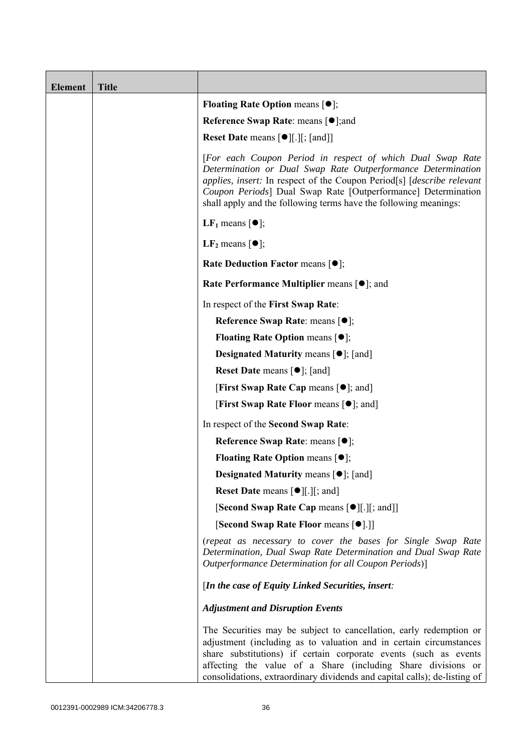| <b>Element</b> | <b>Title</b> |                                                                                                                                                                                                                                                                                                                                                           |
|----------------|--------------|-----------------------------------------------------------------------------------------------------------------------------------------------------------------------------------------------------------------------------------------------------------------------------------------------------------------------------------------------------------|
|                |              | <b>Floating Rate Option means <math>[•]</math>;</b>                                                                                                                                                                                                                                                                                                       |
|                |              | <b>Reference Swap Rate: means [●];and</b>                                                                                                                                                                                                                                                                                                                 |
|                |              | <b>Reset Date means [●][.][; [and]]</b>                                                                                                                                                                                                                                                                                                                   |
|                |              | [For each Coupon Period in respect of which Dual Swap Rate<br>Determination or Dual Swap Rate Outperformance Determination<br>applies, insert: In respect of the Coupon Period <sup>[s]</sup> [describe relevant]<br>Coupon Periods] Dual Swap Rate [Outperformance] Determination<br>shall apply and the following terms have the following meanings:    |
|                |              | <b>LF</b> <sub>1</sub> means $\lceil \bullet \rceil$ ;                                                                                                                                                                                                                                                                                                    |
|                |              | $LF2$ means $[①]$ ;                                                                                                                                                                                                                                                                                                                                       |
|                |              | <b>Rate Deduction Factor means <math>[•]</math>;</b>                                                                                                                                                                                                                                                                                                      |
|                |              | Rate Performance Multiplier means [ $\bullet$ ]; and                                                                                                                                                                                                                                                                                                      |
|                |              | In respect of the First Swap Rate:                                                                                                                                                                                                                                                                                                                        |
|                |              | Reference Swap Rate: means [●];                                                                                                                                                                                                                                                                                                                           |
|                |              | <b>Floating Rate Option means <math>[•]</math>;</b>                                                                                                                                                                                                                                                                                                       |
|                |              | <b>Designated Maturity means <math>\lceil \bullet \rceil</math>; [and]</b>                                                                                                                                                                                                                                                                                |
|                |              | <b>Reset Date</b> means $\lceil \bullet \rceil$ ; [and]                                                                                                                                                                                                                                                                                                   |
|                |              | <b>[First Swap Rate Cap means [<math>\bullet</math>]; and ]</b>                                                                                                                                                                                                                                                                                           |
|                |              | <b>[First Swap Rate Floor means [<math>\bullet</math>]; and</b> ]                                                                                                                                                                                                                                                                                         |
|                |              | In respect of the Second Swap Rate:                                                                                                                                                                                                                                                                                                                       |
|                |              | <b>Reference Swap Rate: means [●];</b>                                                                                                                                                                                                                                                                                                                    |
|                |              | <b>Floating Rate Option means <math>[①]</math>;</b>                                                                                                                                                                                                                                                                                                       |
|                |              | <b>Designated Maturity means <math>\lceil \bullet \rceil</math>; [and]</b>                                                                                                                                                                                                                                                                                |
|                |              | <b>Reset Date means <math>\lceil \bullet \rceil</math>.</b> $\lceil \cdot \rceil$ ; and $\lceil \cdot \rceil$                                                                                                                                                                                                                                             |
|                |              | [Second Swap Rate Cap means [ $\bullet$ ][.][; and]]                                                                                                                                                                                                                                                                                                      |
|                |              | [Second Swap Rate Floor means [ $\bullet$ ].]]                                                                                                                                                                                                                                                                                                            |
|                |              | (repeat as necessary to cover the bases for Single Swap Rate<br>Determination, Dual Swap Rate Determination and Dual Swap Rate<br>Outperformance Determination for all Coupon Periods)]                                                                                                                                                                   |
|                |              | [In the case of Equity Linked Securities, insert:                                                                                                                                                                                                                                                                                                         |
|                |              | <b>Adjustment and Disruption Events</b>                                                                                                                                                                                                                                                                                                                   |
|                |              | The Securities may be subject to cancellation, early redemption or<br>adjustment (including as to valuation and in certain circumstances<br>share substitutions) if certain corporate events (such as events<br>affecting the value of a Share (including Share divisions or<br>consolidations, extraordinary dividends and capital calls); de-listing of |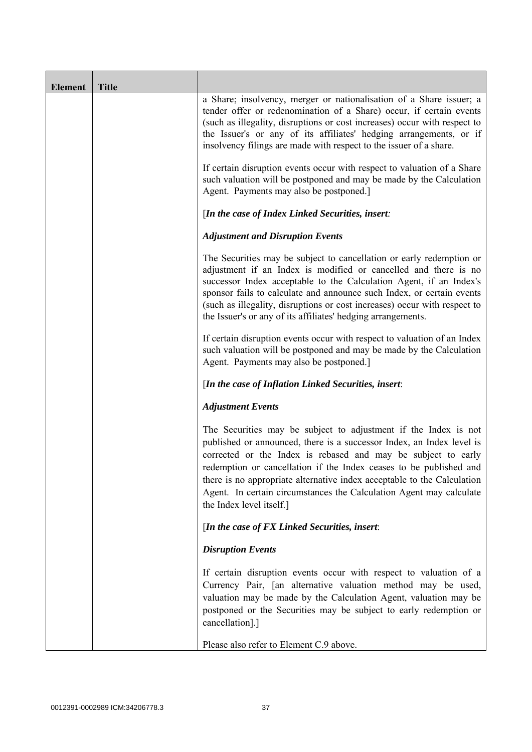| <b>Element</b> | <b>Title</b> |                                                                                                                                                                                                                                                                                                                                                                                                                                                               |
|----------------|--------------|---------------------------------------------------------------------------------------------------------------------------------------------------------------------------------------------------------------------------------------------------------------------------------------------------------------------------------------------------------------------------------------------------------------------------------------------------------------|
|                |              | a Share; insolvency, merger or nationalisation of a Share issuer; a<br>tender offer or redenomination of a Share) occur, if certain events<br>(such as illegality, disruptions or cost increases) occur with respect to<br>the Issuer's or any of its affiliates' hedging arrangements, or if<br>insolvency filings are made with respect to the issuer of a share.                                                                                           |
|                |              | If certain disruption events occur with respect to valuation of a Share<br>such valuation will be postponed and may be made by the Calculation<br>Agent. Payments may also be postponed.]                                                                                                                                                                                                                                                                     |
|                |              | [In the case of Index Linked Securities, insert:                                                                                                                                                                                                                                                                                                                                                                                                              |
|                |              | <b>Adjustment and Disruption Events</b>                                                                                                                                                                                                                                                                                                                                                                                                                       |
|                |              | The Securities may be subject to cancellation or early redemption or<br>adjustment if an Index is modified or cancelled and there is no<br>successor Index acceptable to the Calculation Agent, if an Index's<br>sponsor fails to calculate and announce such Index, or certain events<br>(such as illegality, disruptions or cost increases) occur with respect to<br>the Issuer's or any of its affiliates' hedging arrangements.                           |
|                |              | If certain disruption events occur with respect to valuation of an Index<br>such valuation will be postponed and may be made by the Calculation<br>Agent. Payments may also be postponed.]                                                                                                                                                                                                                                                                    |
|                |              | [In the case of Inflation Linked Securities, insert:                                                                                                                                                                                                                                                                                                                                                                                                          |
|                |              | <b>Adjustment Events</b>                                                                                                                                                                                                                                                                                                                                                                                                                                      |
|                |              | The Securities may be subject to adjustment if the Index is not<br>published or announced, there is a successor Index, an Index level is<br>corrected or the Index is rebased and may be subject to early<br>redemption or cancellation if the Index ceases to be published and<br>there is no appropriate alternative index acceptable to the Calculation<br>Agent. In certain circumstances the Calculation Agent may calculate<br>the Index level itself.] |
|                |              | [In the case of FX Linked Securities, insert:                                                                                                                                                                                                                                                                                                                                                                                                                 |
|                |              | <b>Disruption Events</b>                                                                                                                                                                                                                                                                                                                                                                                                                                      |
|                |              | If certain disruption events occur with respect to valuation of a<br>Currency Pair, [an alternative valuation method may be used,<br>valuation may be made by the Calculation Agent, valuation may be<br>postponed or the Securities may be subject to early redemption or<br>cancellation].]                                                                                                                                                                 |
|                |              | Please also refer to Element C.9 above.                                                                                                                                                                                                                                                                                                                                                                                                                       |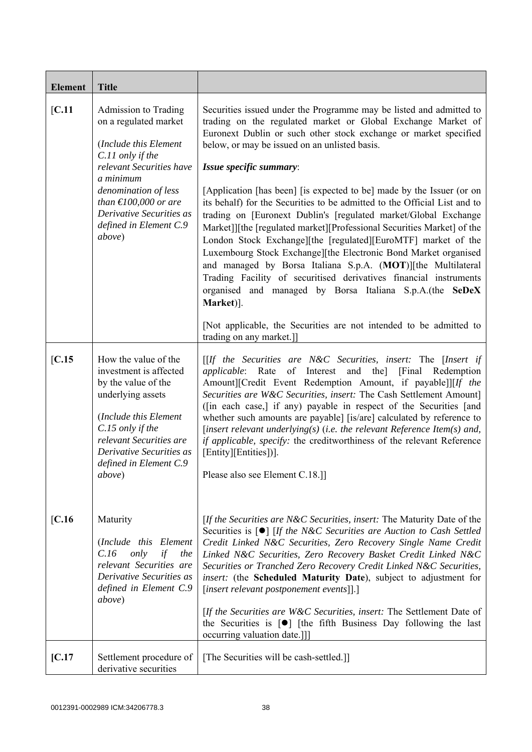| <b>Element</b>  | <b>Title</b>                                                                                                                                                                                                                                                                                                                                                                                                    |                                                                                                                                                                                                                                                                                                                                                                                                                                                                                                                                                                                                                                                                                                                                                                                                                                                                                                                                                                                                                                                                                                                                                                                                            |
|-----------------|-----------------------------------------------------------------------------------------------------------------------------------------------------------------------------------------------------------------------------------------------------------------------------------------------------------------------------------------------------------------------------------------------------------------|------------------------------------------------------------------------------------------------------------------------------------------------------------------------------------------------------------------------------------------------------------------------------------------------------------------------------------------------------------------------------------------------------------------------------------------------------------------------------------------------------------------------------------------------------------------------------------------------------------------------------------------------------------------------------------------------------------------------------------------------------------------------------------------------------------------------------------------------------------------------------------------------------------------------------------------------------------------------------------------------------------------------------------------------------------------------------------------------------------------------------------------------------------------------------------------------------------|
| [C.11]          | Admission to Trading<br>on a regulated market<br>(Include this Element<br>C.11 only if the<br>relevant Securities have<br>a minimum<br>denomination of less<br>than $\text{\textsterling}100,000$ or are<br>Derivative Securities as<br>defined in Element C.9<br>above)                                                                                                                                        | Securities issued under the Programme may be listed and admitted to<br>trading on the regulated market or Global Exchange Market of<br>Euronext Dublin or such other stock exchange or market specified<br>below, or may be issued on an unlisted basis.<br>Issue specific summary:<br>[Application [has been] [is expected to be] made by the Issuer (or on<br>its behalf) for the Securities to be admitted to the Official List and to<br>trading on [Euronext Dublin's [regulated market/Global Exchange<br>Market]][the [regulated market][Professional Securities Market] of the<br>London Stock Exchange][the [regulated][EuroMTF] market of the<br>Luxembourg Stock Exchange][the Electronic Bond Market organised<br>and managed by Borsa Italiana S.p.A. (MOT)][the Multilateral<br>Trading Facility of securitised derivatives financial instruments<br>organised and managed by Borsa Italiana S.p.A.(the SeDeX<br>Market)].<br>[Not applicable, the Securities are not intended to be admitted to<br>trading on any market.]]                                                                                                                                                                 |
| IC.15<br>[C.16] | How the value of the<br>investment is affected<br>by the value of the<br>underlying assets<br>(Include this Element<br>C.15 only if the<br>relevant Securities are<br>Derivative Securities as<br>defined in Element C.9<br><i>above</i> )<br>Maturity<br>(Include this Element<br>C.16<br>only<br>if<br>the<br>relevant Securities are<br>Derivative Securities as<br>defined in Element C.9<br><i>above</i> ) | $[If the Securities are N&C Securities, insert: The [Insert if]$<br>applicable: Rate of Interest and the] [Final Redemption<br>Amount][Credit Event Redemption Amount, if payable]][If the<br>Securities are W&C Securities, insert: The Cash Settlement Amount]<br>([in each case,] if any) payable in respect of the Securities [and<br>whether such amounts are payable] [is/are] calculated by reference to<br>[insert relevant underlying(s) (i.e. the relevant Reference Item(s) and,<br>if applicable, specify: the creditworthiness of the relevant Reference<br>[Entity][Entities])].<br>Please also see Element C.18.]]<br>[If the Securities are N&C Securities, insert: The Maturity Date of the<br>Securities is $\lceil \bullet \rceil$ [If the N&C Securities are Auction to Cash Settled<br>Credit Linked N&C Securities, Zero Recovery Single Name Credit<br>Linked N&C Securities, Zero Recovery Basket Credit Linked N&C<br>Securities or Tranched Zero Recovery Credit Linked N&C Securities,<br>insert: (the Scheduled Maturity Date), subject to adjustment for<br>[insert relevant postponement events]].]<br>[If the Securities are W&C Securities, insert: The Settlement Date of |
|                 |                                                                                                                                                                                                                                                                                                                                                                                                                 | the Securities is $[\bullet]$ [the fifth Business Day following the last<br>occurring valuation date.]]                                                                                                                                                                                                                                                                                                                                                                                                                                                                                                                                                                                                                                                                                                                                                                                                                                                                                                                                                                                                                                                                                                    |
| [C.17]          | Settlement procedure of<br>derivative securities                                                                                                                                                                                                                                                                                                                                                                | [The Securities will be cash-settled.]]                                                                                                                                                                                                                                                                                                                                                                                                                                                                                                                                                                                                                                                                                                                                                                                                                                                                                                                                                                                                                                                                                                                                                                    |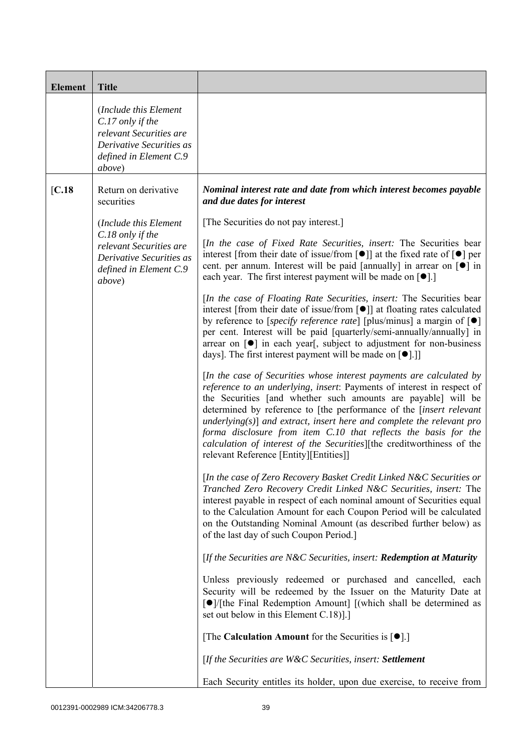| <b>Element</b> | <b>Title</b>                                                                                                                           |                                                                                                                                                                                                                                                                                                                                                                                                                                                                                                                                                                   |
|----------------|----------------------------------------------------------------------------------------------------------------------------------------|-------------------------------------------------------------------------------------------------------------------------------------------------------------------------------------------------------------------------------------------------------------------------------------------------------------------------------------------------------------------------------------------------------------------------------------------------------------------------------------------------------------------------------------------------------------------|
|                | (Include this Element<br>$C.17$ only if the<br>relevant Securities are<br>Derivative Securities as<br>defined in Element C.9<br>above) |                                                                                                                                                                                                                                                                                                                                                                                                                                                                                                                                                                   |
| [C.18]         | Return on derivative<br>securities                                                                                                     | Nominal interest rate and date from which interest becomes payable<br>and due dates for interest                                                                                                                                                                                                                                                                                                                                                                                                                                                                  |
|                | (Include this Element                                                                                                                  | [The Securities do not pay interest.]                                                                                                                                                                                                                                                                                                                                                                                                                                                                                                                             |
|                | $C.18$ only if the<br>relevant Securities are<br>Derivative Securities as<br>defined in Element C.9<br><i>above</i> )                  | [In the case of Fixed Rate Securities, insert: The Securities bear<br>interest [from their date of issue/from $\lceil \bullet \rceil$ ] at the fixed rate of $\lceil \bullet \rceil$ per<br>cent. per annum. Interest will be paid [annually] in arrear on $\lceil \bullet \rceil$ in<br>each year. The first interest payment will be made on $[\bullet]$ .]                                                                                                                                                                                                     |
|                |                                                                                                                                        | [In the case of Floating Rate Securities, insert: The Securities bear<br>interest [from their date of issue/from $\lceil \bullet \rceil$ ] at floating rates calculated<br>by reference to [specify reference rate] [plus/minus] a margin of $\lceil \bullet \rceil$<br>per cent. Interest will be paid [quarterly/semi-annually/annually] in<br>arrear on [ $\bullet$ ] in each year[, subject to adjustment for non-business<br>days]. The first interest payment will be made on $[\bullet]$ .]                                                                |
|                |                                                                                                                                        | [In the case of Securities whose interest payments are calculated by<br>reference to an underlying, insert: Payments of interest in respect of<br>the Securities [and whether such amounts are payable] will be<br>determined by reference to [the performance of the <i>[insert relevant</i><br>underlying( $s$ )] and extract, insert here and complete the relevant pro<br>forma disclosure from item C.10 that reflects the basis for the<br>calculation of interest of the Securities][the creditworthiness of the<br>relevant Reference [Entity][Entities]] |
|                |                                                                                                                                        | [In the case of Zero Recovery Basket Credit Linked N&C Securities or<br>Tranched Zero Recovery Credit Linked N&C Securities, insert: The<br>interest payable in respect of each nominal amount of Securities equal<br>to the Calculation Amount for each Coupon Period will be calculated<br>on the Outstanding Nominal Amount (as described further below) as<br>of the last day of such Coupon Period.]                                                                                                                                                         |
|                |                                                                                                                                        | [If the Securities are N&C Securities, insert: Redemption at Maturity                                                                                                                                                                                                                                                                                                                                                                                                                                                                                             |
|                |                                                                                                                                        | Unless previously redeemed or purchased and cancelled, each<br>Security will be redeemed by the Issuer on the Maturity Date at<br>[●]/[the Final Redemption Amount] [(which shall be determined as<br>set out below in this Element C.18).]                                                                                                                                                                                                                                                                                                                       |
|                |                                                                                                                                        | [The Calculation Amount for the Securities is $[•]$ .]                                                                                                                                                                                                                                                                                                                                                                                                                                                                                                            |
|                |                                                                                                                                        | [If the Securities are W&C Securities, insert: Settlement                                                                                                                                                                                                                                                                                                                                                                                                                                                                                                         |
|                |                                                                                                                                        | Each Security entitles its holder, upon due exercise, to receive from                                                                                                                                                                                                                                                                                                                                                                                                                                                                                             |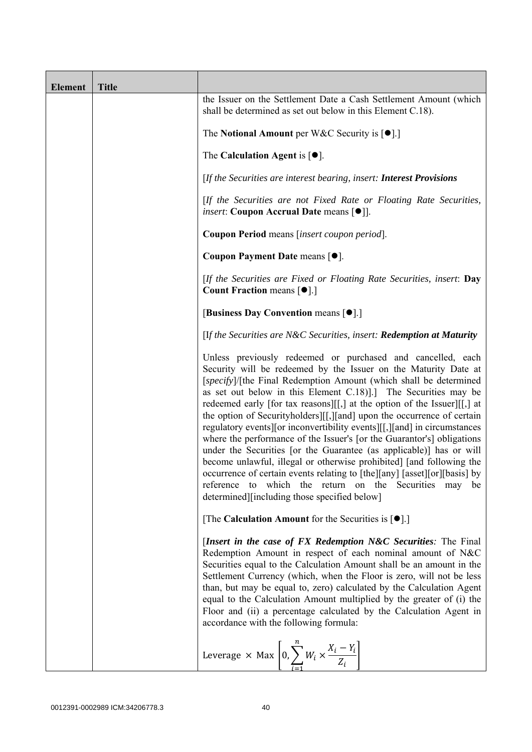| <b>Element</b> | <b>Title</b> |                                                                                                                                                                                                                                                                                                                                                                                                                                                                                                                                                                                                                                                                                                                                                                                                                                                                                                                                 |
|----------------|--------------|---------------------------------------------------------------------------------------------------------------------------------------------------------------------------------------------------------------------------------------------------------------------------------------------------------------------------------------------------------------------------------------------------------------------------------------------------------------------------------------------------------------------------------------------------------------------------------------------------------------------------------------------------------------------------------------------------------------------------------------------------------------------------------------------------------------------------------------------------------------------------------------------------------------------------------|
|                |              | the Issuer on the Settlement Date a Cash Settlement Amount (which<br>shall be determined as set out below in this Element C.18).                                                                                                                                                                                                                                                                                                                                                                                                                                                                                                                                                                                                                                                                                                                                                                                                |
|                |              | The Notional Amount per W&C Security is $[•]$ .                                                                                                                                                                                                                                                                                                                                                                                                                                                                                                                                                                                                                                                                                                                                                                                                                                                                                 |
|                |              | The Calculation Agent is $[•]$ .                                                                                                                                                                                                                                                                                                                                                                                                                                                                                                                                                                                                                                                                                                                                                                                                                                                                                                |
|                |              | [If the Securities are interest bearing, insert: Interest Provisions                                                                                                                                                                                                                                                                                                                                                                                                                                                                                                                                                                                                                                                                                                                                                                                                                                                            |
|                |              | [If the Securities are not Fixed Rate or Floating Rate Securities,<br><i>insert</i> : Coupon Accrual Date means [ $\bullet$ ].                                                                                                                                                                                                                                                                                                                                                                                                                                                                                                                                                                                                                                                                                                                                                                                                  |
|                |              | Coupon Period means [insert coupon period].                                                                                                                                                                                                                                                                                                                                                                                                                                                                                                                                                                                                                                                                                                                                                                                                                                                                                     |
|                |              | Coupon Payment Date means [ $\bullet$ ].                                                                                                                                                                                                                                                                                                                                                                                                                                                                                                                                                                                                                                                                                                                                                                                                                                                                                        |
|                |              | [If the Securities are Fixed or Floating Rate Securities, insert: Day<br><b>Count Fraction means <math>\lceil \bullet \rceil</math>.</b>                                                                                                                                                                                                                                                                                                                                                                                                                                                                                                                                                                                                                                                                                                                                                                                        |
|                |              | [Business Day Convention means [ $\bullet$ ].]                                                                                                                                                                                                                                                                                                                                                                                                                                                                                                                                                                                                                                                                                                                                                                                                                                                                                  |
|                |              | [If the Securities are N&C Securities, insert: Redemption at Maturity                                                                                                                                                                                                                                                                                                                                                                                                                                                                                                                                                                                                                                                                                                                                                                                                                                                           |
|                |              | Unless previously redeemed or purchased and cancelled, each<br>Security will be redeemed by the Issuer on the Maturity Date at<br>[specify]/[the Final Redemption Amount (which shall be determined<br>as set out below in this Element C.18). The Securities may be<br>redeemed early [for tax reasons][[,] at the option of the Issuer][[,] at<br>the option of Securityholders][[,][and] upon the occurrence of certain<br>regulatory events][or inconvertibility events][[,][and] in circumstances<br>where the performance of the Issuer's [or the Guarantor's] obligations<br>under the Securities [or the Guarantee (as applicable)] has or will<br>become unlawful, illegal or otherwise prohibited] [and following the<br>occurrence of certain events relating to [the][any] [asset][or][basis] by<br>which the return on the Securities may<br>reference<br>to<br>be<br>determined][including those specified below] |
|                |              | [The Calculation Amount for the Securities is $[\bullet]$ .]                                                                                                                                                                                                                                                                                                                                                                                                                                                                                                                                                                                                                                                                                                                                                                                                                                                                    |
|                |              | [Insert in the case of FX Redemption N&C Securities: The Final<br>Redemption Amount in respect of each nominal amount of N&C<br>Securities equal to the Calculation Amount shall be an amount in the<br>Settlement Currency (which, when the Floor is zero, will not be less<br>than, but may be equal to, zero) calculated by the Calculation Agent<br>equal to the Calculation Amount multiplied by the greater of (i) the<br>Floor and (ii) a percentage calculated by the Calculation Agent in<br>accordance with the following formula:                                                                                                                                                                                                                                                                                                                                                                                    |
|                |              | Leverage $\times$ Max $\left[0, \sum_{i=1}^{n} W_i \times \frac{X_i - Y_i}{Z_i}\right]$                                                                                                                                                                                                                                                                                                                                                                                                                                                                                                                                                                                                                                                                                                                                                                                                                                         |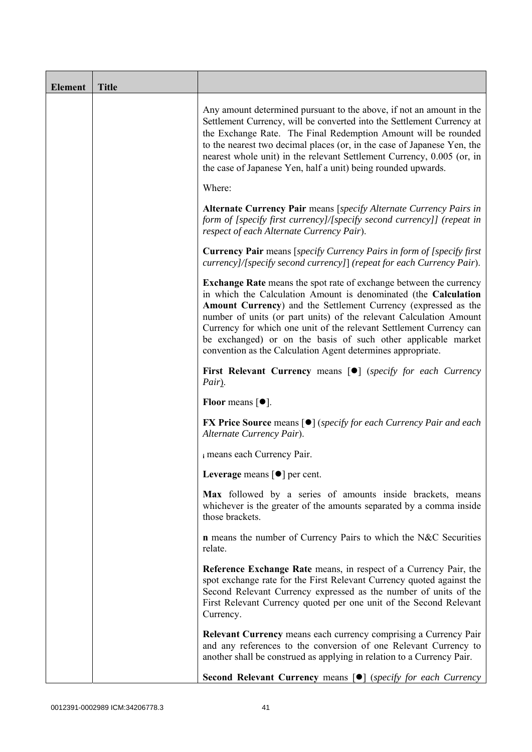| <b>Element</b> | <b>Title</b> |                                                                                                                                                                                                                                                                                                                                                                                                                                                                                             |  |
|----------------|--------------|---------------------------------------------------------------------------------------------------------------------------------------------------------------------------------------------------------------------------------------------------------------------------------------------------------------------------------------------------------------------------------------------------------------------------------------------------------------------------------------------|--|
|                |              | Any amount determined pursuant to the above, if not an amount in the<br>Settlement Currency, will be converted into the Settlement Currency at<br>the Exchange Rate. The Final Redemption Amount will be rounded<br>to the nearest two decimal places (or, in the case of Japanese Yen, the<br>nearest whole unit) in the relevant Settlement Currency, 0.005 (or, in<br>the case of Japanese Yen, half a unit) being rounded upwards.                                                      |  |
|                |              | Where:                                                                                                                                                                                                                                                                                                                                                                                                                                                                                      |  |
|                |              | Alternate Currency Pair means [specify Alternate Currency Pairs in<br>form of [specify first currency]/[specify second currency]] (repeat in<br>respect of each Alternate Currency Pair).                                                                                                                                                                                                                                                                                                   |  |
|                |              | <b>Currency Pair</b> means [specify Currency Pairs in form of [specify first]<br>currency]/[specify second currency]] (repeat for each Currency Pair).                                                                                                                                                                                                                                                                                                                                      |  |
|                |              | <b>Exchange Rate</b> means the spot rate of exchange between the currency<br>in which the Calculation Amount is denominated (the Calculation<br>Amount Currency) and the Settlement Currency (expressed as the<br>number of units (or part units) of the relevant Calculation Amount<br>Currency for which one unit of the relevant Settlement Currency can<br>be exchanged) or on the basis of such other applicable market<br>convention as the Calculation Agent determines appropriate. |  |
|                |              | First Relevant Currency means [ $\bullet$ ] (specify for each Currency<br>Pair).                                                                                                                                                                                                                                                                                                                                                                                                            |  |
|                |              | <b>Floor</b> means $\lceil \bullet \rceil$ .                                                                                                                                                                                                                                                                                                                                                                                                                                                |  |
|                |              | <b>FX Price Source means [<math>\bullet</math>]</b> (specify for each Currency Pair and each<br>Alternate Currency Pair).                                                                                                                                                                                                                                                                                                                                                                   |  |
|                |              | i means each Currency Pair.                                                                                                                                                                                                                                                                                                                                                                                                                                                                 |  |
|                |              | Leverage means $\lceil \bullet \rceil$ per cent.                                                                                                                                                                                                                                                                                                                                                                                                                                            |  |
|                |              | Max followed by a series of amounts inside brackets, means<br>whichever is the greater of the amounts separated by a comma inside<br>those brackets.                                                                                                                                                                                                                                                                                                                                        |  |
|                |              | <b>n</b> means the number of Currency Pairs to which the N&C Securities<br>relate.                                                                                                                                                                                                                                                                                                                                                                                                          |  |
|                |              | Reference Exchange Rate means, in respect of a Currency Pair, the<br>spot exchange rate for the First Relevant Currency quoted against the<br>Second Relevant Currency expressed as the number of units of the<br>First Relevant Currency quoted per one unit of the Second Relevant<br>Currency.                                                                                                                                                                                           |  |
|                |              | <b>Relevant Currency</b> means each currency comprising a Currency Pair<br>and any references to the conversion of one Relevant Currency to<br>another shall be construed as applying in relation to a Currency Pair.                                                                                                                                                                                                                                                                       |  |
|                |              | Second Relevant Currency means [ $\bullet$ ] (specify for each Currency                                                                                                                                                                                                                                                                                                                                                                                                                     |  |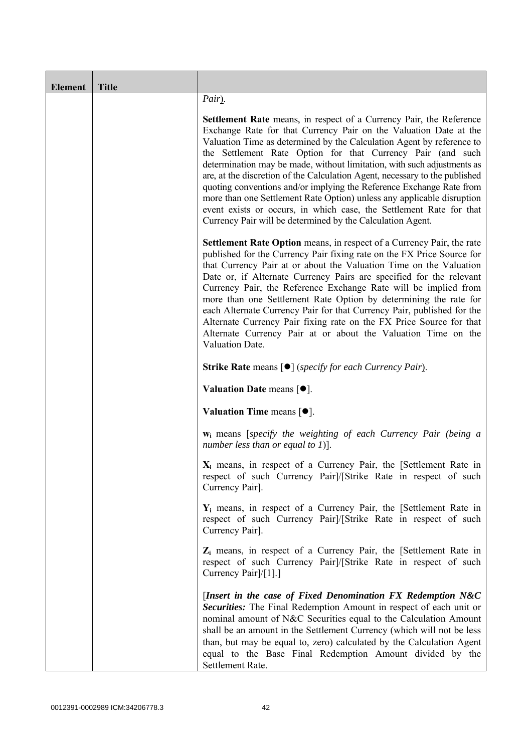| <b>Element</b> | <b>Title</b> |                                                                                                                                                                                                                                                                                                                                                                                                                                                                                                                                                                                                                                                                                                                                          |  |  |  |
|----------------|--------------|------------------------------------------------------------------------------------------------------------------------------------------------------------------------------------------------------------------------------------------------------------------------------------------------------------------------------------------------------------------------------------------------------------------------------------------------------------------------------------------------------------------------------------------------------------------------------------------------------------------------------------------------------------------------------------------------------------------------------------------|--|--|--|
|                |              | Pair).                                                                                                                                                                                                                                                                                                                                                                                                                                                                                                                                                                                                                                                                                                                                   |  |  |  |
|                |              | <b>Settlement Rate</b> means, in respect of a Currency Pair, the Reference<br>Exchange Rate for that Currency Pair on the Valuation Date at the<br>Valuation Time as determined by the Calculation Agent by reference to<br>the Settlement Rate Option for that Currency Pair (and such<br>determination may be made, without limitation, with such adjustments as<br>are, at the discretion of the Calculation Agent, necessary to the published<br>quoting conventions and/or implying the Reference Exchange Rate from<br>more than one Settlement Rate Option) unless any applicable disruption<br>event exists or occurs, in which case, the Settlement Rate for that<br>Currency Pair will be determined by the Calculation Agent. |  |  |  |
|                |              | Settlement Rate Option means, in respect of a Currency Pair, the rate<br>published for the Currency Pair fixing rate on the FX Price Source for<br>that Currency Pair at or about the Valuation Time on the Valuation<br>Date or, if Alternate Currency Pairs are specified for the relevant<br>Currency Pair, the Reference Exchange Rate will be implied from<br>more than one Settlement Rate Option by determining the rate for<br>each Alternate Currency Pair for that Currency Pair, published for the<br>Alternate Currency Pair fixing rate on the FX Price Source for that<br>Alternate Currency Pair at or about the Valuation Time on the<br>Valuation Date.                                                                 |  |  |  |
|                |              | <b>Strike Rate means [<math>\bullet</math>]</b> (specify for each Currency Pair).                                                                                                                                                                                                                                                                                                                                                                                                                                                                                                                                                                                                                                                        |  |  |  |
|                |              | Valuation Date means $[•]$ .                                                                                                                                                                                                                                                                                                                                                                                                                                                                                                                                                                                                                                                                                                             |  |  |  |
|                |              | Valuation Time means $[•]$ .                                                                                                                                                                                                                                                                                                                                                                                                                                                                                                                                                                                                                                                                                                             |  |  |  |
|                |              | $w_i$ means [specify the weighting of each Currency Pair (being a<br>number less than or equal to 1)].                                                                                                                                                                                                                                                                                                                                                                                                                                                                                                                                                                                                                                   |  |  |  |
|                |              | $X_i$ means, in respect of a Currency Pair, the [Settlement Rate in<br>respect of such Currency Pair]/[Strike Rate in respect of such<br>Currency Pair].                                                                                                                                                                                                                                                                                                                                                                                                                                                                                                                                                                                 |  |  |  |
|                |              | $Y_i$ means, in respect of a Currency Pair, the [Settlement Rate in<br>respect of such Currency Pair]/[Strike Rate in respect of such<br>Currency Pair].                                                                                                                                                                                                                                                                                                                                                                                                                                                                                                                                                                                 |  |  |  |
|                |              | $Z_i$ means, in respect of a Currency Pair, the [Settlement Rate in<br>respect of such Currency Pair]/[Strike Rate in respect of such<br>Currency Pair]/[1].]                                                                                                                                                                                                                                                                                                                                                                                                                                                                                                                                                                            |  |  |  |
|                |              | [Insert in the case of Fixed Denomination $FX$ Redemption $N&C$<br>Securities: The Final Redemption Amount in respect of each unit or<br>nominal amount of N&C Securities equal to the Calculation Amount<br>shall be an amount in the Settlement Currency (which will not be less<br>than, but may be equal to, zero) calculated by the Calculation Agent<br>equal to the Base Final Redemption Amount divided by the<br>Settlement Rate.                                                                                                                                                                                                                                                                                               |  |  |  |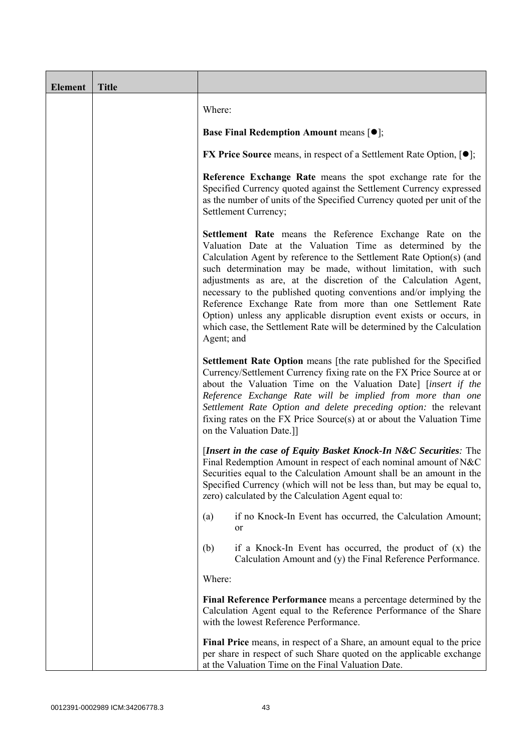| <b>Element</b> | <b>Title</b> |                                                                                                                                                                                                                                                                                                                                                                                                                                                                                                                                                                                                                                     |  |  |
|----------------|--------------|-------------------------------------------------------------------------------------------------------------------------------------------------------------------------------------------------------------------------------------------------------------------------------------------------------------------------------------------------------------------------------------------------------------------------------------------------------------------------------------------------------------------------------------------------------------------------------------------------------------------------------------|--|--|
|                |              | Where:                                                                                                                                                                                                                                                                                                                                                                                                                                                                                                                                                                                                                              |  |  |
|                |              | <b>Base Final Redemption Amount means <math>[①]</math>;</b>                                                                                                                                                                                                                                                                                                                                                                                                                                                                                                                                                                         |  |  |
|                |              | <b>FX Price Source</b> means, in respect of a Settlement Rate Option, $[•]$ ;                                                                                                                                                                                                                                                                                                                                                                                                                                                                                                                                                       |  |  |
|                |              | Reference Exchange Rate means the spot exchange rate for the<br>Specified Currency quoted against the Settlement Currency expressed<br>as the number of units of the Specified Currency quoted per unit of the<br>Settlement Currency;                                                                                                                                                                                                                                                                                                                                                                                              |  |  |
|                |              | Settlement Rate means the Reference Exchange Rate on the<br>Valuation Date at the Valuation Time as determined by the<br>Calculation Agent by reference to the Settlement Rate Option(s) (and<br>such determination may be made, without limitation, with such<br>adjustments as are, at the discretion of the Calculation Agent,<br>necessary to the published quoting conventions and/or implying the<br>Reference Exchange Rate from more than one Settlement Rate<br>Option) unless any applicable disruption event exists or occurs, in<br>which case, the Settlement Rate will be determined by the Calculation<br>Agent; and |  |  |
|                |              | Settlement Rate Option means [the rate published for the Specified<br>Currency/Settlement Currency fixing rate on the FX Price Source at or<br>about the Valuation Time on the Valuation Date] [insert if the<br>Reference Exchange Rate will be implied from more than one<br>Settlement Rate Option and delete preceding option: the relevant<br>fixing rates on the FX Price Source(s) at or about the Valuation Time<br>on the Valuation Date.]]                                                                                                                                                                                |  |  |
|                |              | [Insert in the case of Equity Basket Knock-In N&C Securities: The<br>Final Redemption Amount in respect of each nominal amount of N&C<br>Securities equal to the Calculation Amount shall be an amount in the<br>Specified Currency (which will not be less than, but may be equal to,<br>zero) calculated by the Calculation Agent equal to:                                                                                                                                                                                                                                                                                       |  |  |
|                |              | if no Knock-In Event has occurred, the Calculation Amount;<br>(a)<br>or                                                                                                                                                                                                                                                                                                                                                                                                                                                                                                                                                             |  |  |
|                |              | if a Knock-In Event has occurred, the product of $(x)$ the<br>(b)<br>Calculation Amount and (y) the Final Reference Performance.                                                                                                                                                                                                                                                                                                                                                                                                                                                                                                    |  |  |
|                |              | Where:                                                                                                                                                                                                                                                                                                                                                                                                                                                                                                                                                                                                                              |  |  |
|                |              | Final Reference Performance means a percentage determined by the<br>Calculation Agent equal to the Reference Performance of the Share<br>with the lowest Reference Performance.                                                                                                                                                                                                                                                                                                                                                                                                                                                     |  |  |
|                |              | Final Price means, in respect of a Share, an amount equal to the price<br>per share in respect of such Share quoted on the applicable exchange<br>at the Valuation Time on the Final Valuation Date.                                                                                                                                                                                                                                                                                                                                                                                                                                |  |  |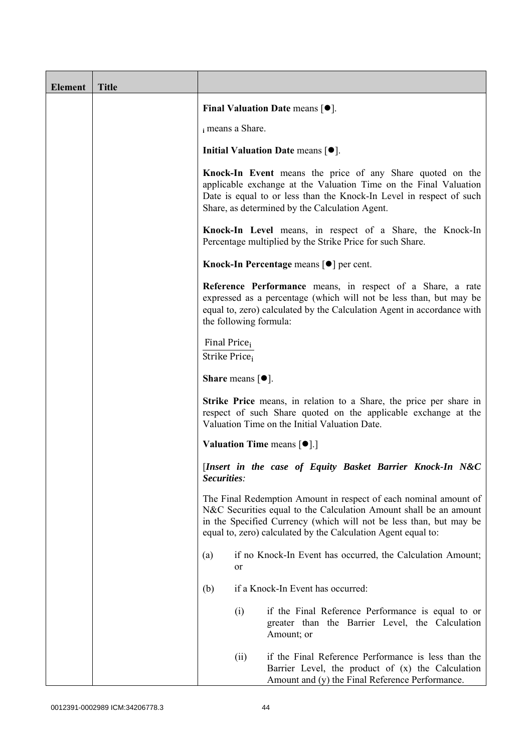| <b>Element</b> | <b>Title</b> |                                                                                                                                                                                                                                                                                                                                                                                                                                                |                                                                                                                                                             |  |  |
|----------------|--------------|------------------------------------------------------------------------------------------------------------------------------------------------------------------------------------------------------------------------------------------------------------------------------------------------------------------------------------------------------------------------------------------------------------------------------------------------|-------------------------------------------------------------------------------------------------------------------------------------------------------------|--|--|
|                |              | Final Valuation Date means $[•]$ .                                                                                                                                                                                                                                                                                                                                                                                                             |                                                                                                                                                             |  |  |
|                |              | i means a Share.                                                                                                                                                                                                                                                                                                                                                                                                                               |                                                                                                                                                             |  |  |
|                |              | Initial Valuation Date means $[•]$ .                                                                                                                                                                                                                                                                                                                                                                                                           |                                                                                                                                                             |  |  |
|                |              | Knock-In Event means the price of any Share quoted on the<br>applicable exchange at the Valuation Time on the Final Valuation<br>Date is equal to or less than the Knock-In Level in respect of such<br>Share, as determined by the Calculation Agent.                                                                                                                                                                                         |                                                                                                                                                             |  |  |
|                |              |                                                                                                                                                                                                                                                                                                                                                                                                                                                | Knock-In Level means, in respect of a Share, the Knock-In<br>Percentage multiplied by the Strike Price for such Share.                                      |  |  |
|                |              |                                                                                                                                                                                                                                                                                                                                                                                                                                                | Knock-In Percentage means [ <sup>●</sup> ] per cent.                                                                                                        |  |  |
|                |              | Reference Performance means, in respect of a Share, a rate<br>expressed as a percentage (which will not be less than, but may be<br>equal to, zero) calculated by the Calculation Agent in accordance with<br>the following formula:                                                                                                                                                                                                           |                                                                                                                                                             |  |  |
|                |              | Final Price <sub>i</sub><br>Strike Price <sub>i</sub>                                                                                                                                                                                                                                                                                                                                                                                          |                                                                                                                                                             |  |  |
|                |              | <b>Share</b> means $[①]$ .                                                                                                                                                                                                                                                                                                                                                                                                                     |                                                                                                                                                             |  |  |
|                |              | <b>Strike Price</b> means, in relation to a Share, the price per share in<br>respect of such Share quoted on the applicable exchange at the<br>Valuation Time on the Initial Valuation Date.                                                                                                                                                                                                                                                   |                                                                                                                                                             |  |  |
|                |              |                                                                                                                                                                                                                                                                                                                                                                                                                                                | <b>Valuation Time means <math>\lceil \bullet \rceil</math>.</b>                                                                                             |  |  |
|                |              | [Insert in the case of Equity Basket Barrier Knock-In N&C<br>Securities:<br>The Final Redemption Amount in respect of each nominal amount of<br>N&C Securities equal to the Calculation Amount shall be an amount<br>in the Specified Currency (which will not be less than, but may be<br>equal to, zero) calculated by the Calculation Agent equal to:<br>if no Knock-In Event has occurred, the Calculation Amount;<br>(a)<br><sub>or</sub> |                                                                                                                                                             |  |  |
|                |              |                                                                                                                                                                                                                                                                                                                                                                                                                                                |                                                                                                                                                             |  |  |
|                |              |                                                                                                                                                                                                                                                                                                                                                                                                                                                |                                                                                                                                                             |  |  |
|                |              | (b)                                                                                                                                                                                                                                                                                                                                                                                                                                            | if a Knock-In Event has occurred:                                                                                                                           |  |  |
|                |              | (i)                                                                                                                                                                                                                                                                                                                                                                                                                                            | if the Final Reference Performance is equal to or<br>greater than the Barrier Level, the Calculation<br>Amount; or                                          |  |  |
|                |              | (ii)                                                                                                                                                                                                                                                                                                                                                                                                                                           | if the Final Reference Performance is less than the<br>Barrier Level, the product of (x) the Calculation<br>Amount and (y) the Final Reference Performance. |  |  |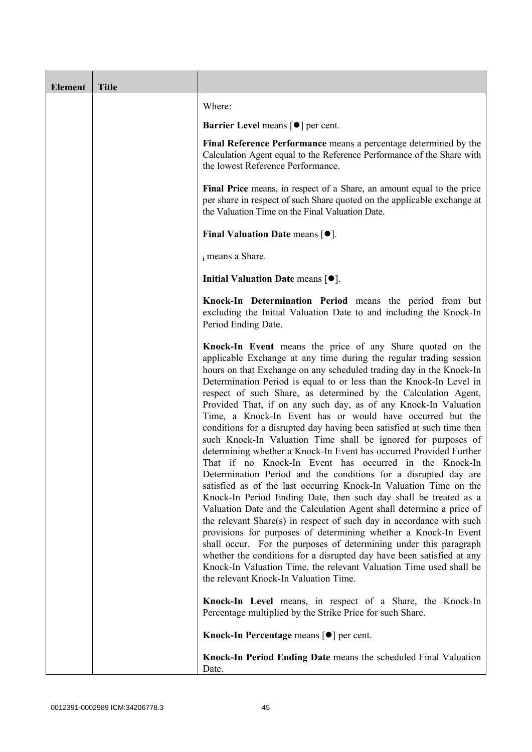| <b>Element</b> | <b>Title</b> |                                                                                                                                                                                                                                                                                                                                                                                                                                                                                                                                                                                                                                                                                                                                                                                                                                                                                                                                                                                                                                                                                                                                                                                                                                                                                                                                                                                                                                                       |
|----------------|--------------|-------------------------------------------------------------------------------------------------------------------------------------------------------------------------------------------------------------------------------------------------------------------------------------------------------------------------------------------------------------------------------------------------------------------------------------------------------------------------------------------------------------------------------------------------------------------------------------------------------------------------------------------------------------------------------------------------------------------------------------------------------------------------------------------------------------------------------------------------------------------------------------------------------------------------------------------------------------------------------------------------------------------------------------------------------------------------------------------------------------------------------------------------------------------------------------------------------------------------------------------------------------------------------------------------------------------------------------------------------------------------------------------------------------------------------------------------------|
|                |              | Where:                                                                                                                                                                                                                                                                                                                                                                                                                                                                                                                                                                                                                                                                                                                                                                                                                                                                                                                                                                                                                                                                                                                                                                                                                                                                                                                                                                                                                                                |
|                |              | <b>Barrier Level means [<math>\bullet</math>] per cent.</b>                                                                                                                                                                                                                                                                                                                                                                                                                                                                                                                                                                                                                                                                                                                                                                                                                                                                                                                                                                                                                                                                                                                                                                                                                                                                                                                                                                                           |
|                |              | Final Reference Performance means a percentage determined by the<br>Calculation Agent equal to the Reference Performance of the Share with<br>the lowest Reference Performance.                                                                                                                                                                                                                                                                                                                                                                                                                                                                                                                                                                                                                                                                                                                                                                                                                                                                                                                                                                                                                                                                                                                                                                                                                                                                       |
|                |              | Final Price means, in respect of a Share, an amount equal to the price<br>per share in respect of such Share quoted on the applicable exchange at<br>the Valuation Time on the Final Valuation Date.                                                                                                                                                                                                                                                                                                                                                                                                                                                                                                                                                                                                                                                                                                                                                                                                                                                                                                                                                                                                                                                                                                                                                                                                                                                  |
|                |              | Final Valuation Date means $[•]$ .                                                                                                                                                                                                                                                                                                                                                                                                                                                                                                                                                                                                                                                                                                                                                                                                                                                                                                                                                                                                                                                                                                                                                                                                                                                                                                                                                                                                                    |
|                |              | i means a Share.                                                                                                                                                                                                                                                                                                                                                                                                                                                                                                                                                                                                                                                                                                                                                                                                                                                                                                                                                                                                                                                                                                                                                                                                                                                                                                                                                                                                                                      |
|                |              | Initial Valuation Date means $[•]$ .                                                                                                                                                                                                                                                                                                                                                                                                                                                                                                                                                                                                                                                                                                                                                                                                                                                                                                                                                                                                                                                                                                                                                                                                                                                                                                                                                                                                                  |
|                |              | Knock-In Determination Period means the period from but<br>excluding the Initial Valuation Date to and including the Knock-In<br>Period Ending Date.                                                                                                                                                                                                                                                                                                                                                                                                                                                                                                                                                                                                                                                                                                                                                                                                                                                                                                                                                                                                                                                                                                                                                                                                                                                                                                  |
|                |              | Knock-In Event means the price of any Share quoted on the<br>applicable Exchange at any time during the regular trading session<br>hours on that Exchange on any scheduled trading day in the Knock-In<br>Determination Period is equal to or less than the Knock-In Level in<br>respect of such Share, as determined by the Calculation Agent,<br>Provided That, if on any such day, as of any Knock-In Valuation<br>Time, a Knock-In Event has or would have occurred but the<br>conditions for a disrupted day having been satisfied at such time then<br>such Knock-In Valuation Time shall be ignored for purposes of<br>determining whether a Knock-In Event has occurred Provided Further<br>That if no Knock-In Event has occurred in the Knock-In<br>Determination Period and the conditions for a disrupted day are<br>satisfied as of the last occurring Knock-In Valuation Time on the<br>Knock-In Period Ending Date, then such day shall be treated as a<br>Valuation Date and the Calculation Agent shall determine a price of<br>the relevant Share(s) in respect of such day in accordance with such<br>provisions for purposes of determining whether a Knock-In Event<br>shall occur. For the purposes of determining under this paragraph<br>whether the conditions for a disrupted day have been satisfied at any<br>Knock-In Valuation Time, the relevant Valuation Time used shall be<br>the relevant Knock-In Valuation Time. |
|                |              | Knock-In Level means, in respect of a Share, the Knock-In<br>Percentage multiplied by the Strike Price for such Share.                                                                                                                                                                                                                                                                                                                                                                                                                                                                                                                                                                                                                                                                                                                                                                                                                                                                                                                                                                                                                                                                                                                                                                                                                                                                                                                                |
|                |              | Knock-In Percentage means [●] per cent.                                                                                                                                                                                                                                                                                                                                                                                                                                                                                                                                                                                                                                                                                                                                                                                                                                                                                                                                                                                                                                                                                                                                                                                                                                                                                                                                                                                                               |
|                |              | Knock-In Period Ending Date means the scheduled Final Valuation<br>Date.                                                                                                                                                                                                                                                                                                                                                                                                                                                                                                                                                                                                                                                                                                                                                                                                                                                                                                                                                                                                                                                                                                                                                                                                                                                                                                                                                                              |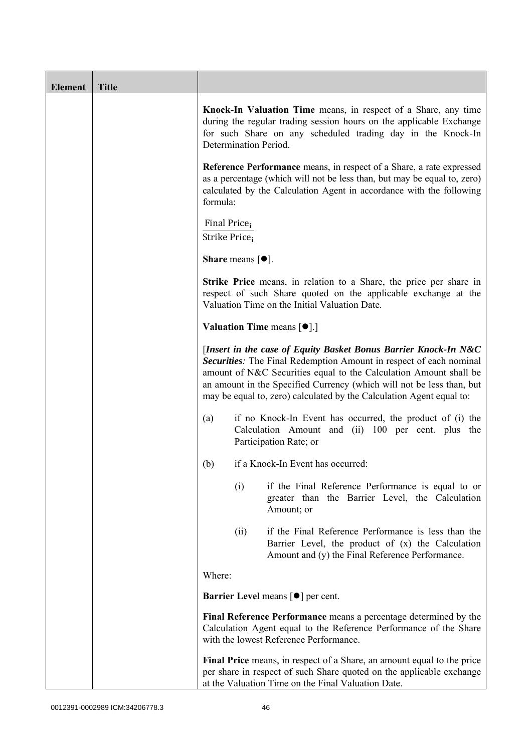| <b>Element</b> | <b>Title</b> |                                                                                                                                                                                                                                                                                                                                                                                                                                                                                                                                                                                                                                                                                                                                                                             |  |  |
|----------------|--------------|-----------------------------------------------------------------------------------------------------------------------------------------------------------------------------------------------------------------------------------------------------------------------------------------------------------------------------------------------------------------------------------------------------------------------------------------------------------------------------------------------------------------------------------------------------------------------------------------------------------------------------------------------------------------------------------------------------------------------------------------------------------------------------|--|--|
|                |              | Knock-In Valuation Time means, in respect of a Share, any time<br>during the regular trading session hours on the applicable Exchange<br>for such Share on any scheduled trading day in the Knock-In<br>Determination Period.                                                                                                                                                                                                                                                                                                                                                                                                                                                                                                                                               |  |  |
|                |              | <b>Reference Performance</b> means, in respect of a Share, a rate expressed<br>as a percentage (which will not be less than, but may be equal to, zero)<br>calculated by the Calculation Agent in accordance with the following<br>formula:                                                                                                                                                                                                                                                                                                                                                                                                                                                                                                                                 |  |  |
|                |              | Final Price <sub>i</sub><br>Strike Price <sub>i</sub>                                                                                                                                                                                                                                                                                                                                                                                                                                                                                                                                                                                                                                                                                                                       |  |  |
|                |              | <b>Share</b> means $[•]$ .                                                                                                                                                                                                                                                                                                                                                                                                                                                                                                                                                                                                                                                                                                                                                  |  |  |
|                |              | Strike Price means, in relation to a Share, the price per share in<br>respect of such Share quoted on the applicable exchange at the<br>Valuation Time on the Initial Valuation Date.<br><b>Valuation Time means <math>\lceil \bullet \rceil</math>.</b><br>[Insert in the case of Equity Basket Bonus Barrier Knock-In N&C<br>Securities: The Final Redemption Amount in respect of each nominal<br>amount of N&C Securities equal to the Calculation Amount shall be<br>an amount in the Specified Currency (which will not be less than, but<br>may be equal to, zero) calculated by the Calculation Agent equal to:<br>if no Knock-In Event has occurred, the product of (i) the<br>(a)<br>Calculation Amount and (ii) 100 per cent. plus the<br>Participation Rate; or |  |  |
|                |              |                                                                                                                                                                                                                                                                                                                                                                                                                                                                                                                                                                                                                                                                                                                                                                             |  |  |
|                |              |                                                                                                                                                                                                                                                                                                                                                                                                                                                                                                                                                                                                                                                                                                                                                                             |  |  |
|                |              |                                                                                                                                                                                                                                                                                                                                                                                                                                                                                                                                                                                                                                                                                                                                                                             |  |  |
|                |              | if a Knock-In Event has occurred:<br>(b)                                                                                                                                                                                                                                                                                                                                                                                                                                                                                                                                                                                                                                                                                                                                    |  |  |
|                |              | if the Final Reference Performance is equal to or<br>(i)<br>greater than the Barrier Level, the Calculation<br>Amount; or                                                                                                                                                                                                                                                                                                                                                                                                                                                                                                                                                                                                                                                   |  |  |
|                |              | if the Final Reference Performance is less than the<br>(ii)<br>Barrier Level, the product of (x) the Calculation<br>Amount and (y) the Final Reference Performance.                                                                                                                                                                                                                                                                                                                                                                                                                                                                                                                                                                                                         |  |  |
|                |              | Where:                                                                                                                                                                                                                                                                                                                                                                                                                                                                                                                                                                                                                                                                                                                                                                      |  |  |
|                |              | <b>Barrier Level</b> means [ $\bullet$ ] per cent.<br>Final Reference Performance means a percentage determined by the<br>Calculation Agent equal to the Reference Performance of the Share<br>with the lowest Reference Performance.<br>Final Price means, in respect of a Share, an amount equal to the price<br>per share in respect of such Share quoted on the applicable exchange<br>at the Valuation Time on the Final Valuation Date.                                                                                                                                                                                                                                                                                                                               |  |  |
|                |              |                                                                                                                                                                                                                                                                                                                                                                                                                                                                                                                                                                                                                                                                                                                                                                             |  |  |
|                |              |                                                                                                                                                                                                                                                                                                                                                                                                                                                                                                                                                                                                                                                                                                                                                                             |  |  |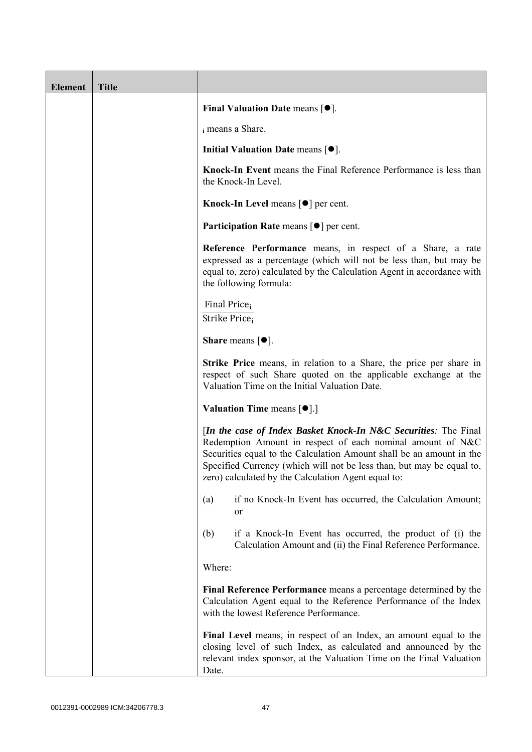| <b>Element</b> | <b>Title</b> |                                                                                                                                                                                                                                                                                                                                       |
|----------------|--------------|---------------------------------------------------------------------------------------------------------------------------------------------------------------------------------------------------------------------------------------------------------------------------------------------------------------------------------------|
|                |              | Final Valuation Date means $[•]$ .                                                                                                                                                                                                                                                                                                    |
|                |              | i means a Share.                                                                                                                                                                                                                                                                                                                      |
|                |              | Initial Valuation Date means $[•]$ .                                                                                                                                                                                                                                                                                                  |
|                |              | Knock-In Event means the Final Reference Performance is less than<br>the Knock-In Level.                                                                                                                                                                                                                                              |
|                |              | Knock-In Level means $\lceil \bullet \rceil$ per cent.                                                                                                                                                                                                                                                                                |
|                |              | <b>Participation Rate means <math>\lceil \bullet \rceil</math> per cent.</b>                                                                                                                                                                                                                                                          |
|                |              | Reference Performance means, in respect of a Share, a rate<br>expressed as a percentage (which will not be less than, but may be<br>equal to, zero) calculated by the Calculation Agent in accordance with<br>the following formula:                                                                                                  |
|                |              | Final Price <sub>i</sub><br>Strike Price <sub>i</sub>                                                                                                                                                                                                                                                                                 |
|                |              | <b>Share</b> means $[①]$ .                                                                                                                                                                                                                                                                                                            |
|                |              | <b>Strike Price</b> means, in relation to a Share, the price per share in<br>respect of such Share quoted on the applicable exchange at the<br>Valuation Time on the Initial Valuation Date.                                                                                                                                          |
|                |              | <b>Valuation Time means <math>\lceil \bullet \rceil</math>.</b>                                                                                                                                                                                                                                                                       |
|                |              | [In the case of Index Basket Knock-In N&C Securities: The Final<br>Redemption Amount in respect of each nominal amount of N&C<br>Securities equal to the Calculation Amount shall be an amount in the<br>Specified Currency (which will not be less than, but may be equal to,<br>zero) calculated by the Calculation Agent equal to: |
|                |              | if no Knock-In Event has occurred, the Calculation Amount;<br>(a)<br>or                                                                                                                                                                                                                                                               |
|                |              | if a Knock-In Event has occurred, the product of (i) the<br>(b)<br>Calculation Amount and (ii) the Final Reference Performance.                                                                                                                                                                                                       |
|                |              | Where:                                                                                                                                                                                                                                                                                                                                |
|                |              | Final Reference Performance means a percentage determined by the<br>Calculation Agent equal to the Reference Performance of the Index<br>with the lowest Reference Performance.                                                                                                                                                       |
|                |              | Final Level means, in respect of an Index, an amount equal to the<br>closing level of such Index, as calculated and announced by the<br>relevant index sponsor, at the Valuation Time on the Final Valuation<br>Date.                                                                                                                 |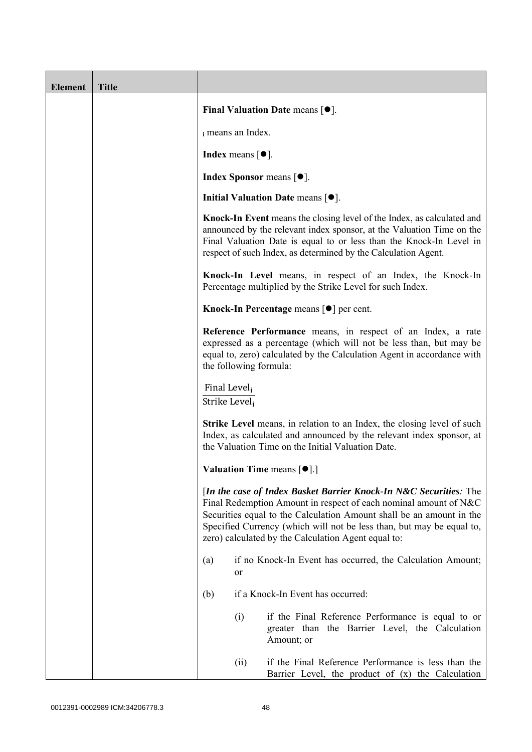| <b>Element</b> | <b>Title</b> |                                                                                                                                                                                                                                                                                                                                               |                                       |                                                                                                                                                                                                                                                                                          |
|----------------|--------------|-----------------------------------------------------------------------------------------------------------------------------------------------------------------------------------------------------------------------------------------------------------------------------------------------------------------------------------------------|---------------------------------------|------------------------------------------------------------------------------------------------------------------------------------------------------------------------------------------------------------------------------------------------------------------------------------------|
|                |              |                                                                                                                                                                                                                                                                                                                                               |                                       | Final Valuation Date means $[•]$ .                                                                                                                                                                                                                                                       |
|                |              |                                                                                                                                                                                                                                                                                                                                               | i means an Index.                     |                                                                                                                                                                                                                                                                                          |
|                |              |                                                                                                                                                                                                                                                                                                                                               | Index means $\lceil \bullet \rceil$ . |                                                                                                                                                                                                                                                                                          |
|                |              |                                                                                                                                                                                                                                                                                                                                               |                                       | <b>Index Sponsor</b> means $\lceil \bullet \rceil$ .                                                                                                                                                                                                                                     |
|                |              |                                                                                                                                                                                                                                                                                                                                               |                                       | Initial Valuation Date means $[•]$ .                                                                                                                                                                                                                                                     |
|                |              |                                                                                                                                                                                                                                                                                                                                               |                                       | Knock-In Event means the closing level of the Index, as calculated and<br>announced by the relevant index sponsor, at the Valuation Time on the<br>Final Valuation Date is equal to or less than the Knock-In Level in<br>respect of such Index, as determined by the Calculation Agent. |
|                |              |                                                                                                                                                                                                                                                                                                                                               |                                       | Knock-In Level means, in respect of an Index, the Knock-In<br>Percentage multiplied by the Strike Level for such Index.                                                                                                                                                                  |
|                |              |                                                                                                                                                                                                                                                                                                                                               |                                       | Knock-In Percentage means [●] per cent.                                                                                                                                                                                                                                                  |
|                |              | Reference Performance means, in respect of an Index, a rate<br>expressed as a percentage (which will not be less than, but may be<br>equal to, zero) calculated by the Calculation Agent in accordance with<br>the following formula:                                                                                                         |                                       |                                                                                                                                                                                                                                                                                          |
|                |              | Final Level <sub>i</sub><br>Strike Level;                                                                                                                                                                                                                                                                                                     |                                       |                                                                                                                                                                                                                                                                                          |
|                |              | <b>Strike Level</b> means, in relation to an Index, the closing level of such<br>Index, as calculated and announced by the relevant index sponsor, at<br>the Valuation Time on the Initial Valuation Date.                                                                                                                                    |                                       |                                                                                                                                                                                                                                                                                          |
|                |              |                                                                                                                                                                                                                                                                                                                                               |                                       | Valuation Time means [ $\bullet$ ].]                                                                                                                                                                                                                                                     |
|                |              | [In the case of Index Basket Barrier Knock-In N&C Securities: The<br>Final Redemption Amount in respect of each nominal amount of N&C<br>Securities equal to the Calculation Amount shall be an amount in the<br>Specified Currency (which will not be less than, but may be equal to,<br>zero) calculated by the Calculation Agent equal to: |                                       |                                                                                                                                                                                                                                                                                          |
|                |              | (a)                                                                                                                                                                                                                                                                                                                                           | or                                    | if no Knock-In Event has occurred, the Calculation Amount;                                                                                                                                                                                                                               |
|                |              | (b)                                                                                                                                                                                                                                                                                                                                           |                                       | if a Knock-In Event has occurred:                                                                                                                                                                                                                                                        |
|                |              |                                                                                                                                                                                                                                                                                                                                               | (i)                                   | if the Final Reference Performance is equal to or<br>greater than the Barrier Level, the Calculation<br>Amount; or                                                                                                                                                                       |
|                |              |                                                                                                                                                                                                                                                                                                                                               | (ii)                                  | if the Final Reference Performance is less than the<br>Barrier Level, the product of $(x)$ the Calculation                                                                                                                                                                               |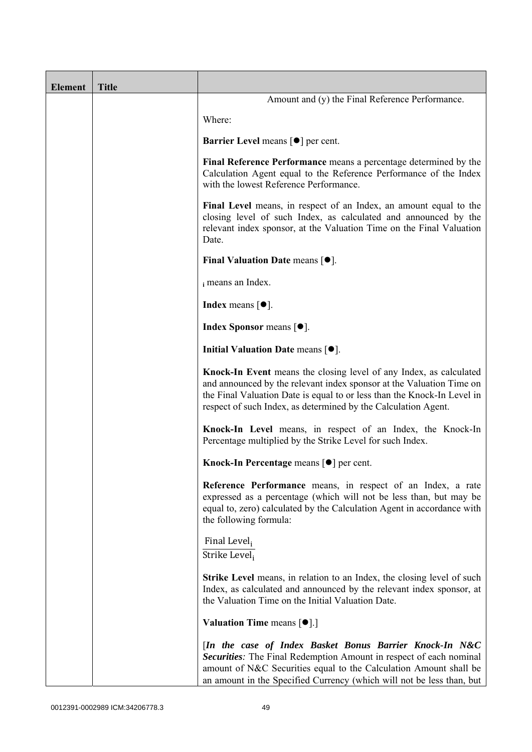| <b>Element</b> | <b>Title</b> |                                                                                                                                                                                                                                                                                         |
|----------------|--------------|-----------------------------------------------------------------------------------------------------------------------------------------------------------------------------------------------------------------------------------------------------------------------------------------|
|                |              | Amount and (y) the Final Reference Performance.                                                                                                                                                                                                                                         |
|                |              | Where:                                                                                                                                                                                                                                                                                  |
|                |              | <b>Barrier Level</b> means $\lceil \bullet \rceil$ per cent.                                                                                                                                                                                                                            |
|                |              | Final Reference Performance means a percentage determined by the<br>Calculation Agent equal to the Reference Performance of the Index<br>with the lowest Reference Performance.                                                                                                         |
|                |              | Final Level means, in respect of an Index, an amount equal to the<br>closing level of such Index, as calculated and announced by the<br>relevant index sponsor, at the Valuation Time on the Final Valuation<br>Date.                                                                   |
|                |              | Final Valuation Date means $[•]$ .                                                                                                                                                                                                                                                      |
|                |              | i means an Index.                                                                                                                                                                                                                                                                       |
|                |              | <b>Index</b> means $\lceil \bullet \rceil$ .                                                                                                                                                                                                                                            |
|                |              | <b>Index Sponsor</b> means $[•]$ .                                                                                                                                                                                                                                                      |
|                |              | Initial Valuation Date means $[•]$ .                                                                                                                                                                                                                                                    |
|                |              | Knock-In Event means the closing level of any Index, as calculated<br>and announced by the relevant index sponsor at the Valuation Time on<br>the Final Valuation Date is equal to or less than the Knock-In Level in<br>respect of such Index, as determined by the Calculation Agent. |
|                |              | Knock-In Level means, in respect of an Index, the Knock-In<br>Percentage multiplied by the Strike Level for such Index.                                                                                                                                                                 |
|                |              | Knock-In Percentage means $\lceil \bullet \rceil$ per cent.                                                                                                                                                                                                                             |
|                |              | Reference Performance means, in respect of an Index, a rate<br>expressed as a percentage (which will not be less than, but may be<br>equal to, zero) calculated by the Calculation Agent in accordance with<br>the following formula:                                                   |
|                |              | Final Level <sub>i</sub><br>Strike Level <sub>i</sub>                                                                                                                                                                                                                                   |
|                |              | <b>Strike Level</b> means, in relation to an Index, the closing level of such<br>Index, as calculated and announced by the relevant index sponsor, at<br>the Valuation Time on the Initial Valuation Date.                                                                              |
|                |              | <b>Valuation Time means <math>[\bullet]</math>.</b> ]                                                                                                                                                                                                                                   |
|                |              | [In the case of Index Basket Bonus Barrier Knock-In N&C<br>Securities: The Final Redemption Amount in respect of each nominal<br>amount of N&C Securities equal to the Calculation Amount shall be<br>an amount in the Specified Currency (which will not be less than, but             |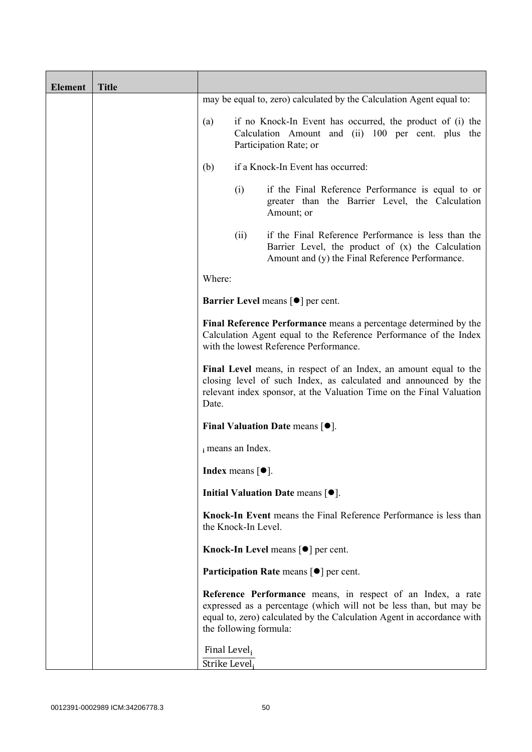| <b>Element</b> | <b>Title</b> |                                                       |                            |                                                                                                                                                                                                              |
|----------------|--------------|-------------------------------------------------------|----------------------------|--------------------------------------------------------------------------------------------------------------------------------------------------------------------------------------------------------------|
|                |              |                                                       |                            | may be equal to, zero) calculated by the Calculation Agent equal to:                                                                                                                                         |
|                |              | (a)                                                   |                            | if no Knock-In Event has occurred, the product of (i) the<br>Calculation Amount and (ii) 100 per cent. plus the<br>Participation Rate; or                                                                    |
|                |              | (b)                                                   |                            | if a Knock-In Event has occurred:                                                                                                                                                                            |
|                |              |                                                       | (i)                        | if the Final Reference Performance is equal to or<br>greater than the Barrier Level, the Calculation<br>Amount; or                                                                                           |
|                |              |                                                       | (ii)                       | if the Final Reference Performance is less than the<br>Barrier Level, the product of (x) the Calculation<br>Amount and (y) the Final Reference Performance.                                                  |
|                |              | Where:                                                |                            |                                                                                                                                                                                                              |
|                |              |                                                       |                            | <b>Barrier Level</b> means $\lceil \bullet \rceil$ per cent.                                                                                                                                                 |
|                |              |                                                       |                            | Final Reference Performance means a percentage determined by the<br>Calculation Agent equal to the Reference Performance of the Index<br>with the lowest Reference Performance.                              |
|                |              | Date.                                                 |                            | Final Level means, in respect of an Index, an amount equal to the<br>closing level of such Index, as calculated and announced by the<br>relevant index sponsor, at the Valuation Time on the Final Valuation |
|                |              |                                                       |                            | Final Valuation Date means $[•]$ .                                                                                                                                                                           |
|                |              |                                                       | i means an Index.          |                                                                                                                                                                                                              |
|                |              |                                                       | <b>Index</b> means $[•]$ . |                                                                                                                                                                                                              |
|                |              |                                                       |                            | Initial Valuation Date means $[•]$ .                                                                                                                                                                         |
|                |              |                                                       | the Knock-In Level.        | Knock-In Event means the Final Reference Performance is less than                                                                                                                                            |
|                |              |                                                       |                            | Knock-In Level means $\lceil \bullet \rceil$ per cent.                                                                                                                                                       |
|                |              |                                                       |                            | <b>Participation Rate means <math>\lceil \bullet \rceil</math> per cent.</b>                                                                                                                                 |
|                |              |                                                       | the following formula:     | Reference Performance means, in respect of an Index, a rate<br>expressed as a percentage (which will not be less than, but may be<br>equal to, zero) calculated by the Calculation Agent in accordance with  |
|                |              | Final Level <sub>i</sub><br>Strike Level <sub>i</sub> |                            |                                                                                                                                                                                                              |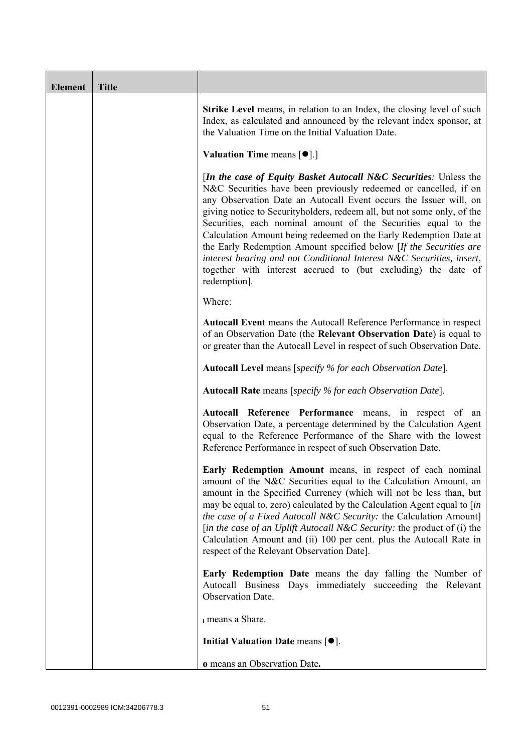| <b>Element</b> | <b>Title</b> |                                                                                                                                                                                                                                                                                                                                                                                                                                                                                                                                                                                                                                                                        |
|----------------|--------------|------------------------------------------------------------------------------------------------------------------------------------------------------------------------------------------------------------------------------------------------------------------------------------------------------------------------------------------------------------------------------------------------------------------------------------------------------------------------------------------------------------------------------------------------------------------------------------------------------------------------------------------------------------------------|
|                |              | <b>Strike Level</b> means, in relation to an Index, the closing level of such<br>Index, as calculated and announced by the relevant index sponsor, at<br>the Valuation Time on the Initial Valuation Date.                                                                                                                                                                                                                                                                                                                                                                                                                                                             |
|                |              | Valuation Time means [ <sup>•</sup> ].]                                                                                                                                                                                                                                                                                                                                                                                                                                                                                                                                                                                                                                |
|                |              | <i>In the case of Equity Basket Autocall N&amp;C Securities: Unless the</i><br>N&C Securities have been previously redeemed or cancelled, if on<br>any Observation Date an Autocall Event occurs the Issuer will, on<br>giving notice to Securityholders, redeem all, but not some only, of the<br>Securities, each nominal amount of the Securities equal to the<br>Calculation Amount being redeemed on the Early Redemption Date at<br>the Early Redemption Amount specified below [If the Securities are<br>interest bearing and not Conditional Interest N&C Securities, insert,<br>together with interest accrued to (but excluding) the date of<br>redemption]. |
|                |              | Where:                                                                                                                                                                                                                                                                                                                                                                                                                                                                                                                                                                                                                                                                 |
|                |              | Autocall Event means the Autocall Reference Performance in respect<br>of an Observation Date (the Relevant Observation Date) is equal to<br>or greater than the Autocall Level in respect of such Observation Date.                                                                                                                                                                                                                                                                                                                                                                                                                                                    |
|                |              | <b>Autocall Level</b> means [specify % for each Observation Date].                                                                                                                                                                                                                                                                                                                                                                                                                                                                                                                                                                                                     |
|                |              | Autocall Rate means [specify % for each Observation Date].                                                                                                                                                                                                                                                                                                                                                                                                                                                                                                                                                                                                             |
|                |              | Autocall Reference Performance means, in respect of an<br>Observation Date, a percentage determined by the Calculation Agent<br>equal to the Reference Performance of the Share with the lowest<br>Reference Performance in respect of such Observation Date.                                                                                                                                                                                                                                                                                                                                                                                                          |
|                |              | Early Redemption Amount means, in respect of each nominal<br>amount of the N&C Securities equal to the Calculation Amount, an<br>amount in the Specified Currency (which will not be less than, but<br>may be equal to, zero) calculated by the Calculation Agent equal to [in<br>the case of a Fixed Autocall N&C Security: the Calculation Amount]<br>[in the case of an Uplift Autocall N&C Security: the product of (i) the<br>Calculation Amount and (ii) 100 per cent. plus the Autocall Rate in<br>respect of the Relevant Observation Date].                                                                                                                   |
|                |              | Early Redemption Date means the day falling the Number of<br>Autocall Business Days immediately succeeding the Relevant<br>Observation Date.                                                                                                                                                                                                                                                                                                                                                                                                                                                                                                                           |
|                |              | i means a Share.                                                                                                                                                                                                                                                                                                                                                                                                                                                                                                                                                                                                                                                       |
|                |              | Initial Valuation Date means $[•]$ .                                                                                                                                                                                                                                                                                                                                                                                                                                                                                                                                                                                                                                   |
|                |              | o means an Observation Date.                                                                                                                                                                                                                                                                                                                                                                                                                                                                                                                                                                                                                                           |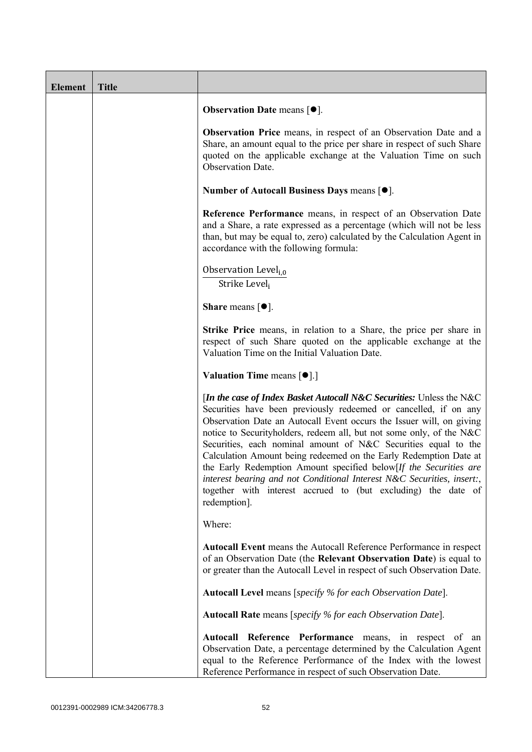| <b>Element</b> | <b>Title</b> |                                                                                                                                                                                                                                                                                                                                                                                                                                                                                                                                                                                                                                                                 |
|----------------|--------------|-----------------------------------------------------------------------------------------------------------------------------------------------------------------------------------------------------------------------------------------------------------------------------------------------------------------------------------------------------------------------------------------------------------------------------------------------------------------------------------------------------------------------------------------------------------------------------------------------------------------------------------------------------------------|
|                |              | <b>Observation Date means <math>\lceil \bullet \rceil</math>.</b>                                                                                                                                                                                                                                                                                                                                                                                                                                                                                                                                                                                               |
|                |              | Observation Price means, in respect of an Observation Date and a<br>Share, an amount equal to the price per share in respect of such Share<br>quoted on the applicable exchange at the Valuation Time on such<br><b>Observation Date.</b>                                                                                                                                                                                                                                                                                                                                                                                                                       |
|                |              | Number of Autocall Business Days means [●].                                                                                                                                                                                                                                                                                                                                                                                                                                                                                                                                                                                                                     |
|                |              | Reference Performance means, in respect of an Observation Date<br>and a Share, a rate expressed as a percentage (which will not be less<br>than, but may be equal to, zero) calculated by the Calculation Agent in<br>accordance with the following formula:                                                                                                                                                                                                                                                                                                                                                                                                    |
|                |              | Observation Level <sub>i.0</sub><br>Strike Level;                                                                                                                                                                                                                                                                                                                                                                                                                                                                                                                                                                                                               |
|                |              | <b>Share</b> means $[①]$ .                                                                                                                                                                                                                                                                                                                                                                                                                                                                                                                                                                                                                                      |
|                |              | <b>Strike Price</b> means, in relation to a Share, the price per share in<br>respect of such Share quoted on the applicable exchange at the<br>Valuation Time on the Initial Valuation Date.                                                                                                                                                                                                                                                                                                                                                                                                                                                                    |
|                |              | Valuation Time means [ $\bullet$ ].]                                                                                                                                                                                                                                                                                                                                                                                                                                                                                                                                                                                                                            |
|                |              | [In the case of Index Basket Autocall N&C Securities: Unless the N&C<br>Securities have been previously redeemed or cancelled, if on any<br>Observation Date an Autocall Event occurs the Issuer will, on giving<br>notice to Securityholders, redeem all, but not some only, of the N&C<br>Securities, each nominal amount of N&C Securities equal to the<br>Calculation Amount being redeemed on the Early Redemption Date at<br>the Early Redemption Amount specified below[If the Securities are<br>interest bearing and not Conditional Interest N&C Securities, insert:,<br>together with interest accrued to (but excluding) the date of<br>redemption]. |
|                |              | Where:                                                                                                                                                                                                                                                                                                                                                                                                                                                                                                                                                                                                                                                          |
|                |              | Autocall Event means the Autocall Reference Performance in respect<br>of an Observation Date (the Relevant Observation Date) is equal to<br>or greater than the Autocall Level in respect of such Observation Date.                                                                                                                                                                                                                                                                                                                                                                                                                                             |
|                |              | Autocall Level means [specify % for each Observation Date].                                                                                                                                                                                                                                                                                                                                                                                                                                                                                                                                                                                                     |
|                |              | <b>Autocall Rate</b> means [specify % for each Observation Date].                                                                                                                                                                                                                                                                                                                                                                                                                                                                                                                                                                                               |
|                |              | Autocall Reference Performance means, in respect of an<br>Observation Date, a percentage determined by the Calculation Agent<br>equal to the Reference Performance of the Index with the lowest<br>Reference Performance in respect of such Observation Date.                                                                                                                                                                                                                                                                                                                                                                                                   |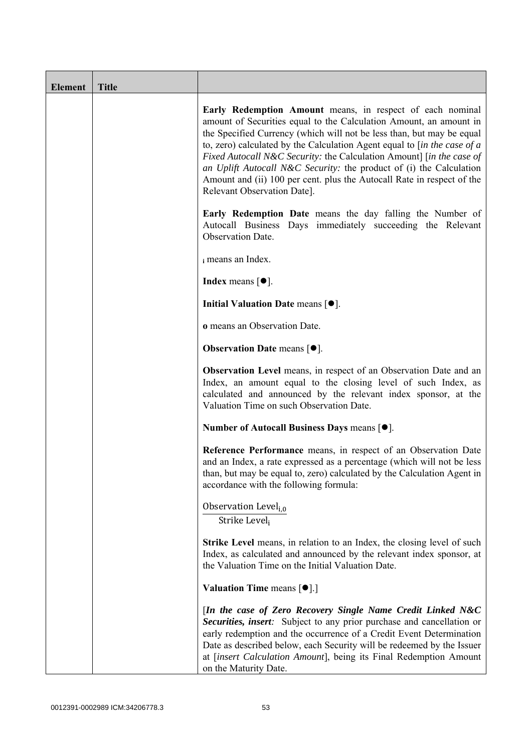| <b>Element</b> | <b>Title</b> |                                                                                                                                                                                                                                                                                                                                                                                                                                                                                                                                                           |
|----------------|--------------|-----------------------------------------------------------------------------------------------------------------------------------------------------------------------------------------------------------------------------------------------------------------------------------------------------------------------------------------------------------------------------------------------------------------------------------------------------------------------------------------------------------------------------------------------------------|
|                |              | Early Redemption Amount means, in respect of each nominal<br>amount of Securities equal to the Calculation Amount, an amount in<br>the Specified Currency (which will not be less than, but may be equal<br>to, zero) calculated by the Calculation Agent equal to $\int$ <i>in the case of a</i><br>Fixed Autocall N&C Security: the Calculation Amount] [in the case of<br>an Uplift Autocall N&C Security: the product of (i) the Calculation<br>Amount and (ii) 100 per cent. plus the Autocall Rate in respect of the<br>Relevant Observation Date]. |
|                |              | <b>Early Redemption Date</b> means the day falling the Number of<br>Autocall Business Days immediately succeeding the Relevant<br>Observation Date.                                                                                                                                                                                                                                                                                                                                                                                                       |
|                |              | i means an Index.                                                                                                                                                                                                                                                                                                                                                                                                                                                                                                                                         |
|                |              | <b>Index</b> means $\lceil \bullet \rceil$ .                                                                                                                                                                                                                                                                                                                                                                                                                                                                                                              |
|                |              | Initial Valuation Date means [ $\bullet$ ].                                                                                                                                                                                                                                                                                                                                                                                                                                                                                                               |
|                |              | o means an Observation Date.                                                                                                                                                                                                                                                                                                                                                                                                                                                                                                                              |
|                |              | <b>Observation Date means <math>\lceil \bullet \rceil</math>.</b>                                                                                                                                                                                                                                                                                                                                                                                                                                                                                         |
|                |              | Observation Level means, in respect of an Observation Date and an<br>Index, an amount equal to the closing level of such Index, as<br>calculated and announced by the relevant index sponsor, at the<br>Valuation Time on such Observation Date.                                                                                                                                                                                                                                                                                                          |
|                |              | Number of Autocall Business Days means [●].                                                                                                                                                                                                                                                                                                                                                                                                                                                                                                               |
|                |              | Reference Performance means, in respect of an Observation Date<br>and an Index, a rate expressed as a percentage (which will not be less<br>than, but may be equal to, zero) calculated by the Calculation Agent in<br>accordance with the following formula:                                                                                                                                                                                                                                                                                             |
|                |              | Observation Level <sub>i,0</sub><br>Strike Level;                                                                                                                                                                                                                                                                                                                                                                                                                                                                                                         |
|                |              | Strike Level means, in relation to an Index, the closing level of such<br>Index, as calculated and announced by the relevant index sponsor, at<br>the Valuation Time on the Initial Valuation Date.                                                                                                                                                                                                                                                                                                                                                       |
|                |              | Valuation Time means [ $\bullet$ ].]                                                                                                                                                                                                                                                                                                                                                                                                                                                                                                                      |
|                |              | [In the case of Zero Recovery Single Name Credit Linked N&C<br>Securities, insert: Subject to any prior purchase and cancellation or<br>early redemption and the occurrence of a Credit Event Determination<br>Date as described below, each Security will be redeemed by the Issuer<br>at [insert Calculation Amount], being its Final Redemption Amount<br>on the Maturity Date.                                                                                                                                                                        |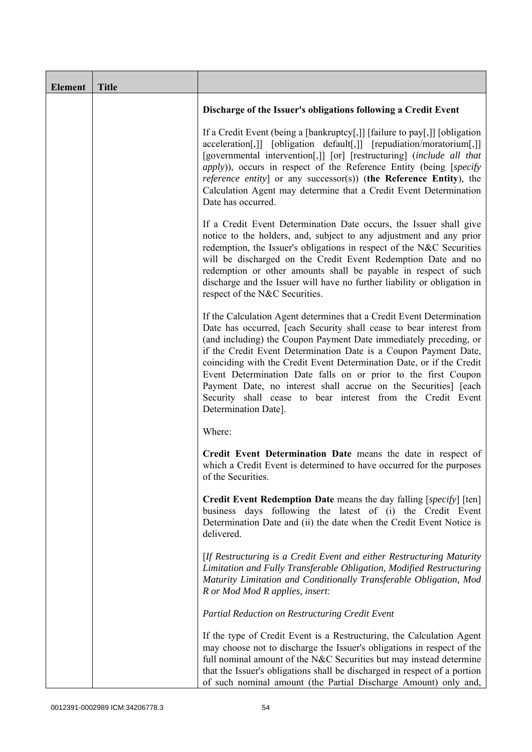| <b>Element</b> | <b>Title</b> |                                                                                                                                                                                                                                                                                                                                                                                                                                                                                                                                                                                            |
|----------------|--------------|--------------------------------------------------------------------------------------------------------------------------------------------------------------------------------------------------------------------------------------------------------------------------------------------------------------------------------------------------------------------------------------------------------------------------------------------------------------------------------------------------------------------------------------------------------------------------------------------|
|                |              | Discharge of the Issuer's obligations following a Credit Event                                                                                                                                                                                                                                                                                                                                                                                                                                                                                                                             |
|                |              | If a Credit Event (being a [bankruptcy[,]] [failure to pay[,]] [obligation<br>acceleration[,]] [obligation default[,]] [repudiation/moratorium[,]]<br>[governmental intervention[,]] [or] [restructuring] (include all that<br><i>apply</i> )), occurs in respect of the Reference Entity (being [ <i>specify</i><br><i>reference entity</i> ] or any successor(s)) (the Reference Entity), the<br>Calculation Agent may determine that a Credit Event Determination<br>Date has occurred.                                                                                                 |
|                |              | If a Credit Event Determination Date occurs, the Issuer shall give<br>notice to the holders, and, subject to any adjustment and any prior<br>redemption, the Issuer's obligations in respect of the N&C Securities<br>will be discharged on the Credit Event Redemption Date and no<br>redemption or other amounts shall be payable in respect of such<br>discharge and the Issuer will have no further liability or obligation in<br>respect of the N&C Securities.                                                                                                                       |
|                |              | If the Calculation Agent determines that a Credit Event Determination<br>Date has occurred, [each Security shall cease to bear interest from<br>(and including) the Coupon Payment Date immediately preceding, or<br>if the Credit Event Determination Date is a Coupon Payment Date,<br>coinciding with the Credit Event Determination Date, or if the Credit<br>Event Determination Date falls on or prior to the first Coupon<br>Payment Date, no interest shall accrue on the Securities] [each<br>Security shall cease to bear interest from the Credit Event<br>Determination Date]. |
|                |              | Where:                                                                                                                                                                                                                                                                                                                                                                                                                                                                                                                                                                                     |
|                |              | Credit Event Determination Date means the date in respect of<br>which a Credit Event is determined to have occurred for the purposes<br>of the Securities.                                                                                                                                                                                                                                                                                                                                                                                                                                 |
|                |              | <b>Credit Event Redemption Date</b> means the day falling [specify] [ten]<br>business days following the latest of (i) the Credit Event<br>Determination Date and (ii) the date when the Credit Event Notice is<br>delivered.                                                                                                                                                                                                                                                                                                                                                              |
|                |              | [If Restructuring is a Credit Event and either Restructuring Maturity<br>Limitation and Fully Transferable Obligation, Modified Restructuring<br>Maturity Limitation and Conditionally Transferable Obligation, Mod<br>R or Mod Mod R applies, insert:                                                                                                                                                                                                                                                                                                                                     |
|                |              | Partial Reduction on Restructuring Credit Event                                                                                                                                                                                                                                                                                                                                                                                                                                                                                                                                            |
|                |              | If the type of Credit Event is a Restructuring, the Calculation Agent<br>may choose not to discharge the Issuer's obligations in respect of the<br>full nominal amount of the N&C Securities but may instead determine<br>that the Issuer's obligations shall be discharged in respect of a portion<br>of such nominal amount (the Partial Discharge Amount) only and,                                                                                                                                                                                                                     |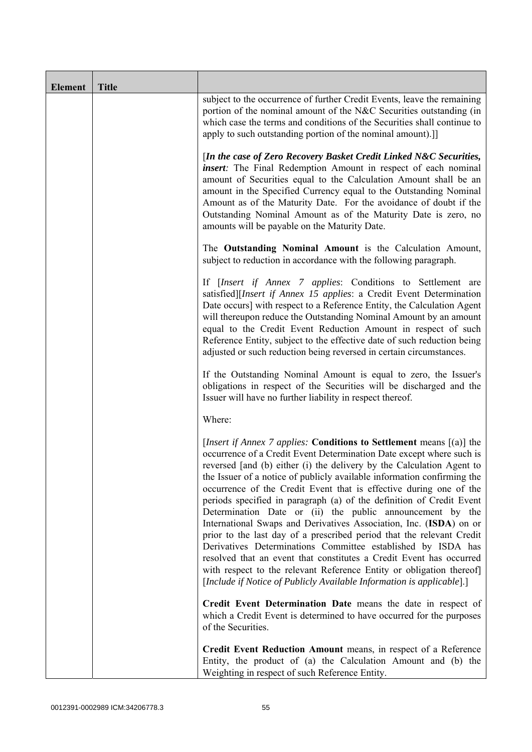| <b>Element</b> | <b>Title</b> |                                                                                                                                                                                                                                                                                                                                                                                                                                                                                                                                                                                                                                                                                                                                                                                                                                                                                                                                                           |
|----------------|--------------|-----------------------------------------------------------------------------------------------------------------------------------------------------------------------------------------------------------------------------------------------------------------------------------------------------------------------------------------------------------------------------------------------------------------------------------------------------------------------------------------------------------------------------------------------------------------------------------------------------------------------------------------------------------------------------------------------------------------------------------------------------------------------------------------------------------------------------------------------------------------------------------------------------------------------------------------------------------|
|                |              | subject to the occurrence of further Credit Events, leave the remaining<br>portion of the nominal amount of the N&C Securities outstanding (in<br>which case the terms and conditions of the Securities shall continue to<br>apply to such outstanding portion of the nominal amount).]                                                                                                                                                                                                                                                                                                                                                                                                                                                                                                                                                                                                                                                                   |
|                |              | [In the case of Zero Recovery Basket Credit Linked N&C Securities,<br><i>insert</i> : The Final Redemption Amount in respect of each nominal<br>amount of Securities equal to the Calculation Amount shall be an<br>amount in the Specified Currency equal to the Outstanding Nominal<br>Amount as of the Maturity Date. For the avoidance of doubt if the<br>Outstanding Nominal Amount as of the Maturity Date is zero, no<br>amounts will be payable on the Maturity Date.                                                                                                                                                                                                                                                                                                                                                                                                                                                                             |
|                |              | The Outstanding Nominal Amount is the Calculation Amount,<br>subject to reduction in accordance with the following paragraph.                                                                                                                                                                                                                                                                                                                                                                                                                                                                                                                                                                                                                                                                                                                                                                                                                             |
|                |              | If [Insert if Annex 7 applies: Conditions to Settlement are<br>satisfied][Insert if Annex 15 applies: a Credit Event Determination<br>Date occurs] with respect to a Reference Entity, the Calculation Agent<br>will thereupon reduce the Outstanding Nominal Amount by an amount<br>equal to the Credit Event Reduction Amount in respect of such<br>Reference Entity, subject to the effective date of such reduction being<br>adjusted or such reduction being reversed in certain circumstances.                                                                                                                                                                                                                                                                                                                                                                                                                                                      |
|                |              | If the Outstanding Nominal Amount is equal to zero, the Issuer's<br>obligations in respect of the Securities will be discharged and the<br>Issuer will have no further liability in respect thereof.                                                                                                                                                                                                                                                                                                                                                                                                                                                                                                                                                                                                                                                                                                                                                      |
|                |              | Where:                                                                                                                                                                                                                                                                                                                                                                                                                                                                                                                                                                                                                                                                                                                                                                                                                                                                                                                                                    |
|                |              | <i>[Insert if Annex 7 applies: Conditions to Settlement means [(a)] the</i><br>occurrence of a Credit Event Determination Date except where such is<br>reversed [and (b) either (i) the delivery by the Calculation Agent to<br>the Issuer of a notice of publicly available information confirming the<br>occurrence of the Credit Event that is effective during one of the<br>periods specified in paragraph (a) of the definition of Credit Event<br>Determination Date or (ii) the public announcement by the<br>International Swaps and Derivatives Association, Inc. (ISDA) on or<br>prior to the last day of a prescribed period that the relevant Credit<br>Derivatives Determinations Committee established by ISDA has<br>resolved that an event that constitutes a Credit Event has occurred<br>with respect to the relevant Reference Entity or obligation thereof]<br>[Include if Notice of Publicly Available Information is applicable].] |
|                |              | Credit Event Determination Date means the date in respect of<br>which a Credit Event is determined to have occurred for the purposes<br>of the Securities.                                                                                                                                                                                                                                                                                                                                                                                                                                                                                                                                                                                                                                                                                                                                                                                                |
|                |              | Credit Event Reduction Amount means, in respect of a Reference<br>Entity, the product of (a) the Calculation Amount and (b) the<br>Weighting in respect of such Reference Entity.                                                                                                                                                                                                                                                                                                                                                                                                                                                                                                                                                                                                                                                                                                                                                                         |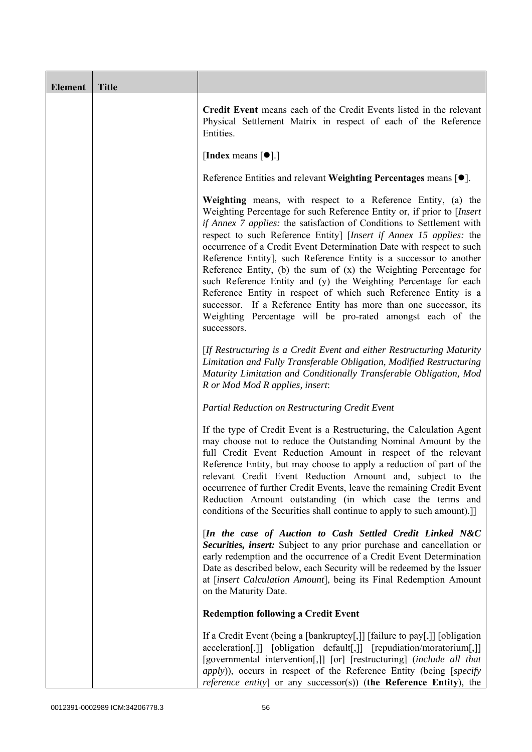| Element | <b>Title</b> |                                                                                                                                                                                                                                                                                                                                                                                                                                                                                                                                                                                                                                                                                                                                                                                                     |
|---------|--------------|-----------------------------------------------------------------------------------------------------------------------------------------------------------------------------------------------------------------------------------------------------------------------------------------------------------------------------------------------------------------------------------------------------------------------------------------------------------------------------------------------------------------------------------------------------------------------------------------------------------------------------------------------------------------------------------------------------------------------------------------------------------------------------------------------------|
|         |              | Credit Event means each of the Credit Events listed in the relevant<br>Physical Settlement Matrix in respect of each of the Reference<br>Entities.                                                                                                                                                                                                                                                                                                                                                                                                                                                                                                                                                                                                                                                  |
|         |              | [Index means $[\bullet]$ .]                                                                                                                                                                                                                                                                                                                                                                                                                                                                                                                                                                                                                                                                                                                                                                         |
|         |              | Reference Entities and relevant Weighting Percentages means $[•]$ .                                                                                                                                                                                                                                                                                                                                                                                                                                                                                                                                                                                                                                                                                                                                 |
|         |              | Weighting means, with respect to a Reference Entity, (a) the<br>Weighting Percentage for such Reference Entity or, if prior to [Insert]<br>if Annex 7 applies: the satisfaction of Conditions to Settlement with<br>respect to such Reference Entity] [Insert if Annex 15 applies: the<br>occurrence of a Credit Event Determination Date with respect to such<br>Reference Entity], such Reference Entity is a successor to another<br>Reference Entity, (b) the sum of $(x)$ the Weighting Percentage for<br>such Reference Entity and (y) the Weighting Percentage for each<br>Reference Entity in respect of which such Reference Entity is a<br>successor. If a Reference Entity has more than one successor, its<br>Weighting Percentage will be pro-rated amongst each of the<br>successors. |
|         |              | [If Restructuring is a Credit Event and either Restructuring Maturity<br>Limitation and Fully Transferable Obligation, Modified Restructuring<br>Maturity Limitation and Conditionally Transferable Obligation, Mod<br>R or Mod Mod R applies, insert:                                                                                                                                                                                                                                                                                                                                                                                                                                                                                                                                              |
|         |              | Partial Reduction on Restructuring Credit Event                                                                                                                                                                                                                                                                                                                                                                                                                                                                                                                                                                                                                                                                                                                                                     |
|         |              | If the type of Credit Event is a Restructuring, the Calculation Agent<br>may choose not to reduce the Outstanding Nominal Amount by the<br>full Credit Event Reduction Amount in respect of the relevant<br>Reference Entity, but may choose to apply a reduction of part of the<br>relevant Credit Event Reduction Amount and, subject to the<br>occurrence of further Credit Events, leave the remaining Credit Event<br>Reduction Amount outstanding (in which case the terms and<br>conditions of the Securities shall continue to apply to such amount).]                                                                                                                                                                                                                                      |
|         |              | [In the case of Auction to Cash Settled Credit Linked N&C<br>Securities, insert: Subject to any prior purchase and cancellation or<br>early redemption and the occurrence of a Credit Event Determination<br>Date as described below, each Security will be redeemed by the Issuer<br>at [insert Calculation Amount], being its Final Redemption Amount<br>on the Maturity Date.                                                                                                                                                                                                                                                                                                                                                                                                                    |
|         |              | <b>Redemption following a Credit Event</b>                                                                                                                                                                                                                                                                                                                                                                                                                                                                                                                                                                                                                                                                                                                                                          |
|         |              | If a Credit Event (being a [bankruptcy[,]] [failure to pay[,]] [obligation<br>acceleration[,]] [obligation default[,]] [repudiation/moratorium[,]]<br>[governmental intervention[,]] [or] [restructuring] (include all that<br><i>apply</i> )), occurs in respect of the Reference Entity (being [specify<br>reference entity] or any successor(s)) (the Reference Entity), the                                                                                                                                                                                                                                                                                                                                                                                                                     |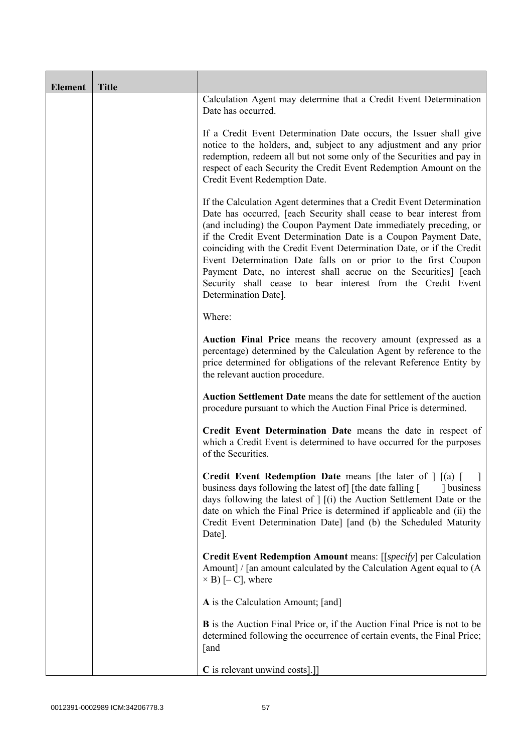| <b>Element</b> | <b>Title</b> |                                                                                                                                                                                                                                                                                                                                                                                                                                                                                                                                                                                            |
|----------------|--------------|--------------------------------------------------------------------------------------------------------------------------------------------------------------------------------------------------------------------------------------------------------------------------------------------------------------------------------------------------------------------------------------------------------------------------------------------------------------------------------------------------------------------------------------------------------------------------------------------|
|                |              | Calculation Agent may determine that a Credit Event Determination<br>Date has occurred.                                                                                                                                                                                                                                                                                                                                                                                                                                                                                                    |
|                |              | If a Credit Event Determination Date occurs, the Issuer shall give<br>notice to the holders, and, subject to any adjustment and any prior<br>redemption, redeem all but not some only of the Securities and pay in<br>respect of each Security the Credit Event Redemption Amount on the<br>Credit Event Redemption Date.                                                                                                                                                                                                                                                                  |
|                |              | If the Calculation Agent determines that a Credit Event Determination<br>Date has occurred, [each Security shall cease to bear interest from<br>(and including) the Coupon Payment Date immediately preceding, or<br>if the Credit Event Determination Date is a Coupon Payment Date,<br>coinciding with the Credit Event Determination Date, or if the Credit<br>Event Determination Date falls on or prior to the first Coupon<br>Payment Date, no interest shall accrue on the Securities] [each<br>Security shall cease to bear interest from the Credit Event<br>Determination Date]. |
|                |              | Where:                                                                                                                                                                                                                                                                                                                                                                                                                                                                                                                                                                                     |
|                |              | Auction Final Price means the recovery amount (expressed as a<br>percentage) determined by the Calculation Agent by reference to the<br>price determined for obligations of the relevant Reference Entity by<br>the relevant auction procedure.                                                                                                                                                                                                                                                                                                                                            |
|                |              | Auction Settlement Date means the date for settlement of the auction<br>procedure pursuant to which the Auction Final Price is determined.                                                                                                                                                                                                                                                                                                                                                                                                                                                 |
|                |              | Credit Event Determination Date means the date in respect of<br>which a Credit Event is determined to have occurred for the purposes<br>of the Securities.                                                                                                                                                                                                                                                                                                                                                                                                                                 |
|                |              | <b>Credit Event Redemption Date</b> means [the later of $\int$ [(a) [<br>business days following the latest of [the date falling [<br>dollar business<br>days following the latest of $\vert$ $\vert$ (i) the Auction Settlement Date or the<br>date on which the Final Price is determined if applicable and (ii) the<br>Credit Event Determination Date] [and (b) the Scheduled Maturity<br>Date].                                                                                                                                                                                       |
|                |              | Credit Event Redemption Amount means: [[specify] per Calculation<br>Amount] / [an amount calculated by the Calculation Agent equal to (A<br>$\times$ B) [- C], where                                                                                                                                                                                                                                                                                                                                                                                                                       |
|                |              | A is the Calculation Amount; [and]                                                                                                                                                                                                                                                                                                                                                                                                                                                                                                                                                         |
|                |              | <b>B</b> is the Auction Final Price or, if the Auction Final Price is not to be<br>determined following the occurrence of certain events, the Final Price;<br>[and                                                                                                                                                                                                                                                                                                                                                                                                                         |
|                |              | C is relevant unwind costs].]]                                                                                                                                                                                                                                                                                                                                                                                                                                                                                                                                                             |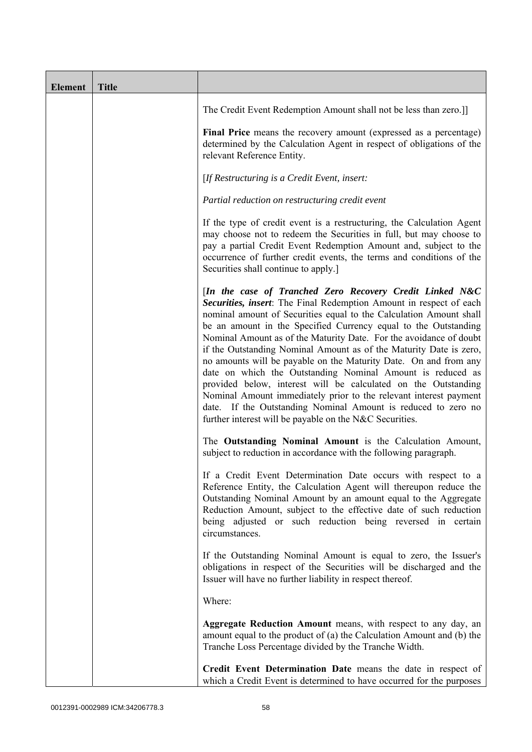| <b>Element</b> | <b>Title</b> |                                                                                                                                                                                                                                                                                                                                                                                                                                                                                                                                                                                                                                                                                                                                                                                                                          |
|----------------|--------------|--------------------------------------------------------------------------------------------------------------------------------------------------------------------------------------------------------------------------------------------------------------------------------------------------------------------------------------------------------------------------------------------------------------------------------------------------------------------------------------------------------------------------------------------------------------------------------------------------------------------------------------------------------------------------------------------------------------------------------------------------------------------------------------------------------------------------|
|                |              | The Credit Event Redemption Amount shall not be less than zero.]                                                                                                                                                                                                                                                                                                                                                                                                                                                                                                                                                                                                                                                                                                                                                         |
|                |              | Final Price means the recovery amount (expressed as a percentage)<br>determined by the Calculation Agent in respect of obligations of the<br>relevant Reference Entity.                                                                                                                                                                                                                                                                                                                                                                                                                                                                                                                                                                                                                                                  |
|                |              | [If Restructuring is a Credit Event, insert:                                                                                                                                                                                                                                                                                                                                                                                                                                                                                                                                                                                                                                                                                                                                                                             |
|                |              | Partial reduction on restructuring credit event                                                                                                                                                                                                                                                                                                                                                                                                                                                                                                                                                                                                                                                                                                                                                                          |
|                |              | If the type of credit event is a restructuring, the Calculation Agent<br>may choose not to redeem the Securities in full, but may choose to<br>pay a partial Credit Event Redemption Amount and, subject to the<br>occurrence of further credit events, the terms and conditions of the<br>Securities shall continue to apply.]                                                                                                                                                                                                                                                                                                                                                                                                                                                                                          |
|                |              | [In the case of Tranched Zero Recovery Credit Linked N&C<br>Securities, insert: The Final Redemption Amount in respect of each<br>nominal amount of Securities equal to the Calculation Amount shall<br>be an amount in the Specified Currency equal to the Outstanding<br>Nominal Amount as of the Maturity Date. For the avoidance of doubt<br>if the Outstanding Nominal Amount as of the Maturity Date is zero,<br>no amounts will be payable on the Maturity Date. On and from any<br>date on which the Outstanding Nominal Amount is reduced as<br>provided below, interest will be calculated on the Outstanding<br>Nominal Amount immediately prior to the relevant interest payment<br>date. If the Outstanding Nominal Amount is reduced to zero no<br>further interest will be payable on the N&C Securities. |
|                |              | The Outstanding Nominal Amount is the Calculation Amount,<br>subject to reduction in accordance with the following paragraph.                                                                                                                                                                                                                                                                                                                                                                                                                                                                                                                                                                                                                                                                                            |
|                |              | If a Credit Event Determination Date occurs with respect to a<br>Reference Entity, the Calculation Agent will thereupon reduce the<br>Outstanding Nominal Amount by an amount equal to the Aggregate<br>Reduction Amount, subject to the effective date of such reduction<br>being adjusted or such reduction being reversed in certain<br>circumstances.                                                                                                                                                                                                                                                                                                                                                                                                                                                                |
|                |              | If the Outstanding Nominal Amount is equal to zero, the Issuer's<br>obligations in respect of the Securities will be discharged and the<br>Issuer will have no further liability in respect thereof.                                                                                                                                                                                                                                                                                                                                                                                                                                                                                                                                                                                                                     |
|                |              | Where:                                                                                                                                                                                                                                                                                                                                                                                                                                                                                                                                                                                                                                                                                                                                                                                                                   |
|                |              | Aggregate Reduction Amount means, with respect to any day, an<br>amount equal to the product of (a) the Calculation Amount and (b) the<br>Tranche Loss Percentage divided by the Tranche Width.                                                                                                                                                                                                                                                                                                                                                                                                                                                                                                                                                                                                                          |
|                |              | Credit Event Determination Date means the date in respect of<br>which a Credit Event is determined to have occurred for the purposes                                                                                                                                                                                                                                                                                                                                                                                                                                                                                                                                                                                                                                                                                     |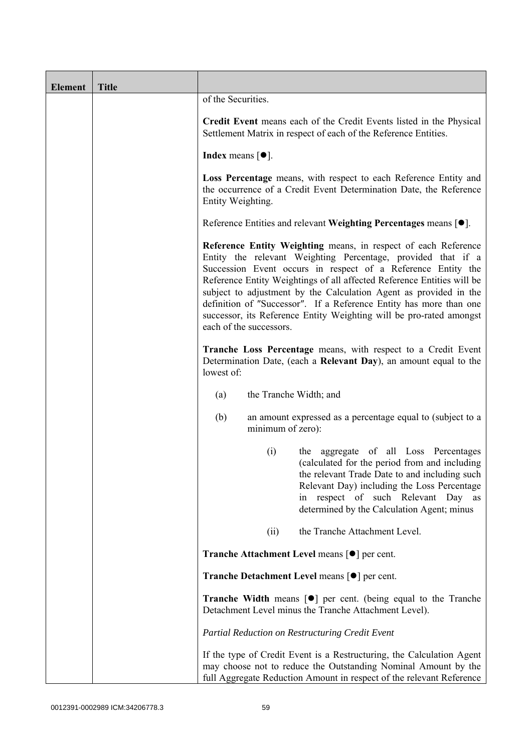| <b>Element</b> | <b>Title</b> |                                                                                                                                                                                                                                                                                                                                                                                                                                                                                                                       |
|----------------|--------------|-----------------------------------------------------------------------------------------------------------------------------------------------------------------------------------------------------------------------------------------------------------------------------------------------------------------------------------------------------------------------------------------------------------------------------------------------------------------------------------------------------------------------|
|                |              | of the Securities.                                                                                                                                                                                                                                                                                                                                                                                                                                                                                                    |
|                |              | Credit Event means each of the Credit Events listed in the Physical<br>Settlement Matrix in respect of each of the Reference Entities.                                                                                                                                                                                                                                                                                                                                                                                |
|                |              | <b>Index</b> means $[•]$ .                                                                                                                                                                                                                                                                                                                                                                                                                                                                                            |
|                |              | Loss Percentage means, with respect to each Reference Entity and<br>the occurrence of a Credit Event Determination Date, the Reference<br>Entity Weighting.                                                                                                                                                                                                                                                                                                                                                           |
|                |              | Reference Entities and relevant Weighting Percentages means [●].                                                                                                                                                                                                                                                                                                                                                                                                                                                      |
|                |              | Reference Entity Weighting means, in respect of each Reference<br>Entity the relevant Weighting Percentage, provided that if a<br>Succession Event occurs in respect of a Reference Entity the<br>Reference Entity Weightings of all affected Reference Entities will be<br>subject to adjustment by the Calculation Agent as provided in the<br>definition of "Successor". If a Reference Entity has more than one<br>successor, its Reference Entity Weighting will be pro-rated amongst<br>each of the successors. |
|                |              | Tranche Loss Percentage means, with respect to a Credit Event<br>Determination Date, (each a Relevant Day), an amount equal to the<br>lowest of:                                                                                                                                                                                                                                                                                                                                                                      |
|                |              | the Tranche Width; and<br>(a)                                                                                                                                                                                                                                                                                                                                                                                                                                                                                         |
|                |              | (b)<br>an amount expressed as a percentage equal to (subject to a<br>minimum of zero):                                                                                                                                                                                                                                                                                                                                                                                                                                |
|                |              | the aggregate of all Loss Percentages<br>(i)<br>(calculated for the period from and including<br>the relevant Trade Date to and including such<br>Relevant Day) including the Loss Percentage<br>respect of such Relevant Day as<br>in<br>determined by the Calculation Agent; minus                                                                                                                                                                                                                                  |
|                |              | the Tranche Attachment Level.<br>(ii)                                                                                                                                                                                                                                                                                                                                                                                                                                                                                 |
|                |              | <b>Tranche Attachment Level means <math>\lceil \bullet \rceil</math> per cent.</b>                                                                                                                                                                                                                                                                                                                                                                                                                                    |
|                |              | <b>Tranche Detachment Level means [●] per cent.</b>                                                                                                                                                                                                                                                                                                                                                                                                                                                                   |
|                |              | <b>Tranche Width</b> means $\lceil \bullet \rceil$ per cent. (being equal to the Tranche<br>Detachment Level minus the Tranche Attachment Level).                                                                                                                                                                                                                                                                                                                                                                     |
|                |              | Partial Reduction on Restructuring Credit Event                                                                                                                                                                                                                                                                                                                                                                                                                                                                       |
|                |              | If the type of Credit Event is a Restructuring, the Calculation Agent<br>may choose not to reduce the Outstanding Nominal Amount by the<br>full Aggregate Reduction Amount in respect of the relevant Reference                                                                                                                                                                                                                                                                                                       |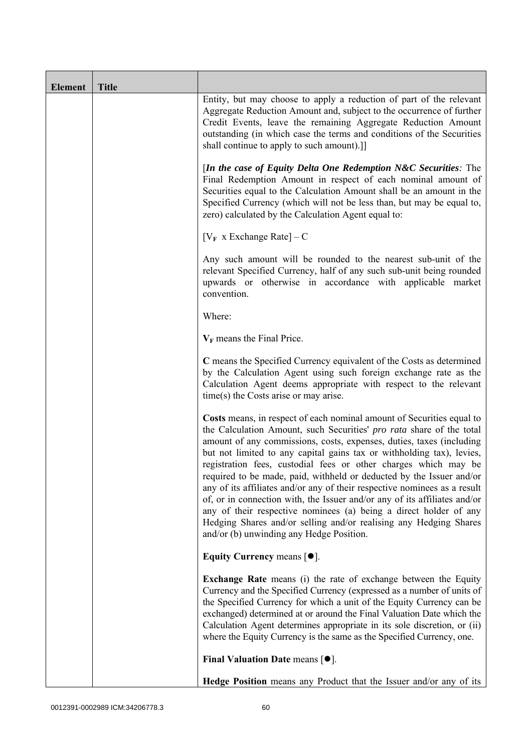| <b>Element</b> | <b>Title</b> |                                                                                                                                                                                                                                                                                                                                                                                                                                                                                                                                                                                                                                                                                                                                                                                           |
|----------------|--------------|-------------------------------------------------------------------------------------------------------------------------------------------------------------------------------------------------------------------------------------------------------------------------------------------------------------------------------------------------------------------------------------------------------------------------------------------------------------------------------------------------------------------------------------------------------------------------------------------------------------------------------------------------------------------------------------------------------------------------------------------------------------------------------------------|
|                |              | Entity, but may choose to apply a reduction of part of the relevant<br>Aggregate Reduction Amount and, subject to the occurrence of further<br>Credit Events, leave the remaining Aggregate Reduction Amount<br>outstanding (in which case the terms and conditions of the Securities<br>shall continue to apply to such amount).]                                                                                                                                                                                                                                                                                                                                                                                                                                                        |
|                |              | [In the case of Equity Delta One Redemption N&C Securities: The<br>Final Redemption Amount in respect of each nominal amount of<br>Securities equal to the Calculation Amount shall be an amount in the<br>Specified Currency (which will not be less than, but may be equal to,<br>zero) calculated by the Calculation Agent equal to:                                                                                                                                                                                                                                                                                                                                                                                                                                                   |
|                |              | $[V_F \times Exchange Rate] - C$                                                                                                                                                                                                                                                                                                                                                                                                                                                                                                                                                                                                                                                                                                                                                          |
|                |              | Any such amount will be rounded to the nearest sub-unit of the<br>relevant Specified Currency, half of any such sub-unit being rounded<br>upwards or otherwise in accordance with applicable market<br>convention.                                                                                                                                                                                                                                                                                                                                                                                                                                                                                                                                                                        |
|                |              | Where:                                                                                                                                                                                                                                                                                                                                                                                                                                                                                                                                                                                                                                                                                                                                                                                    |
|                |              | $V_F$ means the Final Price.                                                                                                                                                                                                                                                                                                                                                                                                                                                                                                                                                                                                                                                                                                                                                              |
|                |              | C means the Specified Currency equivalent of the Costs as determined<br>by the Calculation Agent using such foreign exchange rate as the<br>Calculation Agent deems appropriate with respect to the relevant<br>time(s) the Costs arise or may arise.                                                                                                                                                                                                                                                                                                                                                                                                                                                                                                                                     |
|                |              | Costs means, in respect of each nominal amount of Securities equal to<br>the Calculation Amount, such Securities' pro rata share of the total<br>amount of any commissions, costs, expenses, duties, taxes (including<br>but not limited to any capital gains tax or withholding tax), levies,<br>registration fees, custodial fees or other charges which may be<br>required to be made, paid, withheld or deducted by the Issuer and/or<br>any of its affiliates and/or any of their respective nominees as a result<br>of, or in connection with, the Issuer and/or any of its affiliates and/or<br>any of their respective nominees (a) being a direct holder of any<br>Hedging Shares and/or selling and/or realising any Hedging Shares<br>and/or (b) unwinding any Hedge Position. |
|                |              | Equity Currency means $[\bullet].$                                                                                                                                                                                                                                                                                                                                                                                                                                                                                                                                                                                                                                                                                                                                                        |
|                |              | <b>Exchange Rate</b> means (i) the rate of exchange between the Equity<br>Currency and the Specified Currency (expressed as a number of units of<br>the Specified Currency for which a unit of the Equity Currency can be<br>exchanged) determined at or around the Final Valuation Date which the<br>Calculation Agent determines appropriate in its sole discretion, or (ii)<br>where the Equity Currency is the same as the Specified Currency, one.                                                                                                                                                                                                                                                                                                                                   |
|                |              | Final Valuation Date means $[•]$ .                                                                                                                                                                                                                                                                                                                                                                                                                                                                                                                                                                                                                                                                                                                                                        |
|                |              | Hedge Position means any Product that the Issuer and/or any of its                                                                                                                                                                                                                                                                                                                                                                                                                                                                                                                                                                                                                                                                                                                        |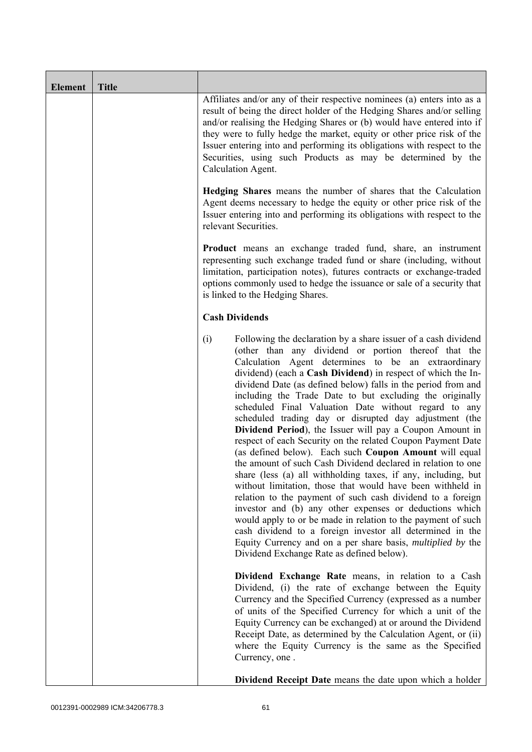| <b>Element</b> | <b>Title</b> |                                                                                                                                                                                                                                                                                                                                                                                                                                                                                                                                                                                                                                                                                                                                                                                                                                                                                                                                                                                                                                                                                                                                                                                                                                                                  |
|----------------|--------------|------------------------------------------------------------------------------------------------------------------------------------------------------------------------------------------------------------------------------------------------------------------------------------------------------------------------------------------------------------------------------------------------------------------------------------------------------------------------------------------------------------------------------------------------------------------------------------------------------------------------------------------------------------------------------------------------------------------------------------------------------------------------------------------------------------------------------------------------------------------------------------------------------------------------------------------------------------------------------------------------------------------------------------------------------------------------------------------------------------------------------------------------------------------------------------------------------------------------------------------------------------------|
|                |              | Affiliates and/or any of their respective nominees (a) enters into as a<br>result of being the direct holder of the Hedging Shares and/or selling<br>and/or realising the Hedging Shares or (b) would have entered into if<br>they were to fully hedge the market, equity or other price risk of the<br>Issuer entering into and performing its obligations with respect to the<br>Securities, using such Products as may be determined by the<br>Calculation Agent.                                                                                                                                                                                                                                                                                                                                                                                                                                                                                                                                                                                                                                                                                                                                                                                             |
|                |              | <b>Hedging Shares</b> means the number of shares that the Calculation<br>Agent deems necessary to hedge the equity or other price risk of the<br>Issuer entering into and performing its obligations with respect to the<br>relevant Securities.                                                                                                                                                                                                                                                                                                                                                                                                                                                                                                                                                                                                                                                                                                                                                                                                                                                                                                                                                                                                                 |
|                |              | <b>Product</b> means an exchange traded fund, share, an instrument<br>representing such exchange traded fund or share (including, without<br>limitation, participation notes), futures contracts or exchange-traded<br>options commonly used to hedge the issuance or sale of a security that<br>is linked to the Hedging Shares.                                                                                                                                                                                                                                                                                                                                                                                                                                                                                                                                                                                                                                                                                                                                                                                                                                                                                                                                |
|                |              | <b>Cash Dividends</b>                                                                                                                                                                                                                                                                                                                                                                                                                                                                                                                                                                                                                                                                                                                                                                                                                                                                                                                                                                                                                                                                                                                                                                                                                                            |
|                |              | (i)<br>Following the declaration by a share issuer of a cash dividend<br>(other than any dividend or portion thereof that the<br>Calculation Agent determines to be an extraordinary<br>dividend) (each a Cash Dividend) in respect of which the In-<br>dividend Date (as defined below) falls in the period from and<br>including the Trade Date to but excluding the originally<br>scheduled Final Valuation Date without regard to any<br>scheduled trading day or disrupted day adjustment (the<br>Dividend Period), the Issuer will pay a Coupon Amount in<br>respect of each Security on the related Coupon Payment Date<br>(as defined below). Each such Coupon Amount will equal<br>the amount of such Cash Dividend declared in relation to one<br>share (less (a) all withholding taxes, if any, including, but<br>without limitation, those that would have been withheld in<br>relation to the payment of such cash dividend to a foreign<br>investor and (b) any other expenses or deductions which<br>would apply to or be made in relation to the payment of such<br>cash dividend to a foreign investor all determined in the<br>Equity Currency and on a per share basis, <i>multiplied by</i> the<br>Dividend Exchange Rate as defined below). |
|                |              | Dividend Exchange Rate means, in relation to a Cash<br>Dividend, (i) the rate of exchange between the Equity<br>Currency and the Specified Currency (expressed as a number<br>of units of the Specified Currency for which a unit of the<br>Equity Currency can be exchanged) at or around the Dividend<br>Receipt Date, as determined by the Calculation Agent, or (ii)<br>where the Equity Currency is the same as the Specified<br>Currency, one.                                                                                                                                                                                                                                                                                                                                                                                                                                                                                                                                                                                                                                                                                                                                                                                                             |
|                |              | <b>Dividend Receipt Date</b> means the date upon which a holder                                                                                                                                                                                                                                                                                                                                                                                                                                                                                                                                                                                                                                                                                                                                                                                                                                                                                                                                                                                                                                                                                                                                                                                                  |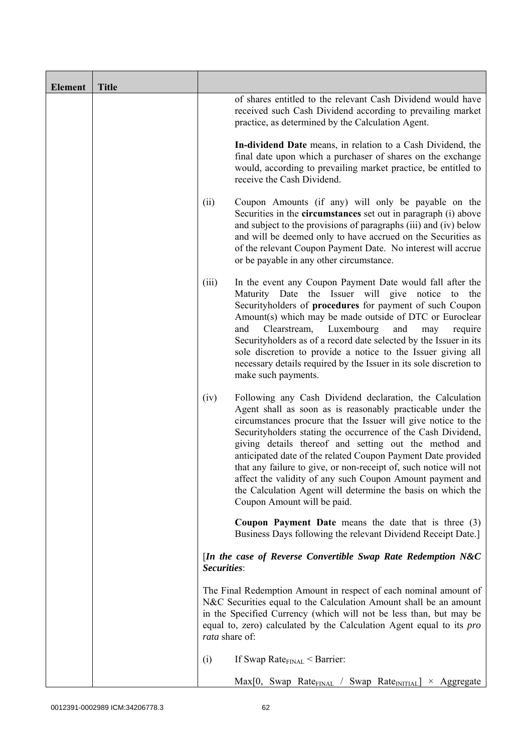| <b>Element</b> | <b>Title</b> |                |                                                                                                                                                                                                                                                                                                                                                                                                                                                                                                                                                                                                                   |
|----------------|--------------|----------------|-------------------------------------------------------------------------------------------------------------------------------------------------------------------------------------------------------------------------------------------------------------------------------------------------------------------------------------------------------------------------------------------------------------------------------------------------------------------------------------------------------------------------------------------------------------------------------------------------------------------|
|                |              |                | of shares entitled to the relevant Cash Dividend would have<br>received such Cash Dividend according to prevailing market<br>practice, as determined by the Calculation Agent.                                                                                                                                                                                                                                                                                                                                                                                                                                    |
|                |              |                | In-dividend Date means, in relation to a Cash Dividend, the<br>final date upon which a purchaser of shares on the exchange<br>would, according to prevailing market practice, be entitled to<br>receive the Cash Dividend.                                                                                                                                                                                                                                                                                                                                                                                        |
|                |              | (ii)           | Coupon Amounts (if any) will only be payable on the<br>Securities in the <b>circumstances</b> set out in paragraph (i) above<br>and subject to the provisions of paragraphs (iii) and (iv) below<br>and will be deemed only to have accrued on the Securities as<br>of the relevant Coupon Payment Date. No interest will accrue<br>or be payable in any other circumstance.                                                                                                                                                                                                                                      |
|                |              | (iii)          | In the event any Coupon Payment Date would fall after the<br>Maturity Date the Issuer will give notice to<br>the<br>Securityholders of procedures for payment of such Coupon<br>Amount(s) which may be made outside of DTC or Euroclear<br>Clearstream,<br>Luxembourg<br>and<br>and<br>require<br>may<br>Securityholders as of a record date selected by the Issuer in its<br>sole discretion to provide a notice to the Issuer giving all<br>necessary details required by the Issuer in its sole discretion to<br>make such payments.                                                                           |
|                |              | (iv)           | Following any Cash Dividend declaration, the Calculation<br>Agent shall as soon as is reasonably practicable under the<br>circumstances procure that the Issuer will give notice to the<br>Security holders stating the occurrence of the Cash Dividend,<br>giving details thereof and setting out the method and<br>anticipated date of the related Coupon Payment Date provided<br>that any failure to give, or non-receipt of, such notice will not<br>affect the validity of any such Coupon Amount payment and<br>the Calculation Agent will determine the basis on which the<br>Coupon Amount will be paid. |
|                |              |                | <b>Coupon Payment Date</b> means the date that is three $(3)$<br>Business Days following the relevant Dividend Receipt Date.]                                                                                                                                                                                                                                                                                                                                                                                                                                                                                     |
|                |              | Securities:    | [In the case of Reverse Convertible Swap Rate Redemption N&C                                                                                                                                                                                                                                                                                                                                                                                                                                                                                                                                                      |
|                |              | rata share of: | The Final Redemption Amount in respect of each nominal amount of<br>N&C Securities equal to the Calculation Amount shall be an amount<br>in the Specified Currency (which will not be less than, but may be<br>equal to, zero) calculated by the Calculation Agent equal to its pro                                                                                                                                                                                                                                                                                                                               |
|                |              | (i)            | If Swap Rate $_{\text{FINAL}}$ < Barrier:                                                                                                                                                                                                                                                                                                                                                                                                                                                                                                                                                                         |
|                |              |                | $Max[0, Swap Rate_{FINAL} / Swap Rate_{INITIAL}] \times Aggregate$                                                                                                                                                                                                                                                                                                                                                                                                                                                                                                                                                |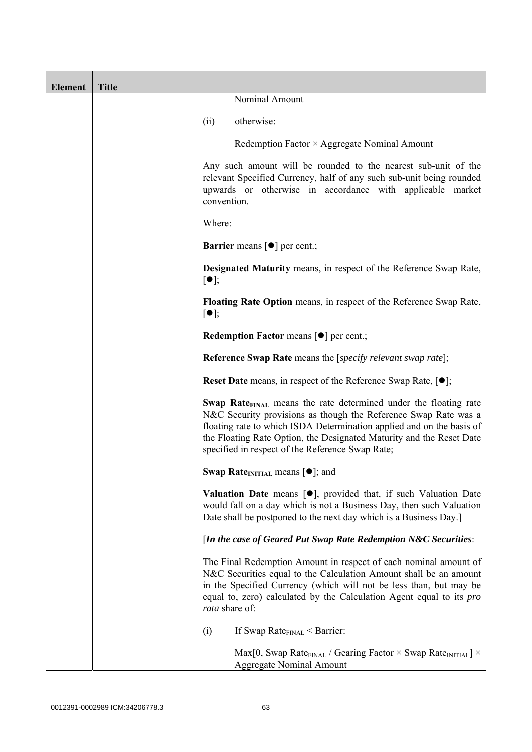| <b>Element</b> | <b>Title</b> |                                                                                                                                                                                                                                                                                                                                                      |
|----------------|--------------|------------------------------------------------------------------------------------------------------------------------------------------------------------------------------------------------------------------------------------------------------------------------------------------------------------------------------------------------------|
|                |              | Nominal Amount                                                                                                                                                                                                                                                                                                                                       |
|                |              | otherwise:<br>(ii)                                                                                                                                                                                                                                                                                                                                   |
|                |              | Redemption Factor × Aggregate Nominal Amount                                                                                                                                                                                                                                                                                                         |
|                |              | Any such amount will be rounded to the nearest sub-unit of the<br>relevant Specified Currency, half of any such sub-unit being rounded<br>upwards or otherwise in accordance with applicable market<br>convention.                                                                                                                                   |
|                |              | Where:                                                                                                                                                                                                                                                                                                                                               |
|                |              | <b>Barrier</b> means $\lceil \bullet \rceil$ per cent.;                                                                                                                                                                                                                                                                                              |
|                |              | <b>Designated Maturity means, in respect of the Reference Swap Rate,</b><br>$[\bullet]$ ;                                                                                                                                                                                                                                                            |
|                |              | <b>Floating Rate Option</b> means, in respect of the Reference Swap Rate,<br>$[\bullet]$ ;                                                                                                                                                                                                                                                           |
|                |              | Redemption Factor means [ $\bullet$ ] per cent.;                                                                                                                                                                                                                                                                                                     |
|                |              | <b>Reference Swap Rate</b> means the [ <i>specify relevant swap rate</i> ];                                                                                                                                                                                                                                                                          |
|                |              | <b>Reset Date</b> means, in respect of the Reference Swap Rate, $[•]$ ;                                                                                                                                                                                                                                                                              |
|                |              | Swap Rate <sub>FINAL</sub> means the rate determined under the floating rate<br>N&C Security provisions as though the Reference Swap Rate was a<br>floating rate to which ISDA Determination applied and on the basis of<br>the Floating Rate Option, the Designated Maturity and the Reset Date<br>specified in respect of the Reference Swap Rate; |
|                |              | <b>Swap Rate</b> <sub>INITIAL</sub> means $[\bullet]$ ; and                                                                                                                                                                                                                                                                                          |
|                |              | Valuation Date means [.], provided that, if such Valuation Date<br>would fall on a day which is not a Business Day, then such Valuation<br>Date shall be postponed to the next day which is a Business Day.]                                                                                                                                         |
|                |              | [In the case of Geared Put Swap Rate Redemption N&C Securities:                                                                                                                                                                                                                                                                                      |
|                |              | The Final Redemption Amount in respect of each nominal amount of<br>N&C Securities equal to the Calculation Amount shall be an amount<br>in the Specified Currency (which will not be less than, but may be<br>equal to, zero) calculated by the Calculation Agent equal to its <i>pro</i><br>rata share of:                                         |
|                |              | If Swap Rate $_{\text{FINAL}}$ < Barrier:<br>(i)                                                                                                                                                                                                                                                                                                     |
|                |              | Max[0, Swap Rate <sub>FINAL</sub> / Gearing Factor $\times$ Swap Rate <sub>INITIAL</sub> ] $\times$<br><b>Aggregate Nominal Amount</b>                                                                                                                                                                                                               |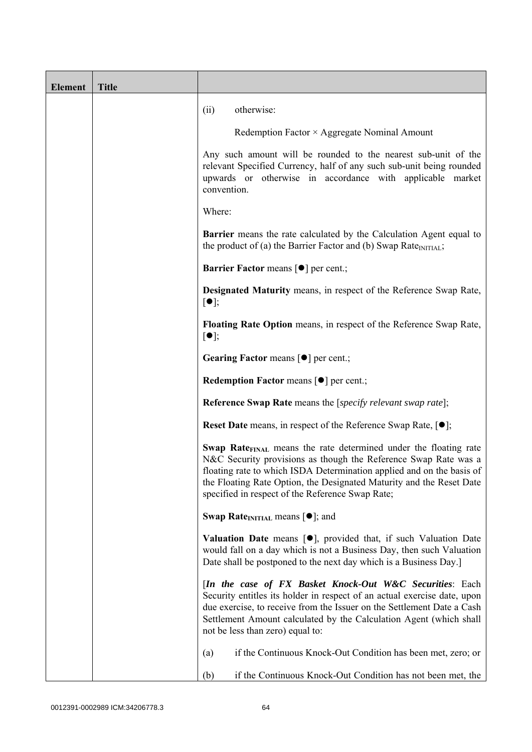| <b>Element</b> | <b>Title</b> |                                                                                                                                                                                                                                                                                                                                                             |
|----------------|--------------|-------------------------------------------------------------------------------------------------------------------------------------------------------------------------------------------------------------------------------------------------------------------------------------------------------------------------------------------------------------|
|                |              | otherwise:<br>(ii)                                                                                                                                                                                                                                                                                                                                          |
|                |              | Redemption Factor × Aggregate Nominal Amount                                                                                                                                                                                                                                                                                                                |
|                |              | Any such amount will be rounded to the nearest sub-unit of the<br>relevant Specified Currency, half of any such sub-unit being rounded<br>upwards or otherwise in accordance with applicable market<br>convention.                                                                                                                                          |
|                |              | Where:                                                                                                                                                                                                                                                                                                                                                      |
|                |              | <b>Barrier</b> means the rate calculated by the Calculation Agent equal to<br>the product of (a) the Barrier Factor and (b) Swap Rate $_{\text{INITIAL}}$ ;                                                                                                                                                                                                 |
|                |              | <b>Barrier Factor means [<math>\bullet</math>] per cent.;</b>                                                                                                                                                                                                                                                                                               |
|                |              | <b>Designated Maturity means, in respect of the Reference Swap Rate,</b><br>$[\bullet]$ ;                                                                                                                                                                                                                                                                   |
|                |              | Floating Rate Option means, in respect of the Reference Swap Rate,<br>$[\bullet]$ ;                                                                                                                                                                                                                                                                         |
|                |              | Gearing Factor means [ $\bullet$ ] per cent.;                                                                                                                                                                                                                                                                                                               |
|                |              | <b>Redemption Factor means <math>\lceil \bullet \rceil</math> per cent.;</b>                                                                                                                                                                                                                                                                                |
|                |              | <b>Reference Swap Rate</b> means the [specify relevant swap rate];                                                                                                                                                                                                                                                                                          |
|                |              | <b>Reset Date</b> means, in respect of the Reference Swap Rate, $[•]$ ;                                                                                                                                                                                                                                                                                     |
|                |              | <b>Swap Rate</b> <sub>FINAL</sub> means the rate determined under the floating rate<br>N&C Security provisions as though the Reference Swap Rate was a<br>floating rate to which ISDA Determination applied and on the basis of<br>the Floating Rate Option, the Designated Maturity and the Reset Date<br>specified in respect of the Reference Swap Rate; |
|                |              | <b>Swap Rate</b> <sub>INITIAL</sub> means $[\bullet]$ ; and                                                                                                                                                                                                                                                                                                 |
|                |              | <b>Valuation Date</b> means $[\bullet]$ , provided that, if such Valuation Date<br>would fall on a day which is not a Business Day, then such Valuation<br>Date shall be postponed to the next day which is a Business Day.]                                                                                                                                |
|                |              | [In the case of FX Basket Knock-Out W&C Securities: Each<br>Security entitles its holder in respect of an actual exercise date, upon<br>due exercise, to receive from the Issuer on the Settlement Date a Cash<br>Settlement Amount calculated by the Calculation Agent (which shall<br>not be less than zero) equal to:                                    |
|                |              | if the Continuous Knock-Out Condition has been met, zero; or<br>(a)                                                                                                                                                                                                                                                                                         |
|                |              | if the Continuous Knock-Out Condition has not been met, the<br>(b)                                                                                                                                                                                                                                                                                          |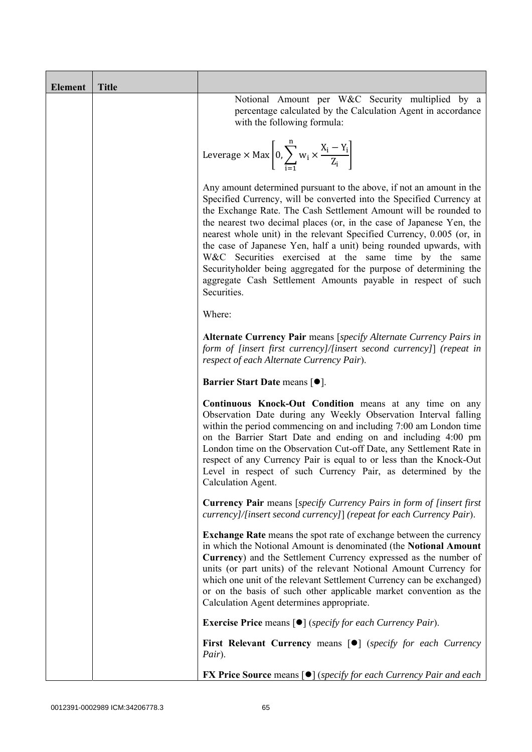| <b>Element</b> | <b>Title</b> |                                                                                                                                                                                                                                                                                                                                                                                                                                                                                                                                                                                                                                                       |
|----------------|--------------|-------------------------------------------------------------------------------------------------------------------------------------------------------------------------------------------------------------------------------------------------------------------------------------------------------------------------------------------------------------------------------------------------------------------------------------------------------------------------------------------------------------------------------------------------------------------------------------------------------------------------------------------------------|
|                |              | Notional Amount per W&C Security multiplied by a<br>percentage calculated by the Calculation Agent in accordance<br>with the following formula:                                                                                                                                                                                                                                                                                                                                                                                                                                                                                                       |
|                |              | Leverage $\times$ Max $\left  0, \sum_{i=1}^{n} w_i \times \frac{X_i - Y_i}{Z_i} \right $                                                                                                                                                                                                                                                                                                                                                                                                                                                                                                                                                             |
|                |              | Any amount determined pursuant to the above, if not an amount in the<br>Specified Currency, will be converted into the Specified Currency at<br>the Exchange Rate. The Cash Settlement Amount will be rounded to<br>the nearest two decimal places (or, in the case of Japanese Yen, the<br>nearest whole unit) in the relevant Specified Currency, 0.005 (or, in<br>the case of Japanese Yen, half a unit) being rounded upwards, with<br>W&C Securities exercised at the same time by the same<br>Securityholder being aggregated for the purpose of determining the<br>aggregate Cash Settlement Amounts payable in respect of such<br>Securities. |
|                |              | Where:                                                                                                                                                                                                                                                                                                                                                                                                                                                                                                                                                                                                                                                |
|                |              | Alternate Currency Pair means [specify Alternate Currency Pairs in<br>form of [insert first currency]/[insert second currency]] (repeat in<br>respect of each Alternate Currency Pair).                                                                                                                                                                                                                                                                                                                                                                                                                                                               |
|                |              | Barrier Start Date means [ $\bullet$ ].                                                                                                                                                                                                                                                                                                                                                                                                                                                                                                                                                                                                               |
|                |              | Continuous Knock-Out Condition means at any time on any<br>Observation Date during any Weekly Observation Interval falling<br>within the period commencing on and including 7:00 am London time<br>on the Barrier Start Date and ending on and including 4:00 pm<br>London time on the Observation Cut-off Date, any Settlement Rate in<br>respect of any Currency Pair is equal to or less than the Knock-Out<br>Level in respect of such Currency Pair, as determined by the<br>Calculation Agent.                                                                                                                                                  |
|                |              | <b>Currency Pair</b> means [specify Currency Pairs in form of [insert first]<br>currency]/[insert second currency]] (repeat for each Currency Pair).                                                                                                                                                                                                                                                                                                                                                                                                                                                                                                  |
|                |              | <b>Exchange Rate</b> means the spot rate of exchange between the currency<br>in which the Notional Amount is denominated (the Notional Amount<br>Currency) and the Settlement Currency expressed as the number of<br>units (or part units) of the relevant Notional Amount Currency for<br>which one unit of the relevant Settlement Currency can be exchanged)<br>or on the basis of such other applicable market convention as the<br>Calculation Agent determines appropriate.                                                                                                                                                                     |
|                |              | <b>Exercise Price</b> means $\lceil \bullet \rceil$ ( <i>specify for each Currency Pair</i> ).                                                                                                                                                                                                                                                                                                                                                                                                                                                                                                                                                        |
|                |              | <b>First Relevant Currency means [O]</b> (specify for each Currency<br>Pair).                                                                                                                                                                                                                                                                                                                                                                                                                                                                                                                                                                         |
|                |              | <b>FX Price Source means [<math>\bullet</math>]</b> (specify for each Currency Pair and each                                                                                                                                                                                                                                                                                                                                                                                                                                                                                                                                                          |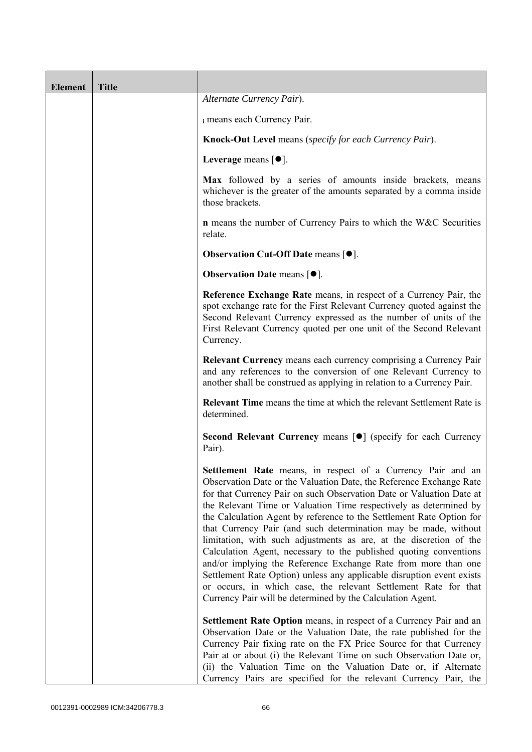| <b>Element</b> | <b>Title</b> |                                                                                                                                                                                                                                                                                                                                                                                                                                                                                                                                                                                                                                                                                                                                                                                                                                                   |
|----------------|--------------|---------------------------------------------------------------------------------------------------------------------------------------------------------------------------------------------------------------------------------------------------------------------------------------------------------------------------------------------------------------------------------------------------------------------------------------------------------------------------------------------------------------------------------------------------------------------------------------------------------------------------------------------------------------------------------------------------------------------------------------------------------------------------------------------------------------------------------------------------|
|                |              | Alternate Currency Pair).                                                                                                                                                                                                                                                                                                                                                                                                                                                                                                                                                                                                                                                                                                                                                                                                                         |
|                |              | i means each Currency Pair.                                                                                                                                                                                                                                                                                                                                                                                                                                                                                                                                                                                                                                                                                                                                                                                                                       |
|                |              | <b>Knock-Out Level</b> means (specify for each Currency Pair).                                                                                                                                                                                                                                                                                                                                                                                                                                                                                                                                                                                                                                                                                                                                                                                    |
|                |              | Leverage means [ $\bullet$ ].                                                                                                                                                                                                                                                                                                                                                                                                                                                                                                                                                                                                                                                                                                                                                                                                                     |
|                |              | Max followed by a series of amounts inside brackets, means<br>whichever is the greater of the amounts separated by a comma inside<br>those brackets.                                                                                                                                                                                                                                                                                                                                                                                                                                                                                                                                                                                                                                                                                              |
|                |              | <b>n</b> means the number of Currency Pairs to which the W&C Securities<br>relate.                                                                                                                                                                                                                                                                                                                                                                                                                                                                                                                                                                                                                                                                                                                                                                |
|                |              | <b>Observation Cut-Off Date means [<math>\bullet</math>].</b>                                                                                                                                                                                                                                                                                                                                                                                                                                                                                                                                                                                                                                                                                                                                                                                     |
|                |              | <b>Observation Date means <math>\lceil \bullet \rceil</math>.</b>                                                                                                                                                                                                                                                                                                                                                                                                                                                                                                                                                                                                                                                                                                                                                                                 |
|                |              | Reference Exchange Rate means, in respect of a Currency Pair, the<br>spot exchange rate for the First Relevant Currency quoted against the<br>Second Relevant Currency expressed as the number of units of the<br>First Relevant Currency quoted per one unit of the Second Relevant<br>Currency.                                                                                                                                                                                                                                                                                                                                                                                                                                                                                                                                                 |
|                |              | Relevant Currency means each currency comprising a Currency Pair<br>and any references to the conversion of one Relevant Currency to<br>another shall be construed as applying in relation to a Currency Pair.                                                                                                                                                                                                                                                                                                                                                                                                                                                                                                                                                                                                                                    |
|                |              | <b>Relevant Time</b> means the time at which the relevant Settlement Rate is<br>determined.                                                                                                                                                                                                                                                                                                                                                                                                                                                                                                                                                                                                                                                                                                                                                       |
|                |              | Second Relevant Currency means [ $\bullet$ ] (specify for each Currency<br>Pair).                                                                                                                                                                                                                                                                                                                                                                                                                                                                                                                                                                                                                                                                                                                                                                 |
|                |              | Settlement Rate means, in respect of a Currency Pair and an<br>Observation Date or the Valuation Date, the Reference Exchange Rate<br>for that Currency Pair on such Observation Date or Valuation Date at<br>the Relevant Time or Valuation Time respectively as determined by<br>the Calculation Agent by reference to the Settlement Rate Option for<br>that Currency Pair (and such determination may be made, without<br>limitation, with such adjustments as are, at the discretion of the<br>Calculation Agent, necessary to the published quoting conventions<br>and/or implying the Reference Exchange Rate from more than one<br>Settlement Rate Option) unless any applicable disruption event exists<br>or occurs, in which case, the relevant Settlement Rate for that<br>Currency Pair will be determined by the Calculation Agent. |
|                |              | Settlement Rate Option means, in respect of a Currency Pair and an<br>Observation Date or the Valuation Date, the rate published for the<br>Currency Pair fixing rate on the FX Price Source for that Currency<br>Pair at or about (i) the Relevant Time on such Observation Date or,<br>(ii) the Valuation Time on the Valuation Date or, if Alternate<br>Currency Pairs are specified for the relevant Currency Pair, the                                                                                                                                                                                                                                                                                                                                                                                                                       |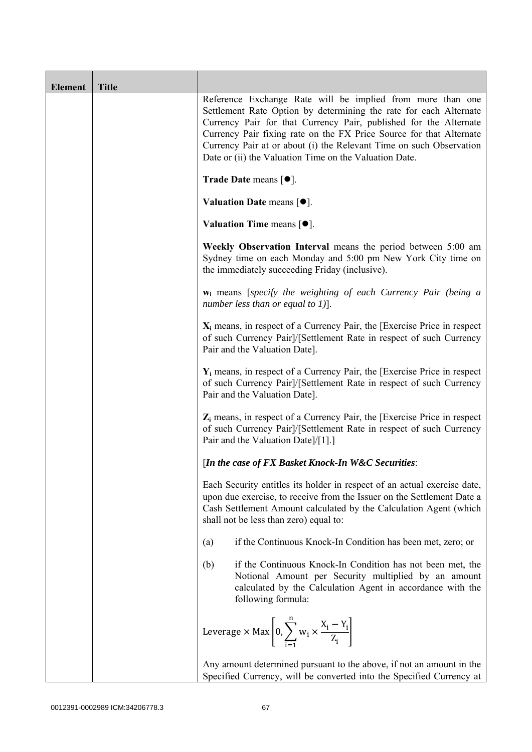| <b>Element</b> | <b>Title</b> |                                                                                                                                                                                                                                                                                                                                                                                                              |
|----------------|--------------|--------------------------------------------------------------------------------------------------------------------------------------------------------------------------------------------------------------------------------------------------------------------------------------------------------------------------------------------------------------------------------------------------------------|
|                |              | Reference Exchange Rate will be implied from more than one<br>Settlement Rate Option by determining the rate for each Alternate<br>Currency Pair for that Currency Pair, published for the Alternate<br>Currency Pair fixing rate on the FX Price Source for that Alternate<br>Currency Pair at or about (i) the Relevant Time on such Observation<br>Date or (ii) the Valuation Time on the Valuation Date. |
|                |              | Trade Date means $[•]$ .                                                                                                                                                                                                                                                                                                                                                                                     |
|                |              | Valuation Date means $[•]$ .                                                                                                                                                                                                                                                                                                                                                                                 |
|                |              | <b>Valuation Time means <math>[•]</math>.</b>                                                                                                                                                                                                                                                                                                                                                                |
|                |              | Weekly Observation Interval means the period between 5:00 am<br>Sydney time on each Monday and 5:00 pm New York City time on<br>the immediately succeeding Friday (inclusive).                                                                                                                                                                                                                               |
|                |              | w <sub>i</sub> means [specify the weighting of each Currency Pair (being a<br>number less than or equal to 1)].                                                                                                                                                                                                                                                                                              |
|                |              | $X_i$ means, in respect of a Currency Pair, the [Exercise Price in respect<br>of such Currency Pair]/[Settlement Rate in respect of such Currency<br>Pair and the Valuation Date].                                                                                                                                                                                                                           |
|                |              | $Y_i$ means, in respect of a Currency Pair, the [Exercise Price in respect<br>of such Currency Pair]/[Settlement Rate in respect of such Currency<br>Pair and the Valuation Date].                                                                                                                                                                                                                           |
|                |              | $Z_i$ means, in respect of a Currency Pair, the [Exercise Price in respect<br>of such Currency Pair]/[Settlement Rate in respect of such Currency<br>Pair and the Valuation Date]/[1].]                                                                                                                                                                                                                      |
|                |              | [In the case of FX Basket Knock-In W&C Securities:                                                                                                                                                                                                                                                                                                                                                           |
|                |              | Each Security entitles its holder in respect of an actual exercise date,<br>upon due exercise, to receive from the Issuer on the Settlement Date a<br>Cash Settlement Amount calculated by the Calculation Agent (which<br>shall not be less than zero) equal to:                                                                                                                                            |
|                |              | if the Continuous Knock-In Condition has been met, zero; or<br>(a)                                                                                                                                                                                                                                                                                                                                           |
|                |              | if the Continuous Knock-In Condition has not been met, the<br>(b)<br>Notional Amount per Security multiplied by an amount<br>calculated by the Calculation Agent in accordance with the<br>following formula:                                                                                                                                                                                                |
|                |              | Leverage $\times$ Max $\left[0, \sum_{i=1}^{n} w_i \times \frac{X_i - Y_i}{Z_i}\right]$                                                                                                                                                                                                                                                                                                                      |
|                |              | Any amount determined pursuant to the above, if not an amount in the<br>Specified Currency, will be converted into the Specified Currency at                                                                                                                                                                                                                                                                 |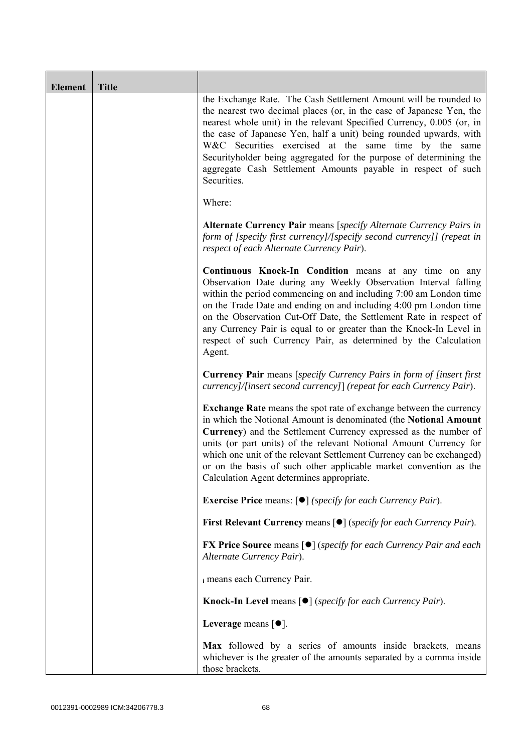| Element | <b>Title</b> |                                                                                                                                                                                                                                                                                                                                                                                                                                                                                                       |  |
|---------|--------------|-------------------------------------------------------------------------------------------------------------------------------------------------------------------------------------------------------------------------------------------------------------------------------------------------------------------------------------------------------------------------------------------------------------------------------------------------------------------------------------------------------|--|
|         |              | the Exchange Rate. The Cash Settlement Amount will be rounded to<br>the nearest two decimal places (or, in the case of Japanese Yen, the<br>nearest whole unit) in the relevant Specified Currency, 0.005 (or, in<br>the case of Japanese Yen, half a unit) being rounded upwards, with<br>W&C Securities exercised at the same time by the same<br>Securityholder being aggregated for the purpose of determining the<br>aggregate Cash Settlement Amounts payable in respect of such<br>Securities. |  |
|         |              | Where:                                                                                                                                                                                                                                                                                                                                                                                                                                                                                                |  |
|         |              | Alternate Currency Pair means [specify Alternate Currency Pairs in<br>form of [specify first currency]/[specify second currency]] (repeat in<br>respect of each Alternate Currency Pair).                                                                                                                                                                                                                                                                                                             |  |
|         |              | Continuous Knock-In Condition means at any time on any<br>Observation Date during any Weekly Observation Interval falling<br>within the period commencing on and including 7:00 am London time<br>on the Trade Date and ending on and including 4:00 pm London time<br>on the Observation Cut-Off Date, the Settlement Rate in respect of<br>any Currency Pair is equal to or greater than the Knock-In Level in<br>respect of such Currency Pair, as determined by the Calculation<br>Agent.         |  |
|         |              | Currency Pair means [specify Currency Pairs in form of [insert first<br>currency]/[insert second currency]] (repeat for each Currency Pair).                                                                                                                                                                                                                                                                                                                                                          |  |
|         |              | <b>Exchange Rate</b> means the spot rate of exchange between the currency<br>in which the Notional Amount is denominated (the Notional Amount<br>Currency) and the Settlement Currency expressed as the number of<br>units (or part units) of the relevant Notional Amount Currency for<br>which one unit of the relevant Settlement Currency can be exchanged)<br>or on the basis of such other applicable market convention as the<br>Calculation Agent determines appropriate.                     |  |
|         |              | <b>Exercise Price</b> means: $\lceil \bullet \rceil$ ( <i>specify for each Currency Pair</i> ).                                                                                                                                                                                                                                                                                                                                                                                                       |  |
|         |              | First Relevant Currency means [ $\bullet$ ] (specify for each Currency Pair).                                                                                                                                                                                                                                                                                                                                                                                                                         |  |
|         |              | <b>FX Price Source means [<math>\bullet</math>]</b> (specify for each Currency Pair and each<br>Alternate Currency Pair).                                                                                                                                                                                                                                                                                                                                                                             |  |
|         |              | i means each Currency Pair.                                                                                                                                                                                                                                                                                                                                                                                                                                                                           |  |
|         |              | <b>Knock-In Level means <math>\lceil \bullet \rceil</math> (specify for each Currency Pair).</b>                                                                                                                                                                                                                                                                                                                                                                                                      |  |
|         |              | Leverage means $[•]$ .                                                                                                                                                                                                                                                                                                                                                                                                                                                                                |  |
|         |              | Max followed by a series of amounts inside brackets, means<br>whichever is the greater of the amounts separated by a comma inside<br>those brackets.                                                                                                                                                                                                                                                                                                                                                  |  |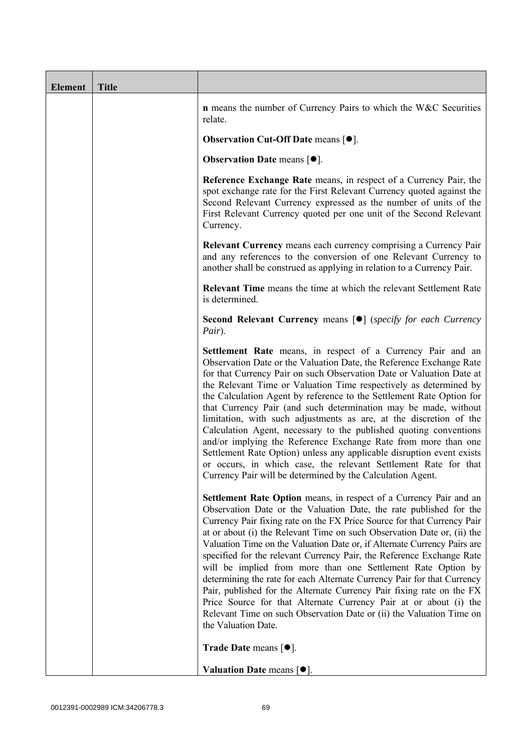| <b>Element</b> | <b>Title</b> |                                                                                                                                                                                                                                                                                                                                                                                                                                                                                                                                                                                                                                                                                                                                                                                                                                                   |
|----------------|--------------|---------------------------------------------------------------------------------------------------------------------------------------------------------------------------------------------------------------------------------------------------------------------------------------------------------------------------------------------------------------------------------------------------------------------------------------------------------------------------------------------------------------------------------------------------------------------------------------------------------------------------------------------------------------------------------------------------------------------------------------------------------------------------------------------------------------------------------------------------|
|                |              | <b>n</b> means the number of Currency Pairs to which the W&C Securities<br>relate.                                                                                                                                                                                                                                                                                                                                                                                                                                                                                                                                                                                                                                                                                                                                                                |
|                |              | <b>Observation Cut-Off Date means [<math>\bullet</math>].</b>                                                                                                                                                                                                                                                                                                                                                                                                                                                                                                                                                                                                                                                                                                                                                                                     |
|                |              | <b>Observation Date means <math>\lceil \bullet \rceil</math>.</b>                                                                                                                                                                                                                                                                                                                                                                                                                                                                                                                                                                                                                                                                                                                                                                                 |
|                |              | Reference Exchange Rate means, in respect of a Currency Pair, the<br>spot exchange rate for the First Relevant Currency quoted against the<br>Second Relevant Currency expressed as the number of units of the<br>First Relevant Currency quoted per one unit of the Second Relevant<br>Currency.                                                                                                                                                                                                                                                                                                                                                                                                                                                                                                                                                 |
|                |              | <b>Relevant Currency</b> means each currency comprising a Currency Pair<br>and any references to the conversion of one Relevant Currency to<br>another shall be construed as applying in relation to a Currency Pair.                                                                                                                                                                                                                                                                                                                                                                                                                                                                                                                                                                                                                             |
|                |              | <b>Relevant Time</b> means the time at which the relevant Settlement Rate<br>is determined.                                                                                                                                                                                                                                                                                                                                                                                                                                                                                                                                                                                                                                                                                                                                                       |
|                |              | <b>Second Relevant Currency means [O]</b> (specify for each Currency<br>Pair).                                                                                                                                                                                                                                                                                                                                                                                                                                                                                                                                                                                                                                                                                                                                                                    |
|                |              | Settlement Rate means, in respect of a Currency Pair and an<br>Observation Date or the Valuation Date, the Reference Exchange Rate<br>for that Currency Pair on such Observation Date or Valuation Date at<br>the Relevant Time or Valuation Time respectively as determined by<br>the Calculation Agent by reference to the Settlement Rate Option for<br>that Currency Pair (and such determination may be made, without<br>limitation, with such adjustments as are, at the discretion of the<br>Calculation Agent, necessary to the published quoting conventions<br>and/or implying the Reference Exchange Rate from more than one<br>Settlement Rate Option) unless any applicable disruption event exists<br>or occurs, in which case, the relevant Settlement Rate for that<br>Currency Pair will be determined by the Calculation Agent. |
|                |              | Settlement Rate Option means, in respect of a Currency Pair and an<br>Observation Date or the Valuation Date, the rate published for the<br>Currency Pair fixing rate on the FX Price Source for that Currency Pair<br>at or about (i) the Relevant Time on such Observation Date or, (ii) the<br>Valuation Time on the Valuation Date or, if Alternate Currency Pairs are<br>specified for the relevant Currency Pair, the Reference Exchange Rate<br>will be implied from more than one Settlement Rate Option by<br>determining the rate for each Alternate Currency Pair for that Currency<br>Pair, published for the Alternate Currency Pair fixing rate on the FX<br>Price Source for that Alternate Currency Pair at or about (i) the<br>Relevant Time on such Observation Date or (ii) the Valuation Time on<br>the Valuation Date.       |
|                |              | <b>Trade Date means <math>\lceil \bullet \rceil</math>.</b>                                                                                                                                                                                                                                                                                                                                                                                                                                                                                                                                                                                                                                                                                                                                                                                       |
|                |              | Valuation Date means $[•]$ .                                                                                                                                                                                                                                                                                                                                                                                                                                                                                                                                                                                                                                                                                                                                                                                                                      |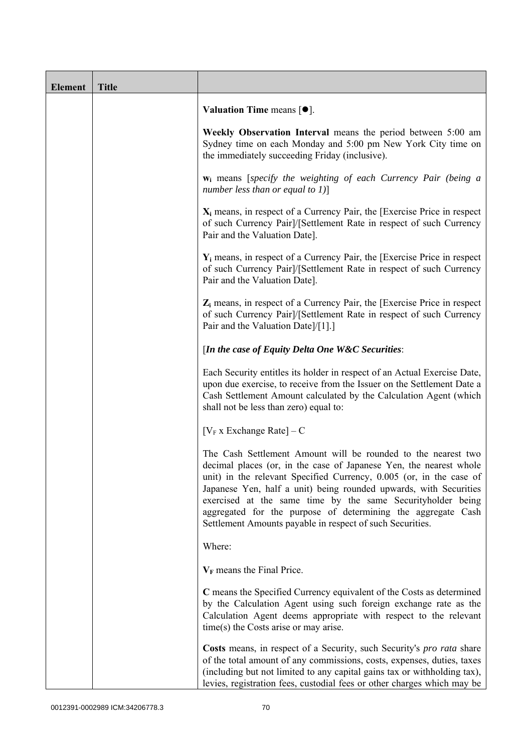| <b>Element</b> | <b>Title</b> |                                                                                                                                                                                                                                                                                                                                                                                                                                                                             |  |
|----------------|--------------|-----------------------------------------------------------------------------------------------------------------------------------------------------------------------------------------------------------------------------------------------------------------------------------------------------------------------------------------------------------------------------------------------------------------------------------------------------------------------------|--|
|                |              | Valuation Time means $[\bullet].$                                                                                                                                                                                                                                                                                                                                                                                                                                           |  |
|                |              | Weekly Observation Interval means the period between 5:00 am<br>Sydney time on each Monday and 5:00 pm New York City time on<br>the immediately succeeding Friday (inclusive).                                                                                                                                                                                                                                                                                              |  |
|                |              | $w_i$ means [specify the weighting of each Currency Pair (being a<br>number less than or equal to $1$ )]                                                                                                                                                                                                                                                                                                                                                                    |  |
|                |              | $X_i$ means, in respect of a Currency Pair, the [Exercise Price in respect<br>of such Currency Pair]/[Settlement Rate in respect of such Currency<br>Pair and the Valuation Date].                                                                                                                                                                                                                                                                                          |  |
|                |              | $Y_i$ means, in respect of a Currency Pair, the [Exercise Price in respect]<br>of such Currency Pair]/[Settlement Rate in respect of such Currency<br>Pair and the Valuation Date].                                                                                                                                                                                                                                                                                         |  |
|                |              | $Z_i$ means, in respect of a Currency Pair, the [Exercise Price in respect<br>of such Currency Pair]/[Settlement Rate in respect of such Currency<br>Pair and the Valuation Date]/[1].]                                                                                                                                                                                                                                                                                     |  |
|                |              | [In the case of Equity Delta One W&C Securities:                                                                                                                                                                                                                                                                                                                                                                                                                            |  |
|                |              | Each Security entitles its holder in respect of an Actual Exercise Date,<br>upon due exercise, to receive from the Issuer on the Settlement Date a<br>Cash Settlement Amount calculated by the Calculation Agent (which<br>shall not be less than zero) equal to:                                                                                                                                                                                                           |  |
|                |              | $[V_F x]$ Exchange Rate $]-C$                                                                                                                                                                                                                                                                                                                                                                                                                                               |  |
|                |              | The Cash Settlement Amount will be rounded to the nearest two<br>decimal places (or, in the case of Japanese Yen, the nearest whole<br>unit) in the relevant Specified Currency, 0.005 (or, in the case of<br>Japanese Yen, half a unit) being rounded upwards, with Securities<br>exercised at the same time by the same Securityholder being<br>aggregated for the purpose of determining the aggregate Cash<br>Settlement Amounts payable in respect of such Securities. |  |
|                |              | Where:                                                                                                                                                                                                                                                                                                                                                                                                                                                                      |  |
|                |              | $V_F$ means the Final Price.                                                                                                                                                                                                                                                                                                                                                                                                                                                |  |
|                |              | C means the Specified Currency equivalent of the Costs as determined<br>by the Calculation Agent using such foreign exchange rate as the<br>Calculation Agent deems appropriate with respect to the relevant<br>time(s) the Costs arise or may arise.                                                                                                                                                                                                                       |  |
|                |              | Costs means, in respect of a Security, such Security's <i>pro rata</i> share<br>of the total amount of any commissions, costs, expenses, duties, taxes<br>(including but not limited to any capital gains tax or withholding tax),<br>levies, registration fees, custodial fees or other charges which may be                                                                                                                                                               |  |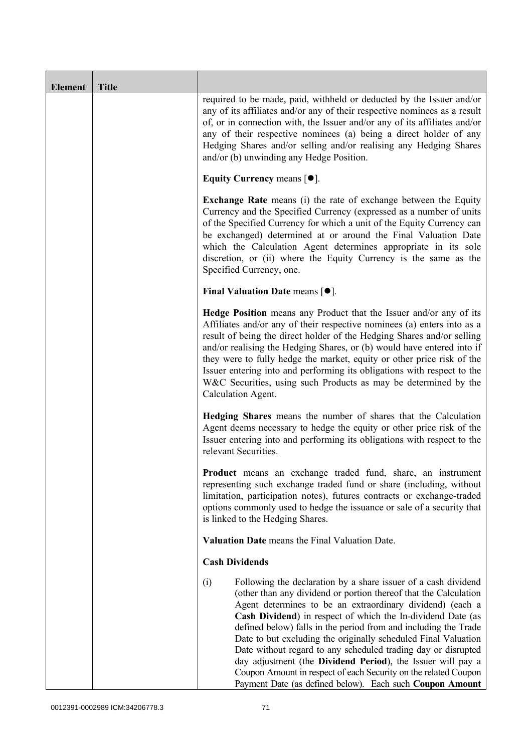| <b>Element</b> | <b>Title</b> |                                                                                                                                                                                                                                                                                                                                                                                                                                                                                                                                                                                                                                                                           |  |
|----------------|--------------|---------------------------------------------------------------------------------------------------------------------------------------------------------------------------------------------------------------------------------------------------------------------------------------------------------------------------------------------------------------------------------------------------------------------------------------------------------------------------------------------------------------------------------------------------------------------------------------------------------------------------------------------------------------------------|--|
|                |              | required to be made, paid, withheld or deducted by the Issuer and/or<br>any of its affiliates and/or any of their respective nominees as a result<br>of, or in connection with, the Issuer and/or any of its affiliates and/or<br>any of their respective nominees (a) being a direct holder of any<br>Hedging Shares and/or selling and/or realising any Hedging Shares<br>and/or (b) unwinding any Hedge Position.                                                                                                                                                                                                                                                      |  |
|                |              | Equity Currency means $[\bullet].$                                                                                                                                                                                                                                                                                                                                                                                                                                                                                                                                                                                                                                        |  |
|                |              | Exchange Rate means (i) the rate of exchange between the Equity<br>Currency and the Specified Currency (expressed as a number of units<br>of the Specified Currency for which a unit of the Equity Currency can<br>be exchanged) determined at or around the Final Valuation Date<br>which the Calculation Agent determines appropriate in its sole<br>discretion, or (ii) where the Equity Currency is the same as the<br>Specified Currency, one.                                                                                                                                                                                                                       |  |
|                |              | Final Valuation Date means $[•]$ .                                                                                                                                                                                                                                                                                                                                                                                                                                                                                                                                                                                                                                        |  |
|                |              | Hedge Position means any Product that the Issuer and/or any of its<br>Affiliates and/or any of their respective nominees (a) enters into as a<br>result of being the direct holder of the Hedging Shares and/or selling<br>and/or realising the Hedging Shares, or (b) would have entered into if<br>they were to fully hedge the market, equity or other price risk of the<br>Issuer entering into and performing its obligations with respect to the<br>W&C Securities, using such Products as may be determined by the<br>Calculation Agent.                                                                                                                           |  |
|                |              | Hedging Shares means the number of shares that the Calculation<br>Agent deems necessary to hedge the equity or other price risk of the<br>Issuer entering into and performing its obligations with respect to the<br>relevant Securities.<br>Product means an exchange traded fund, share, an instrument<br>representing such exchange traded fund or share (including, without<br>limitation, participation notes), futures contracts or exchange-traded<br>options commonly used to hedge the issuance or sale of a security that<br>is linked to the Hedging Shares.                                                                                                   |  |
|                |              |                                                                                                                                                                                                                                                                                                                                                                                                                                                                                                                                                                                                                                                                           |  |
|                |              | Valuation Date means the Final Valuation Date.                                                                                                                                                                                                                                                                                                                                                                                                                                                                                                                                                                                                                            |  |
|                |              | <b>Cash Dividends</b>                                                                                                                                                                                                                                                                                                                                                                                                                                                                                                                                                                                                                                                     |  |
|                |              | Following the declaration by a share issuer of a cash dividend<br>(i)<br>(other than any dividend or portion thereof that the Calculation<br>Agent determines to be an extraordinary dividend) (each a<br>Cash Dividend) in respect of which the In-dividend Date (as<br>defined below) falls in the period from and including the Trade<br>Date to but excluding the originally scheduled Final Valuation<br>Date without regard to any scheduled trading day or disrupted<br>day adjustment (the Dividend Period), the Issuer will pay a<br>Coupon Amount in respect of each Security on the related Coupon<br>Payment Date (as defined below). Each such Coupon Amount |  |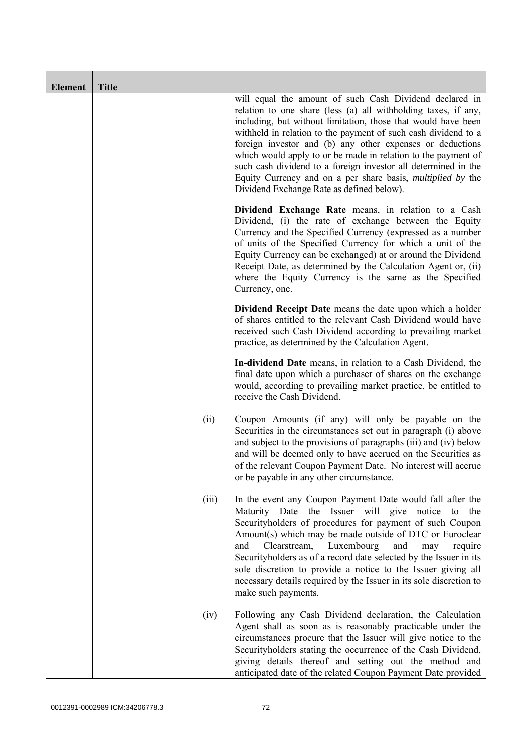| <b>Element</b> | <b>Title</b> |       |                                                                                                                                                                                                                                                                                                                                                                                                                                                                                                                                                                                 |
|----------------|--------------|-------|---------------------------------------------------------------------------------------------------------------------------------------------------------------------------------------------------------------------------------------------------------------------------------------------------------------------------------------------------------------------------------------------------------------------------------------------------------------------------------------------------------------------------------------------------------------------------------|
|                |              |       | will equal the amount of such Cash Dividend declared in<br>relation to one share (less (a) all withholding taxes, if any,<br>including, but without limitation, those that would have been<br>withheld in relation to the payment of such cash dividend to a<br>foreign investor and (b) any other expenses or deductions<br>which would apply to or be made in relation to the payment of<br>such cash dividend to a foreign investor all determined in the<br>Equity Currency and on a per share basis, <i>multiplied by</i> the<br>Dividend Exchange Rate as defined below). |
|                |              |       | Dividend Exchange Rate means, in relation to a Cash<br>Dividend, (i) the rate of exchange between the Equity<br>Currency and the Specified Currency (expressed as a number<br>of units of the Specified Currency for which a unit of the<br>Equity Currency can be exchanged) at or around the Dividend<br>Receipt Date, as determined by the Calculation Agent or, (ii)<br>where the Equity Currency is the same as the Specified<br>Currency, one.                                                                                                                            |
|                |              |       | <b>Dividend Receipt Date</b> means the date upon which a holder<br>of shares entitled to the relevant Cash Dividend would have<br>received such Cash Dividend according to prevailing market<br>practice, as determined by the Calculation Agent.                                                                                                                                                                                                                                                                                                                               |
|                |              |       | In-dividend Date means, in relation to a Cash Dividend, the<br>final date upon which a purchaser of shares on the exchange<br>would, according to prevailing market practice, be entitled to<br>receive the Cash Dividend.                                                                                                                                                                                                                                                                                                                                                      |
|                |              | (ii)  | Coupon Amounts (if any) will only be payable on the<br>Securities in the circumstances set out in paragraph (i) above<br>and subject to the provisions of paragraphs (iii) and (iv) below<br>and will be deemed only to have accrued on the Securities as<br>of the relevant Coupon Payment Date. No interest will accrue<br>or be payable in any other circumstance.                                                                                                                                                                                                           |
|                |              | (iii) | In the event any Coupon Payment Date would fall after the<br>Maturity Date the Issuer will give notice to<br>the<br>Securityholders of procedures for payment of such Coupon<br>Amount(s) which may be made outside of DTC or Euroclear<br>Luxembourg<br>and<br>Clearstream,<br>and<br>require<br>may<br>Securityholders as of a record date selected by the Issuer in its<br>sole discretion to provide a notice to the Issuer giving all<br>necessary details required by the Issuer in its sole discretion to<br>make such payments.                                         |
|                |              | (iv)  | Following any Cash Dividend declaration, the Calculation<br>Agent shall as soon as is reasonably practicable under the<br>circumstances procure that the Issuer will give notice to the<br>Securityholders stating the occurrence of the Cash Dividend,<br>giving details thereof and setting out the method and<br>anticipated date of the related Coupon Payment Date provided                                                                                                                                                                                                |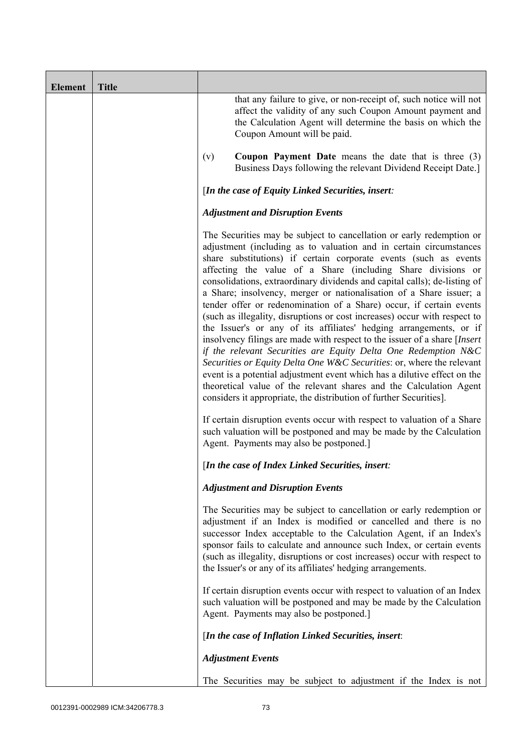| <b>Element</b> | <b>Title</b> |                                                                                                                                                                                                                                                                                                                                                                                                                                                                                                                                                                                                                                                                                                                                                                                                                                                                                                                                                                                                                                                                                                              |
|----------------|--------------|--------------------------------------------------------------------------------------------------------------------------------------------------------------------------------------------------------------------------------------------------------------------------------------------------------------------------------------------------------------------------------------------------------------------------------------------------------------------------------------------------------------------------------------------------------------------------------------------------------------------------------------------------------------------------------------------------------------------------------------------------------------------------------------------------------------------------------------------------------------------------------------------------------------------------------------------------------------------------------------------------------------------------------------------------------------------------------------------------------------|
|                |              | that any failure to give, or non-receipt of, such notice will not<br>affect the validity of any such Coupon Amount payment and<br>the Calculation Agent will determine the basis on which the<br>Coupon Amount will be paid.                                                                                                                                                                                                                                                                                                                                                                                                                                                                                                                                                                                                                                                                                                                                                                                                                                                                                 |
|                |              | <b>Coupon Payment Date</b> means the date that is three $(3)$<br>(v)<br>Business Days following the relevant Dividend Receipt Date.]                                                                                                                                                                                                                                                                                                                                                                                                                                                                                                                                                                                                                                                                                                                                                                                                                                                                                                                                                                         |
|                |              | [In the case of Equity Linked Securities, insert:                                                                                                                                                                                                                                                                                                                                                                                                                                                                                                                                                                                                                                                                                                                                                                                                                                                                                                                                                                                                                                                            |
|                |              | <b>Adjustment and Disruption Events</b>                                                                                                                                                                                                                                                                                                                                                                                                                                                                                                                                                                                                                                                                                                                                                                                                                                                                                                                                                                                                                                                                      |
|                |              | The Securities may be subject to cancellation or early redemption or<br>adjustment (including as to valuation and in certain circumstances<br>share substitutions) if certain corporate events (such as events<br>affecting the value of a Share (including Share divisions or<br>consolidations, extraordinary dividends and capital calls); de-listing of<br>a Share; insolvency, merger or nationalisation of a Share issuer; a<br>tender offer or redenomination of a Share) occur, if certain events<br>(such as illegality, disruptions or cost increases) occur with respect to<br>the Issuer's or any of its affiliates' hedging arrangements, or if<br>insolvency filings are made with respect to the issuer of a share [Insert<br>if the relevant Securities are Equity Delta One Redemption N&C<br>Securities or Equity Delta One W&C Securities: or, where the relevant<br>event is a potential adjustment event which has a dilutive effect on the<br>theoretical value of the relevant shares and the Calculation Agent<br>considers it appropriate, the distribution of further Securities]. |
|                |              | If certain disruption events occur with respect to valuation of a Share<br>such valuation will be postponed and may be made by the Calculation<br>Agent. Payments may also be postponed.]                                                                                                                                                                                                                                                                                                                                                                                                                                                                                                                                                                                                                                                                                                                                                                                                                                                                                                                    |
|                |              | [In the case of Index Linked Securities, insert:                                                                                                                                                                                                                                                                                                                                                                                                                                                                                                                                                                                                                                                                                                                                                                                                                                                                                                                                                                                                                                                             |
|                |              | <b>Adjustment and Disruption Events</b>                                                                                                                                                                                                                                                                                                                                                                                                                                                                                                                                                                                                                                                                                                                                                                                                                                                                                                                                                                                                                                                                      |
|                |              | The Securities may be subject to cancellation or early redemption or<br>adjustment if an Index is modified or cancelled and there is no<br>successor Index acceptable to the Calculation Agent, if an Index's<br>sponsor fails to calculate and announce such Index, or certain events<br>(such as illegality, disruptions or cost increases) occur with respect to<br>the Issuer's or any of its affiliates' hedging arrangements.                                                                                                                                                                                                                                                                                                                                                                                                                                                                                                                                                                                                                                                                          |
|                |              | If certain disruption events occur with respect to valuation of an Index<br>such valuation will be postponed and may be made by the Calculation<br>Agent. Payments may also be postponed.]                                                                                                                                                                                                                                                                                                                                                                                                                                                                                                                                                                                                                                                                                                                                                                                                                                                                                                                   |
|                |              | [In the case of Inflation Linked Securities, insert:                                                                                                                                                                                                                                                                                                                                                                                                                                                                                                                                                                                                                                                                                                                                                                                                                                                                                                                                                                                                                                                         |
|                |              | <b>Adjustment Events</b>                                                                                                                                                                                                                                                                                                                                                                                                                                                                                                                                                                                                                                                                                                                                                                                                                                                                                                                                                                                                                                                                                     |
|                |              | The Securities may be subject to adjustment if the Index is not                                                                                                                                                                                                                                                                                                                                                                                                                                                                                                                                                                                                                                                                                                                                                                                                                                                                                                                                                                                                                                              |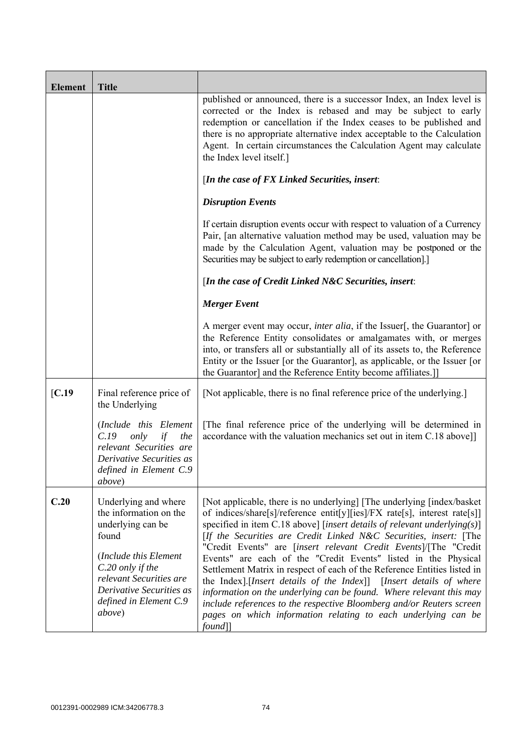| <b>Element</b>   | <b>Title</b>                                                                                                                                                                                                         |                                                                                                                                                                                                                                                                                                                                                                                                                                                                                                                                                                                                                                                                                                                                                                                                                            |
|------------------|----------------------------------------------------------------------------------------------------------------------------------------------------------------------------------------------------------------------|----------------------------------------------------------------------------------------------------------------------------------------------------------------------------------------------------------------------------------------------------------------------------------------------------------------------------------------------------------------------------------------------------------------------------------------------------------------------------------------------------------------------------------------------------------------------------------------------------------------------------------------------------------------------------------------------------------------------------------------------------------------------------------------------------------------------------|
|                  |                                                                                                                                                                                                                      | published or announced, there is a successor Index, an Index level is<br>corrected or the Index is rebased and may be subject to early<br>redemption or cancellation if the Index ceases to be published and<br>there is no appropriate alternative index acceptable to the Calculation<br>Agent. In certain circumstances the Calculation Agent may calculate<br>the Index level itself.]                                                                                                                                                                                                                                                                                                                                                                                                                                 |
|                  |                                                                                                                                                                                                                      | [In the case of FX Linked Securities, insert:                                                                                                                                                                                                                                                                                                                                                                                                                                                                                                                                                                                                                                                                                                                                                                              |
|                  |                                                                                                                                                                                                                      | <b>Disruption Events</b>                                                                                                                                                                                                                                                                                                                                                                                                                                                                                                                                                                                                                                                                                                                                                                                                   |
|                  |                                                                                                                                                                                                                      | If certain disruption events occur with respect to valuation of a Currency<br>Pair, [an alternative valuation method may be used, valuation may be<br>made by the Calculation Agent, valuation may be postponed or the<br>Securities may be subject to early redemption or cancellation].]                                                                                                                                                                                                                                                                                                                                                                                                                                                                                                                                 |
|                  |                                                                                                                                                                                                                      | [In the case of Credit Linked N&C Securities, insert:                                                                                                                                                                                                                                                                                                                                                                                                                                                                                                                                                                                                                                                                                                                                                                      |
|                  |                                                                                                                                                                                                                      | <b>Merger Event</b>                                                                                                                                                                                                                                                                                                                                                                                                                                                                                                                                                                                                                                                                                                                                                                                                        |
|                  |                                                                                                                                                                                                                      | A merger event may occur, <i>inter alia</i> , if the Issuer[, the Guarantor] or<br>the Reference Entity consolidates or amalgamates with, or merges<br>into, or transfers all or substantially all of its assets to, the Reference<br>Entity or the Issuer [or the Guarantor], as applicable, or the Issuer [or<br>the Guarantor] and the Reference Entity become affiliates.]                                                                                                                                                                                                                                                                                                                                                                                                                                             |
| $\mathcal{C}.19$ | Final reference price of<br>the Underlying                                                                                                                                                                           | [Not applicable, there is no final reference price of the underlying.]                                                                                                                                                                                                                                                                                                                                                                                                                                                                                                                                                                                                                                                                                                                                                     |
|                  | (Include this Element<br>only<br>C.19<br>the<br>if<br>relevant Securities are<br>Derivative Securities as<br>defined in Element C.9<br><i>above</i> )                                                                | [The final reference price of the underlying will be determined in<br>accordance with the valuation mechanics set out in item C.18 above]]                                                                                                                                                                                                                                                                                                                                                                                                                                                                                                                                                                                                                                                                                 |
| C.20             | Underlying and where<br>the information on the<br>underlying can be<br>found<br>(Include this Element<br>C.20 only if the<br>relevant Securities are<br>Derivative Securities as<br>defined in Element C.9<br>above) | [Not applicable, there is no underlying] [The underlying [index/basket]<br>of indices/share[s]/reference entit[y][ies]/FX rate[s], interest rate[s]]<br>specified in item C.18 above] [insert details of relevant underlying(s)]<br>[If the Securities are Credit Linked N&C Securities, insert: [The<br>"Credit Events" are [insert relevant Credit Events]/[The "Credit<br>Events" are each of the "Credit Events" listed in the Physical<br>Settlement Matrix in respect of each of the Reference Entities listed in<br>the Index].[Insert details of the Index]] [Insert details of where<br>information on the underlying can be found. Where relevant this may<br>include references to the respective Bloomberg and/or Reuters screen<br>pages on which information relating to each underlying can be<br>$found$ ] |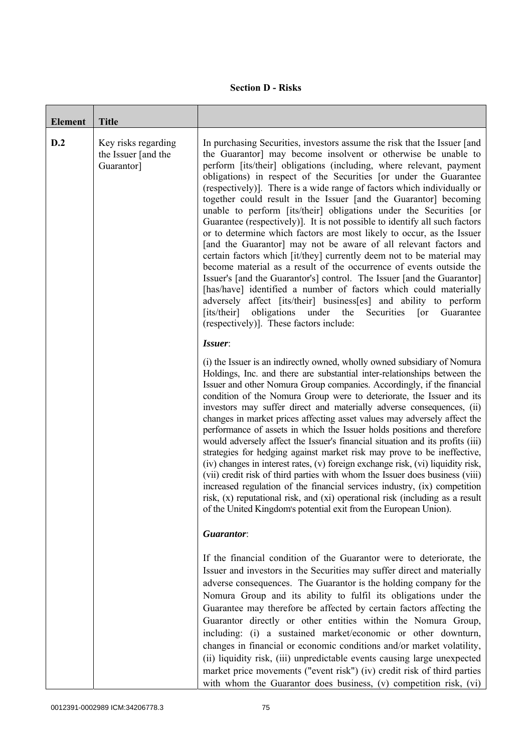## **Section D - Risks**

| <b>Element</b> | <b>Title</b>                                             |                                                                                                                                                                                                                                                                                                                                                                                                                                                                                                                                                                                                                                                                                                                                                                                                                                                                                                                                                                                                                                                                                                                                                                                                                                            |
|----------------|----------------------------------------------------------|--------------------------------------------------------------------------------------------------------------------------------------------------------------------------------------------------------------------------------------------------------------------------------------------------------------------------------------------------------------------------------------------------------------------------------------------------------------------------------------------------------------------------------------------------------------------------------------------------------------------------------------------------------------------------------------------------------------------------------------------------------------------------------------------------------------------------------------------------------------------------------------------------------------------------------------------------------------------------------------------------------------------------------------------------------------------------------------------------------------------------------------------------------------------------------------------------------------------------------------------|
| D.2            | Key risks regarding<br>the Issuer [and the<br>Guarantor] | In purchasing Securities, investors assume the risk that the Issuer [and<br>the Guarantor] may become insolvent or otherwise be unable to<br>perform [its/their] obligations (including, where relevant, payment<br>obligations) in respect of the Securities [or under the Guarantee<br>(respectively)]. There is a wide range of factors which individually or<br>together could result in the Issuer [and the Guarantor] becoming<br>unable to perform [its/their] obligations under the Securities [or<br>Guarantee (respectively)]. It is not possible to identify all such factors<br>or to determine which factors are most likely to occur, as the Issuer<br>[and the Guarantor] may not be aware of all relevant factors and<br>certain factors which [it/they] currently deem not to be material may<br>become material as a result of the occurrence of events outside the<br>Issuer's [and the Guarantor's] control. The Issuer [and the Guarantor]<br>[has/have] identified a number of factors which could materially<br>adversely affect [its/their] business[es] and ability to perform<br>obligations<br>[its/their]<br>under<br>the<br>Securities<br>Guarantee<br>$\lceil$ or<br>(respectively)]. These factors include: |
|                |                                                          | Issuer:<br>(i) the Issuer is an indirectly owned, wholly owned subsidiary of Nomura<br>Holdings, Inc. and there are substantial inter-relationships between the<br>Issuer and other Nomura Group companies. Accordingly, if the financial<br>condition of the Nomura Group were to deteriorate, the Issuer and its<br>investors may suffer direct and materially adverse consequences, (ii)<br>changes in market prices affecting asset values may adversely affect the<br>performance of assets in which the Issuer holds positions and therefore<br>would adversely affect the Issuer's financial situation and its profits (iii)<br>strategies for hedging against market risk may prove to be ineffective,<br>(iv) changes in interest rates, (v) foreign exchange risk, (vi) liquidity risk,<br>(vii) credit risk of third parties with whom the Issuer does business (viii)<br>increased regulation of the financial services industry, (ix) competition<br>risk, (x) reputational risk, and (xi) operational risk (including as a result<br>of the United Kingdom's potential exit from the European Union).                                                                                                                        |
|                |                                                          | Guarantor:                                                                                                                                                                                                                                                                                                                                                                                                                                                                                                                                                                                                                                                                                                                                                                                                                                                                                                                                                                                                                                                                                                                                                                                                                                 |
|                |                                                          | If the financial condition of the Guarantor were to deteriorate, the<br>Issuer and investors in the Securities may suffer direct and materially<br>adverse consequences. The Guarantor is the holding company for the<br>Nomura Group and its ability to fulfil its obligations under the<br>Guarantee may therefore be affected by certain factors affecting the<br>Guarantor directly or other entities within the Nomura Group,<br>including: (i) a sustained market/economic or other downturn,<br>changes in financial or economic conditions and/or market volatility,<br>(ii) liquidity risk, (iii) unpredictable events causing large unexpected<br>market price movements ("event risk") (iv) credit risk of third parties<br>with whom the Guarantor does business, (v) competition risk, (vi)                                                                                                                                                                                                                                                                                                                                                                                                                                   |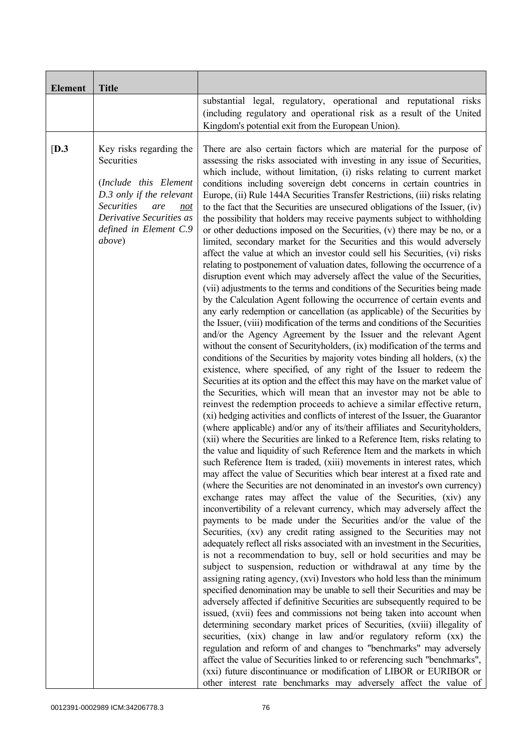| <b>Element</b> | <b>Title</b>                                                                                                                                                                                  | substantial legal, regulatory, operational and reputational risks<br>(including regulatory and operational risk as a result of the United<br>Kingdom's potential exit from the European Union).                                                                                                                                                                                                                                                                                                                                                                                                                                                                                                                                                                                                                                                                                                                                                                                                                                                                                                                                                                                                                                                                                                                                                                                                                                                                                                                                                                                                                                                                                                                                                                                                                                                                                                                                                                                                                                                                                                                                                                                                                                                                                                                                                                                                                                                                                                                                                                                                                                                                                                                                                                                                                                                                                                                                                                                                                                                                                                                                                                                                                                                                                                                                                                                                                                                                                                                                                                                                                                                                             |
|----------------|-----------------------------------------------------------------------------------------------------------------------------------------------------------------------------------------------|-----------------------------------------------------------------------------------------------------------------------------------------------------------------------------------------------------------------------------------------------------------------------------------------------------------------------------------------------------------------------------------------------------------------------------------------------------------------------------------------------------------------------------------------------------------------------------------------------------------------------------------------------------------------------------------------------------------------------------------------------------------------------------------------------------------------------------------------------------------------------------------------------------------------------------------------------------------------------------------------------------------------------------------------------------------------------------------------------------------------------------------------------------------------------------------------------------------------------------------------------------------------------------------------------------------------------------------------------------------------------------------------------------------------------------------------------------------------------------------------------------------------------------------------------------------------------------------------------------------------------------------------------------------------------------------------------------------------------------------------------------------------------------------------------------------------------------------------------------------------------------------------------------------------------------------------------------------------------------------------------------------------------------------------------------------------------------------------------------------------------------------------------------------------------------------------------------------------------------------------------------------------------------------------------------------------------------------------------------------------------------------------------------------------------------------------------------------------------------------------------------------------------------------------------------------------------------------------------------------------------------------------------------------------------------------------------------------------------------------------------------------------------------------------------------------------------------------------------------------------------------------------------------------------------------------------------------------------------------------------------------------------------------------------------------------------------------------------------------------------------------------------------------------------------------------------------------------------------------------------------------------------------------------------------------------------------------------------------------------------------------------------------------------------------------------------------------------------------------------------------------------------------------------------------------------------------------------------------------------------------------------------------------------------------------|
| [D.3]          | Key risks regarding the<br>Securities<br>(Include this Element<br>D.3 only if the relevant<br><b>Securities</b><br>are<br>not<br>Derivative Securities as<br>defined in Element C.9<br>above) | There are also certain factors which are material for the purpose of<br>assessing the risks associated with investing in any issue of Securities,<br>which include, without limitation, (i) risks relating to current market<br>conditions including sovereign debt concerns in certain countries in<br>Europe, (ii) Rule 144A Securities Transfer Restrictions, (iii) risks relating<br>to the fact that the Securities are unsecured obligations of the Issuer, (iv)<br>the possibility that holders may receive payments subject to withholding<br>or other deductions imposed on the Securities, (v) there may be no, or a<br>limited, secondary market for the Securities and this would adversely<br>affect the value at which an investor could sell his Securities, (vi) risks<br>relating to postponement of valuation dates, following the occurrence of a<br>disruption event which may adversely affect the value of the Securities,<br>(vii) adjustments to the terms and conditions of the Securities being made<br>by the Calculation Agent following the occurrence of certain events and<br>any early redemption or cancellation (as applicable) of the Securities by<br>the Issuer, (viii) modification of the terms and conditions of the Securities<br>and/or the Agency Agreement by the Issuer and the relevant Agent<br>without the consent of Securityholders, (ix) modification of the terms and<br>conditions of the Securities by majority votes binding all holders, $(x)$ the<br>existence, where specified, of any right of the Issuer to redeem the<br>Securities at its option and the effect this may have on the market value of<br>the Securities, which will mean that an investor may not be able to<br>reinvest the redemption proceeds to achieve a similar effective return,<br>(xi) hedging activities and conflicts of interest of the Issuer, the Guarantor<br>(where applicable) and/or any of its/their affiliates and Securityholders,<br>(xii) where the Securities are linked to a Reference Item, risks relating to<br>the value and liquidity of such Reference Item and the markets in which<br>such Reference Item is traded, (xiii) movements in interest rates, which<br>may affect the value of Securities which bear interest at a fixed rate and<br>(where the Securities are not denominated in an investor's own currency)<br>exchange rates may affect the value of the Securities, (xiv) any<br>inconvertibility of a relevant currency, which may adversely affect the<br>payments to be made under the Securities and/or the value of the<br>Securities, (xv) any credit rating assigned to the Securities may not<br>adequately reflect all risks associated with an investment in the Securities,<br>is not a recommendation to buy, sell or hold securities and may be<br>subject to suspension, reduction or withdrawal at any time by the<br>assigning rating agency, (xvi) Investors who hold less than the minimum<br>specified denomination may be unable to sell their Securities and may be<br>adversely affected if definitive Securities are subsequently required to be<br>issued, (xvii) fees and commissions not being taken into account when<br>determining secondary market prices of Securities, (xviii) illegality of<br>securities, (xix) change in law and/or regulatory reform (xx) the<br>regulation and reform of and changes to "benchmarks" may adversely<br>affect the value of Securities linked to or referencing such "benchmarks",<br>(xxi) future discontinuance or modification of LIBOR or EURIBOR or<br>other interest rate benchmarks may adversely affect the value of |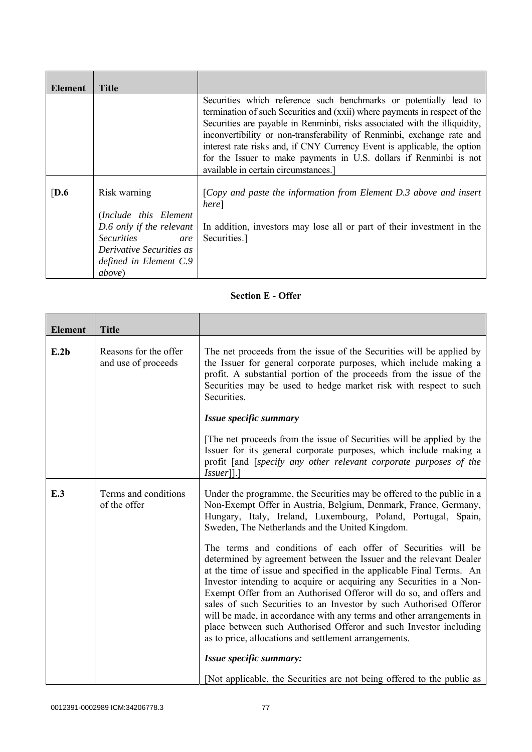| Element          | <b>Title</b>                                                                                                                                                          |                                                                                                                                                                                                                                                                                                                                                                                                                                                                                                   |
|------------------|-----------------------------------------------------------------------------------------------------------------------------------------------------------------------|---------------------------------------------------------------------------------------------------------------------------------------------------------------------------------------------------------------------------------------------------------------------------------------------------------------------------------------------------------------------------------------------------------------------------------------------------------------------------------------------------|
|                  |                                                                                                                                                                       | Securities which reference such benchmarks or potentially lead to<br>termination of such Securities and (xxii) where payments in respect of the<br>Securities are payable in Renminbi, risks associated with the illiquidity,<br>inconvertibility or non-transferability of Renminbi, exchange rate and<br>interest rate risks and, if CNY Currency Event is applicable, the option<br>for the Issuer to make payments in U.S. dollars if Renminbi is not<br>available in certain circumstances.] |
| $\overline{D.6}$ | Risk warning<br>(Include this Element<br>D.6 only if the relevant<br><i>Securities</i><br>are<br>Derivative Securities as<br>defined in Element C.9<br><i>above</i> ) | [Copy and paste the information from Element $D.3$ above and insert<br>here]<br>In addition, investors may lose all or part of their investment in the<br>Securities.]                                                                                                                                                                                                                                                                                                                            |

## **Section E - Offer**

| <b>Element</b> | <b>Title</b>                                 |                                                                                                                                                                                                                                                                                                                                                                                                                                                                                                                                                                                                                                     |
|----------------|----------------------------------------------|-------------------------------------------------------------------------------------------------------------------------------------------------------------------------------------------------------------------------------------------------------------------------------------------------------------------------------------------------------------------------------------------------------------------------------------------------------------------------------------------------------------------------------------------------------------------------------------------------------------------------------------|
| E.2b           | Reasons for the offer<br>and use of proceeds | The net proceeds from the issue of the Securities will be applied by<br>the Issuer for general corporate purposes, which include making a<br>profit. A substantial portion of the proceeds from the issue of the<br>Securities may be used to hedge market risk with respect to such<br>Securities.                                                                                                                                                                                                                                                                                                                                 |
|                |                                              | Issue specific summary                                                                                                                                                                                                                                                                                                                                                                                                                                                                                                                                                                                                              |
|                |                                              | The net proceeds from the issue of Securities will be applied by the<br>Issuer for its general corporate purposes, which include making a<br>profit [and [specify any other relevant corporate purposes of the<br>$Issuer$ [].]                                                                                                                                                                                                                                                                                                                                                                                                     |
| E.3            | Terms and conditions<br>of the offer         | Under the programme, the Securities may be offered to the public in a<br>Non-Exempt Offer in Austria, Belgium, Denmark, France, Germany,<br>Hungary, Italy, Ireland, Luxembourg, Poland, Portugal, Spain,<br>Sweden, The Netherlands and the United Kingdom.                                                                                                                                                                                                                                                                                                                                                                        |
|                |                                              | The terms and conditions of each offer of Securities will be<br>determined by agreement between the Issuer and the relevant Dealer<br>at the time of issue and specified in the applicable Final Terms. An<br>Investor intending to acquire or acquiring any Securities in a Non-<br>Exempt Offer from an Authorised Offeror will do so, and offers and<br>sales of such Securities to an Investor by such Authorised Offeror<br>will be made, in accordance with any terms and other arrangements in<br>place between such Authorised Offeror and such Investor including<br>as to price, allocations and settlement arrangements. |
|                |                                              | Issue specific summary:                                                                                                                                                                                                                                                                                                                                                                                                                                                                                                                                                                                                             |
|                |                                              | [Not applicable, the Securities are not being offered to the public as                                                                                                                                                                                                                                                                                                                                                                                                                                                                                                                                                              |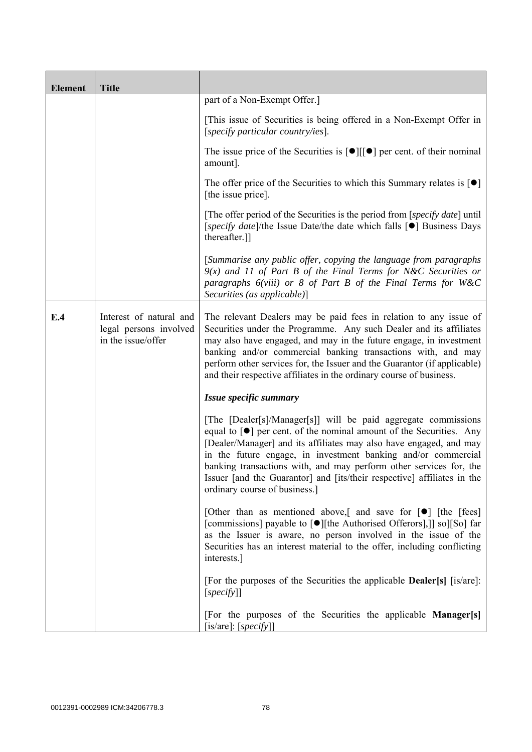| <b>Element</b> | <b>Title</b>                                                            |                                                                                                                                                                                                                                                                                                                                                                                                                                                                                    |
|----------------|-------------------------------------------------------------------------|------------------------------------------------------------------------------------------------------------------------------------------------------------------------------------------------------------------------------------------------------------------------------------------------------------------------------------------------------------------------------------------------------------------------------------------------------------------------------------|
|                |                                                                         | part of a Non-Exempt Offer.]                                                                                                                                                                                                                                                                                                                                                                                                                                                       |
|                |                                                                         | [This issue of Securities is being offered in a Non-Exempt Offer in<br>[specify particular country/ies].                                                                                                                                                                                                                                                                                                                                                                           |
|                |                                                                         | The issue price of the Securities is $[\bullet]$ [ $[\bullet]$ ] per cent. of their nominal<br>amount].                                                                                                                                                                                                                                                                                                                                                                            |
|                |                                                                         | The offer price of the Securities to which this Summary relates is $\lceil \bullet \rceil$<br>[the issue price].                                                                                                                                                                                                                                                                                                                                                                   |
|                |                                                                         | [The offer period of the Securities is the period from [specify date] until<br>[specify date]/the Issue Date/the date which falls [●] Business Days<br>thereafter.]                                                                                                                                                                                                                                                                                                                |
|                |                                                                         | [Summarise any public offer, copying the language from paragraphs<br>$9(x)$ and 11 of Part B of the Final Terms for N&C Securities or<br>paragraphs $6(viii)$ or 8 of Part B of the Final Terms for W&C<br>Securities (as applicable)]                                                                                                                                                                                                                                             |
| E.4            | Interest of natural and<br>legal persons involved<br>in the issue/offer | The relevant Dealers may be paid fees in relation to any issue of<br>Securities under the Programme. Any such Dealer and its affiliates<br>may also have engaged, and may in the future engage, in investment<br>banking and/or commercial banking transactions with, and may<br>perform other services for, the Issuer and the Guarantor (if applicable)<br>and their respective affiliates in the ordinary course of business.                                                   |
|                |                                                                         | Issue specific summary                                                                                                                                                                                                                                                                                                                                                                                                                                                             |
|                |                                                                         | [The [Dealer[s]/Manager[s]] will be paid aggregate commissions<br>equal to $\lceil \bullet \rceil$ per cent. of the nominal amount of the Securities. Any<br>[Dealer/Manager] and its affiliates may also have engaged, and may<br>in the future engage, in investment banking and/or commercial<br>banking transactions with, and may perform other services for, the<br>Issuer [and the Guarantor] and [its/their respective] affiliates in the<br>ordinary course of business.] |
|                |                                                                         | [Other than as mentioned above,] and save for $[\bullet]$ [the [fees]<br>[commissions] payable to [●][the Authorised Offerors],]] so][So] far<br>as the Issuer is aware, no person involved in the issue of the<br>Securities has an interest material to the offer, including conflicting<br>interests.]                                                                                                                                                                          |
|                |                                                                         | [For the purposes of the Securities the applicable <b>Dealer</b> [s] [is/are]:<br>[specify]                                                                                                                                                                                                                                                                                                                                                                                        |
|                |                                                                         | [For the purposes of the Securities the applicable Manager[s]<br>[is/are]: $[specify]$ ]                                                                                                                                                                                                                                                                                                                                                                                           |